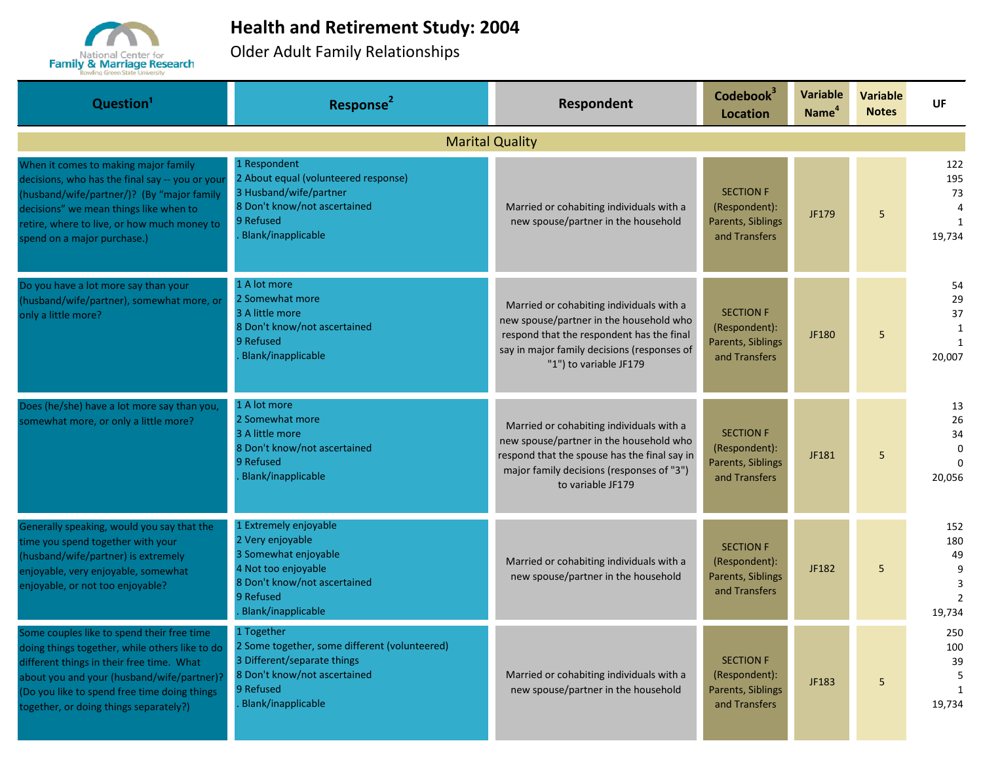

## **Health and Retirement Study: 2004**

Older Adult Family Relationships

| Question <sup>1</sup>                                                                                                                                                                                                                                                             | Response <sup>2</sup>                                                                                                                                              | Respondent                                                                                                                                                                                                | Codebook <sup>3</sup><br><b>Location</b>                                       | <b>Variable</b><br>Name <sup>4</sup> | <b>Variable</b><br><b>Notes</b> | <b>UF</b>                                                |
|-----------------------------------------------------------------------------------------------------------------------------------------------------------------------------------------------------------------------------------------------------------------------------------|--------------------------------------------------------------------------------------------------------------------------------------------------------------------|-----------------------------------------------------------------------------------------------------------------------------------------------------------------------------------------------------------|--------------------------------------------------------------------------------|--------------------------------------|---------------------------------|----------------------------------------------------------|
|                                                                                                                                                                                                                                                                                   |                                                                                                                                                                    | <b>Marital Quality</b>                                                                                                                                                                                    |                                                                                |                                      |                                 |                                                          |
| When it comes to making major family<br>decisions, who has the final say -- you or your<br>(husband/wife/partner/)? (By "major family<br>decisions" we mean things like when to<br>retire, where to live, or how much money to<br>spend on a major purchase.)                     | 1 Respondent<br>2 About equal (volunteered response)<br>3 Husband/wife/partner<br>8 Don't know/not ascertained<br>9 Refused<br>Blank/inapplicable                  | Married or cohabiting individuals with a<br>new spouse/partner in the household                                                                                                                           | <b>SECTION F</b><br>(Respondent):<br><b>Parents, Siblings</b><br>and Transfers | JF179                                | 5                               | 122<br>195<br>73<br>4<br>$\mathbf{1}$<br>19,734          |
| Do you have a lot more say than your<br>husband/wife/partner), somewhat more, or<br>only a little more?                                                                                                                                                                           | 1 A lot more<br>2 Somewhat more<br>3 A little more<br>8 Don't know/not ascertained<br>9 Refused<br>Blank/inapplicable                                              | Married or cohabiting individuals with a<br>new spouse/partner in the household who<br>respond that the respondent has the final<br>say in major family decisions (responses of<br>"1") to variable JF179 | <b>SECTION F</b><br>(Respondent):<br>Parents, Siblings<br>and Transfers        | JF180                                | 5                               | 54<br>29<br>37<br>$\mathbf{1}$<br>$\mathbf{1}$<br>20,007 |
| Does (he/she) have a lot more say than you,<br>somewhat more, or only a little more?                                                                                                                                                                                              | 1 A lot more<br>2 Somewhat more<br>3 A little more<br>8 Don't know/not ascertained<br>9 Refused<br>Blank/inapplicable                                              | Married or cohabiting individuals with a<br>new spouse/partner in the household who<br>respond that the spouse has the final say in<br>major family decisions (responses of "3")<br>to variable JF179     | <b>SECTION F</b><br>(Respondent):<br>Parents, Siblings<br>and Transfers        | JF181                                | 5                               | 13<br>26<br>34<br>$\Omega$<br>20,056                     |
| Generally speaking, would you say that the<br>time you spend together with your<br>(husband/wife/partner) is extremely<br>enjoyable, very enjoyable, somewhat<br>enjoyable, or not too enjoyable?                                                                                 | 1 Extremely enjoyable<br>2 Very enjoyable<br>3 Somewhat enjoyable<br>4 Not too enjoyable<br>8 Don't know/not ascertained<br>9 Refused<br><b>Blank/inapplicable</b> | Married or cohabiting individuals with a<br>new spouse/partner in the household                                                                                                                           | <b>SECTION F</b><br>(Respondent):<br>Parents, Siblings<br>and Transfers        | JF182                                | 5                               | 152<br>180<br>49<br>9<br>3<br>$\overline{2}$<br>19,734   |
| Some couples like to spend their free time<br>doing things together, while others like to do<br>different things in their free time. What<br>about you and your (husband/wife/partner)?<br>(Do you like to spend free time doing things<br>together, or doing things separately?) | 1 Together<br>2 Some together, some different (volunteered)<br>3 Different/separate things<br>8 Don't know/not ascertained<br>9 Refused<br>Blank/inapplicable      | Married or cohabiting individuals with a<br>new spouse/partner in the household                                                                                                                           | <b>SECTION F</b><br>(Respondent):<br>Parents, Siblings<br>and Transfers        | JF183                                | 5                               | 250<br>100<br>39<br>5<br>$\mathbf{1}$<br>19,734          |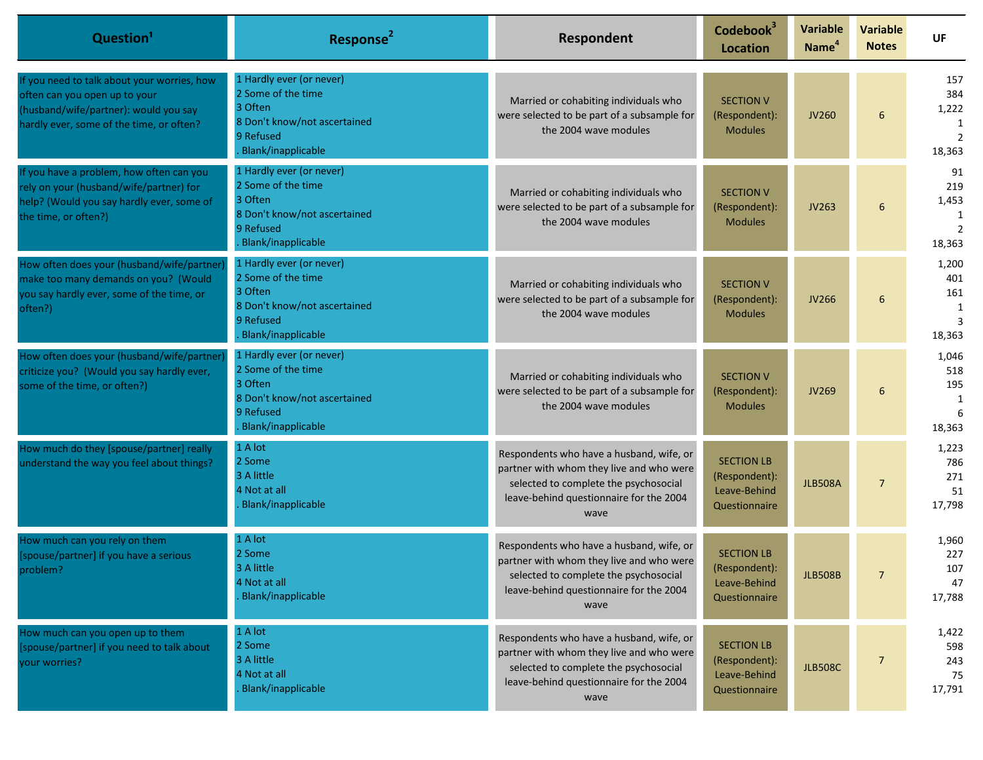| Question <sup>1</sup>                                                                                                                                             | Response <sup>2</sup>                                                                                                        | Respondent                                                                                                                                                                       | Codebook <sup>3</sup><br><b>Location</b>                            | <b>Variable</b><br>Name <sup>4</sup> | <b>Variable</b><br><b>Notes</b> | <b>UF</b>                                            |
|-------------------------------------------------------------------------------------------------------------------------------------------------------------------|------------------------------------------------------------------------------------------------------------------------------|----------------------------------------------------------------------------------------------------------------------------------------------------------------------------------|---------------------------------------------------------------------|--------------------------------------|---------------------------------|------------------------------------------------------|
| If you need to talk about your worries, how<br>often can you open up to your<br>(husband/wife/partner): would you say<br>hardly ever, some of the time, or often? | 1 Hardly ever (or never)<br>2 Some of the time<br>3 Often<br>8 Don't know/not ascertained<br>9 Refused<br>Blank/inapplicable | Married or cohabiting individuals who<br>were selected to be part of a subsample for<br>the 2004 wave modules                                                                    | <b>SECTION V</b><br>(Respondent):<br><b>Modules</b>                 | <b>JV260</b>                         | 6                               | 157<br>384<br>1,222<br>1<br>$\overline{2}$<br>18,363 |
| If you have a problem, how often can you<br>rely on your (husband/wife/partner) for<br>help? (Would you say hardly ever, some of<br>the time, or often?)          | 1 Hardly ever (or never)<br>2 Some of the time<br>3 Often<br>8 Don't know/not ascertained<br>9 Refused<br>Blank/inapplicable | Married or cohabiting individuals who<br>were selected to be part of a subsample for<br>the 2004 wave modules                                                                    | <b>SECTION V</b><br>(Respondent):<br><b>Modules</b>                 | JV263                                | 6                               | 91<br>219<br>1,453<br>1<br>$\overline{2}$<br>18,363  |
| How often does your (husband/wife/partner<br>make too many demands on you? (Would<br>you say hardly ever, some of the time, or<br>often?)                         | 1 Hardly ever (or never)<br>2 Some of the time<br>3 Often<br>8 Don't know/not ascertained<br>9 Refused<br>Blank/inapplicable | Married or cohabiting individuals who<br>were selected to be part of a subsample for<br>the 2004 wave modules                                                                    | <b>SECTION V</b><br>(Respondent):<br><b>Modules</b>                 | JV266                                | 6                               | 1,200<br>401<br>161<br>1<br>3<br>18,363              |
| How often does your (husband/wife/partner<br>criticize you? (Would you say hardly ever,<br>some of the time, or often?)                                           | 1 Hardly ever (or never)<br>2 Some of the time<br>3 Often<br>8 Don't know/not ascertained<br>9 Refused<br>Blank/inapplicable | Married or cohabiting individuals who<br>were selected to be part of a subsample for<br>the 2004 wave modules                                                                    | <b>SECTION V</b><br>(Respondent):<br><b>Modules</b>                 | <b>JV269</b>                         | 6                               | 1,046<br>518<br>195<br>1<br>6<br>18,363              |
| How much do they [spouse/partner] really<br>understand the way you feel about things?                                                                             | 1 A lot<br>2 Some<br>3 A little<br>4 Not at all<br>Blank/inapplicable                                                        | Respondents who have a husband, wife, or<br>partner with whom they live and who were<br>selected to complete the psychosocial<br>leave-behind questionnaire for the 2004<br>wave | <b>SECTION LB</b><br>(Respondent):<br>Leave-Behind<br>Questionnaire | <b>JLB508A</b>                       | $\overline{7}$                  | 1,223<br>786<br>271<br>51<br>17,798                  |
| How much can you rely on them<br>[spouse/partner] if you have a serious<br>problem?                                                                               | 1 A lot<br>2 Some<br>3 A little<br>4 Not at all<br>Blank/inapplicable                                                        | Respondents who have a husband, wife, or<br>partner with whom they live and who were<br>selected to complete the psychosocial<br>leave-behind questionnaire for the 2004<br>wave | <b>SECTION LB</b><br>(Respondent):<br>Leave-Behind<br>Questionnaire | <b>JLB508B</b>                       | $\overline{7}$                  | 1,960<br>227<br>107<br>47<br>17,788                  |
| How much can you open up to them<br>[spouse/partner] if you need to talk about<br>your worries?                                                                   | 1 A lot<br>2 Some<br>3 A little<br>4 Not at all<br>Blank/inapplicable                                                        | Respondents who have a husband, wife, or<br>partner with whom they live and who were<br>selected to complete the psychosocial<br>leave-behind questionnaire for the 2004<br>wave | <b>SECTION LB</b><br>(Respondent):<br>Leave-Behind<br>Questionnaire | <b>JLB508C</b>                       | $\overline{7}$                  | 1,422<br>598<br>243<br>75<br>17,791                  |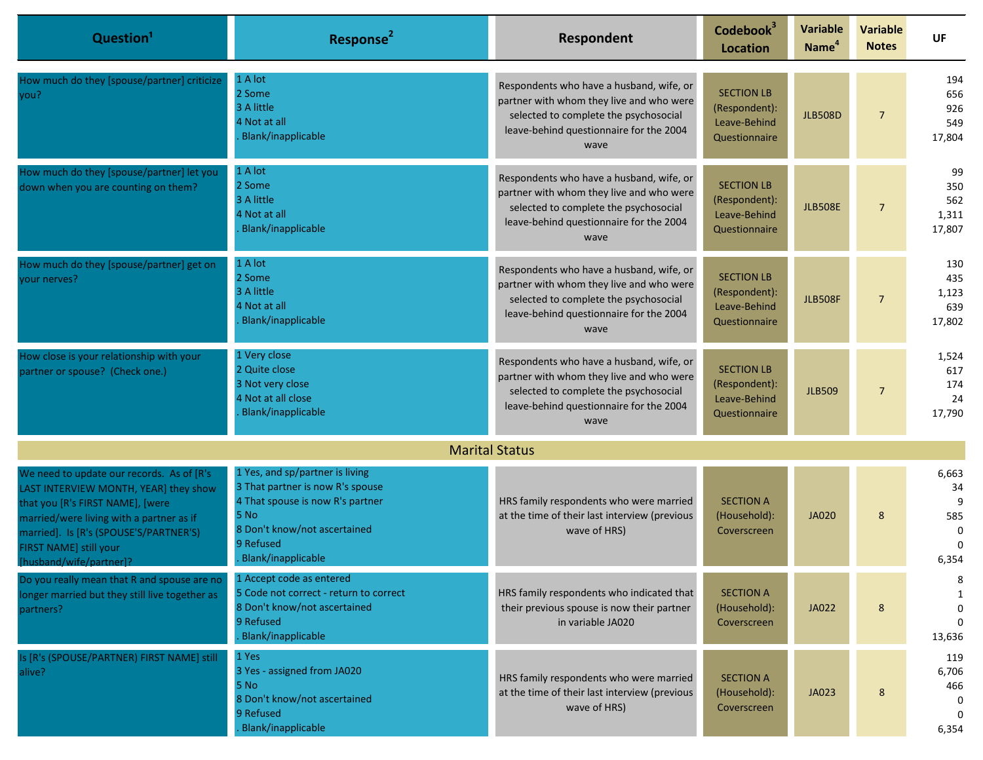| Question <sup>1</sup>                                                                                                                                                                                                                                              | Response <sup>2</sup>                                                                                                                                                              | Respondent                                                                                                                                                                       | Codebook <sup>3</sup><br><b>Location</b>                            | <b>Variable</b><br>Name <sup>4</sup> | <b>Variable</b><br><b>Notes</b> | UF                                                       |
|--------------------------------------------------------------------------------------------------------------------------------------------------------------------------------------------------------------------------------------------------------------------|------------------------------------------------------------------------------------------------------------------------------------------------------------------------------------|----------------------------------------------------------------------------------------------------------------------------------------------------------------------------------|---------------------------------------------------------------------|--------------------------------------|---------------------------------|----------------------------------------------------------|
| How much do they [spouse/partner] criticize<br>you?                                                                                                                                                                                                                | 1 A lot<br>2 Some<br>3 A little<br>4 Not at all<br>Blank/inapplicable                                                                                                              | Respondents who have a husband, wife, or<br>partner with whom they live and who were<br>selected to complete the psychosocial<br>leave-behind questionnaire for the 2004<br>wave | <b>SECTION LB</b><br>(Respondent):<br>Leave-Behind<br>Questionnaire | <b>JLB508D</b>                       | $\overline{7}$                  | 194<br>656<br>926<br>549<br>17,804                       |
| How much do they [spouse/partner] let you<br>down when you are counting on them?                                                                                                                                                                                   | 1 A lot<br>2 Some<br>3 A little<br>4 Not at all<br>Blank/inapplicable                                                                                                              | Respondents who have a husband, wife, or<br>partner with whom they live and who were<br>selected to complete the psychosocial<br>leave-behind questionnaire for the 2004<br>wave | <b>SECTION LB</b><br>(Respondent):<br>Leave-Behind<br>Questionnaire | <b>JLB508E</b>                       | $\overline{7}$                  | 99<br>350<br>562<br>1,311<br>17,807                      |
| How much do they [spouse/partner] get on<br>your nerves?                                                                                                                                                                                                           | 1 A lot<br>2 Some<br>3 A little<br>4 Not at all<br>Blank/inapplicable                                                                                                              | Respondents who have a husband, wife, or<br>partner with whom they live and who were<br>selected to complete the psychosocial<br>leave-behind questionnaire for the 2004<br>wave | <b>SECTION LB</b><br>(Respondent):<br>Leave-Behind<br>Questionnaire | <b>JLB508F</b>                       | $\overline{7}$                  | 130<br>435<br>1,123<br>639<br>17,802                     |
| How close is your relationship with your<br>partner or spouse? (Check one.)                                                                                                                                                                                        | 1 Very close<br>2 Quite close<br>3 Not very close<br>4 Not at all close<br>Blank/inapplicable                                                                                      | Respondents who have a husband, wife, or<br>partner with whom they live and who were<br>selected to complete the psychosocial<br>leave-behind questionnaire for the 2004<br>wave | <b>SECTION LB</b><br>(Respondent):<br>Leave-Behind<br>Questionnaire | <b>JLB509</b>                        | $\overline{7}$                  | 1,524<br>617<br>174<br>24<br>17,790                      |
|                                                                                                                                                                                                                                                                    |                                                                                                                                                                                    | <b>Marital Status</b>                                                                                                                                                            |                                                                     |                                      |                                 |                                                          |
| We need to update our records. As of [R's]<br>LAST INTERVIEW MONTH, YEAR] they show<br>that you [R's FIRST NAME], [were<br>married/were living with a partner as if<br>married]. Is [R's (SPOUSE'S/PARTNER'S)<br>FIRST NAME] still your<br>[husband/wife/partner]? | 1 Yes, and sp/partner is living<br>3 That partner is now R's spouse<br>4 That spouse is now R's partner<br>5 No<br>8 Don't know/not ascertained<br>9 Refused<br>Blank/inapplicable | HRS family respondents who were married<br>at the time of their last interview (previous<br>wave of HRS)                                                                         | <b>SECTION A</b><br>(Household):<br>Coverscreen                     | <b>JA020</b>                         | 8                               | 6,663<br>34<br>9<br>585<br>$\Omega$<br>$\Omega$<br>6,354 |
| Do you really mean that R and spouse are no<br>longer married but they still live together as<br>partners?                                                                                                                                                         | 1 Accept code as entered<br>5 Code not correct - return to correct<br>8 Don't know/not ascertained<br>9 Refused<br>Blank/inapplicable                                              | HRS family respondents who indicated that<br>their previous spouse is now their partner<br>in variable JA020                                                                     | <b>SECTION A</b><br>(Household):<br>Coverscreen                     | JA022                                | 8                               | 8<br>1<br>$\mathbf 0$<br>$\Omega$<br>13,636              |
| Is [R's (SPOUSE/PARTNER) FIRST NAME] still<br>alive?                                                                                                                                                                                                               | 1 Yes<br>3 Yes - assigned from JA020<br><b>5 No</b><br>8 Don't know/not ascertained<br>9 Refused<br>Blank/inapplicable                                                             | HRS family respondents who were married<br>at the time of their last interview (previous<br>wave of HRS)                                                                         | <b>SECTION A</b><br>(Household):<br>Coverscreen                     | JA023                                | 8                               | 119<br>6,706<br>466<br>0<br>6,354                        |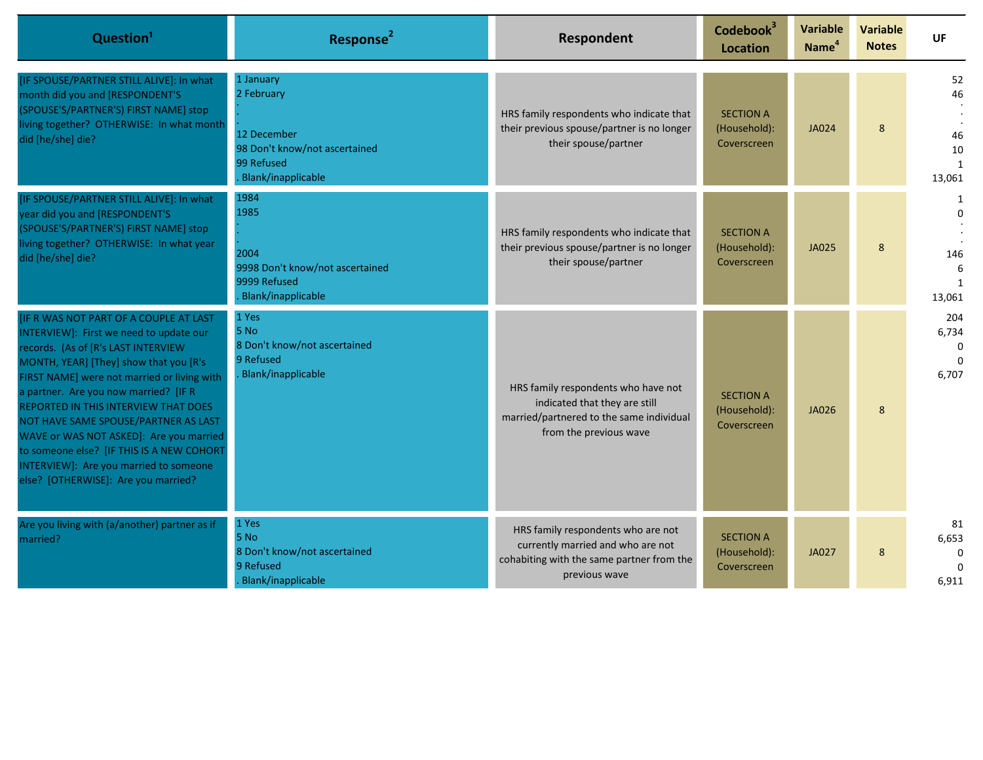| Question <sup>1</sup>                                                                                                                                                                                                                                                                                                                                                                                                                                                                                               | Response <sup>2</sup>                                                                                       | Respondent                                                                                                                                 | Codebook <sup>3</sup><br><b>Location</b>        | <b>Variable</b><br>Name <sup>4</sup> | <b>Variable</b><br><b>Notes</b> | <b>UF</b>                                      |
|---------------------------------------------------------------------------------------------------------------------------------------------------------------------------------------------------------------------------------------------------------------------------------------------------------------------------------------------------------------------------------------------------------------------------------------------------------------------------------------------------------------------|-------------------------------------------------------------------------------------------------------------|--------------------------------------------------------------------------------------------------------------------------------------------|-------------------------------------------------|--------------------------------------|---------------------------------|------------------------------------------------|
| [IF SPOUSE/PARTNER STILL ALIVE]: In what<br>month did you and [RESPONDENT'S<br>(SPOUSE'S/PARTNER'S) FIRST NAME] stop<br>living together? OTHERWISE: In what month<br>did [he/she] die?                                                                                                                                                                                                                                                                                                                              | 1 January<br>2 February<br>12 December<br>98 Don't know/not ascertained<br>99 Refused<br>Blank/inapplicable | HRS family respondents who indicate that<br>their previous spouse/partner is no longer<br>their spouse/partner                             | <b>SECTION A</b><br>(Household):<br>Coverscreen | <b>JA024</b>                         | 8                               | 52<br>46<br>46<br>10<br>$\mathbf{1}$<br>13,061 |
| [IF SPOUSE/PARTNER STILL ALIVE]: In what<br>year did you and [RESPONDENT'S<br>(SPOUSE'S/PARTNER'S) FIRST NAME] stop<br>living together? OTHERWISE: In what year<br>did [he/she] die?                                                                                                                                                                                                                                                                                                                                | 1984<br>1985<br>2004<br>9998 Don't know/not ascertained<br>9999 Refused<br>Blank/inapplicable               | HRS family respondents who indicate that<br>their previous spouse/partner is no longer<br>their spouse/partner                             | <b>SECTION A</b><br>(Household):<br>Coverscreen | <b>JA025</b>                         | 8                               | $\Omega$<br>146<br>6<br>$\mathbf{1}$<br>13,061 |
| [IF R WAS NOT PART OF A COUPLE AT LAST<br>INTERVIEW]: First we need to update our<br>records. (As of [R's LAST INTERVIEW<br>MONTH, YEAR] [They] show that you [R's<br>FIRST NAME] were not married or living with<br>a partner. Are you now married? [IF R<br>REPORTED IN THIS INTERVIEW THAT DOES<br>NOT HAVE SAME SPOUSE/PARTNER AS LAST<br>WAVE or WAS NOT ASKED]: Are you married<br>to someone else? [IF THIS IS A NEW COHORT<br>INTERVIEW]: Are you married to someone<br>else? [OTHERWISE]: Are you married? | 1 Yes<br>5 No<br>8 Don't know/not ascertained<br>9 Refused<br>Blank/inapplicable                            | HRS family respondents who have not<br>indicated that they are still<br>married/partnered to the same individual<br>from the previous wave | <b>SECTION A</b><br>(Household):<br>Coverscreen | JA026                                | 8                               | 204<br>6,734<br>$\Omega$<br>$\Omega$<br>6,707  |
| Are you living with (a/another) partner as if<br>married?                                                                                                                                                                                                                                                                                                                                                                                                                                                           | 1 Yes<br>5 No<br>8 Don't know/not ascertained<br>9 Refused<br>Blank/inapplicable                            | HRS family respondents who are not<br>currently married and who are not<br>cohabiting with the same partner from the<br>previous wave      | <b>SECTION A</b><br>(Household):<br>Coverscreen | <b>JA027</b>                         | 8                               | 81<br>6,653<br>$\Omega$<br>$\Omega$<br>6,911   |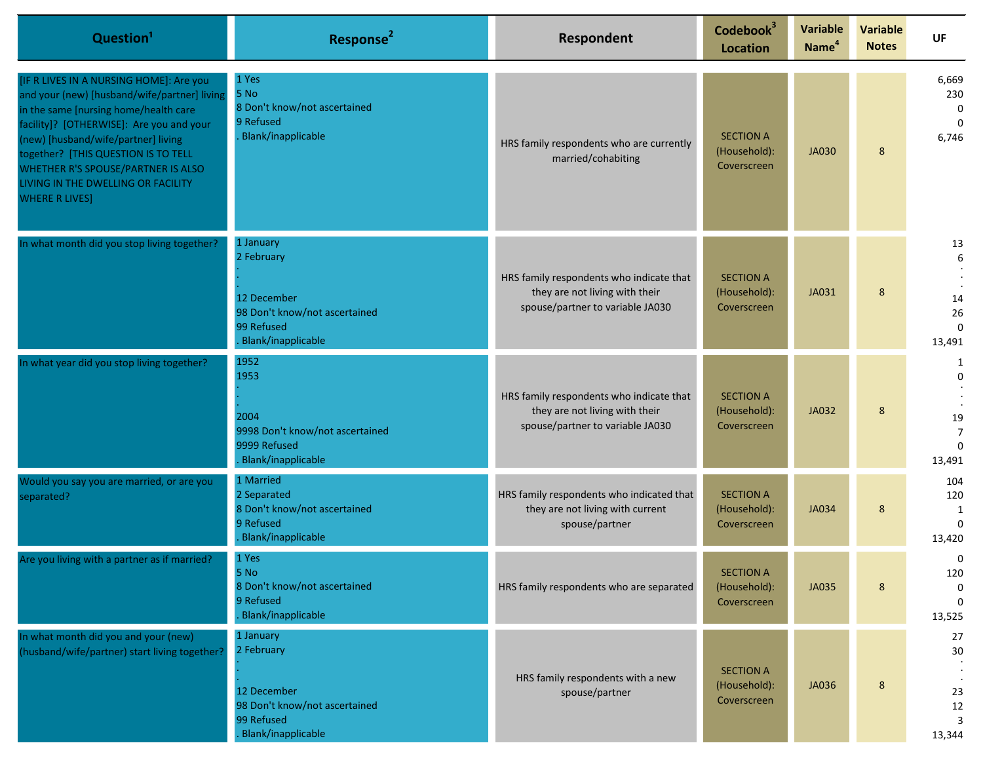| Question <sup>1</sup>                                                                                                                                                                                                                                                                                                                                           | Response <sup>2</sup>                                                                                       | Respondent                                                                                                     | Codebook <sup>3</sup><br><b>Location</b>        | <b>Variable</b><br>Name <sup>4</sup> | <b>Variable</b><br><b>Notes</b> | <b>UF</b>                                                   |
|-----------------------------------------------------------------------------------------------------------------------------------------------------------------------------------------------------------------------------------------------------------------------------------------------------------------------------------------------------------------|-------------------------------------------------------------------------------------------------------------|----------------------------------------------------------------------------------------------------------------|-------------------------------------------------|--------------------------------------|---------------------------------|-------------------------------------------------------------|
| [IF R LIVES IN A NURSING HOME]: Are you<br>and your (new) [husband/wife/partner] living<br>in the same [nursing home/health care<br>facility]? [OTHERWISE]: Are you and your<br>(new) [husband/wife/partner] living<br>together? [THIS QUESTION IS TO TELL<br>WHETHER R'S SPOUSE/PARTNER IS ALSO<br>LIVING IN THE DWELLING OR FACILITY<br><b>WHERE R LIVES]</b> | 1 Yes<br>5 No<br>8 Don't know/not ascertained<br>9 Refused<br><b>Blank/inapplicable</b>                     | HRS family respondents who are currently<br>married/cohabiting                                                 | <b>SECTION A</b><br>(Household):<br>Coverscreen | <b>JA030</b>                         | 8                               | 6,669<br>230<br>$\Omega$<br>$\Omega$<br>6,746               |
| In what month did you stop living together?                                                                                                                                                                                                                                                                                                                     | 1 January<br>2 February<br>12 December<br>98 Don't know/not ascertained<br>99 Refused<br>Blank/inapplicable | HRS family respondents who indicate that<br>they are not living with their<br>spouse/partner to variable JA030 | <b>SECTION A</b><br>(Household):<br>Coverscreen | JA031                                | 8                               | 13<br>6<br>14<br>26<br>$\Omega$<br>13,491                   |
| In what year did you stop living together?                                                                                                                                                                                                                                                                                                                      | 1952<br>1953<br>2004<br>9998 Don't know/not ascertained<br>9999 Refused<br>Blank/inapplicable               | HRS family respondents who indicate that<br>they are not living with their<br>spouse/partner to variable JA030 | <b>SECTION A</b><br>(Household):<br>Coverscreen | JA032                                | 8                               | 1<br>$\Omega$<br>19<br>$\overline{7}$<br>$\Omega$<br>13,491 |
| Would you say you are married, or are you<br>separated?                                                                                                                                                                                                                                                                                                         | 1 Married<br>2 Separated<br>8 Don't know/not ascertained<br>9 Refused<br><b>Blank/inapplicable</b>          | HRS family respondents who indicated that<br>they are not living with current<br>spouse/partner                | <b>SECTION A</b><br>(Household):<br>Coverscreen | <b>JA034</b>                         | 8                               | 104<br>120<br>1<br>$\Omega$<br>13,420                       |
| Are you living with a partner as if married?                                                                                                                                                                                                                                                                                                                    | 1 Yes<br>5 No<br>8 Don't know/not ascertained<br>9 Refused<br>Blank/inapplicable                            | HRS family respondents who are separated                                                                       | <b>SECTION A</b><br>(Household):<br>Coverscreen | <b>JA035</b>                         | 8                               | 0<br>120<br>$\mathbf{0}$<br>$\Omega$<br>13,525              |
| In what month did you and your (new)<br>(husband/wife/partner) start living together?                                                                                                                                                                                                                                                                           | 1 January<br>2 February<br>12 December<br>98 Don't know/not ascertained<br>99 Refused<br>Blank/inapplicable | HRS family respondents with a new<br>spouse/partner                                                            | <b>SECTION A</b><br>(Household):<br>Coverscreen | <b>JA036</b>                         | $8\phantom{1}$                  | 27<br>$30\,$<br>23<br>12<br>3<br>13,344                     |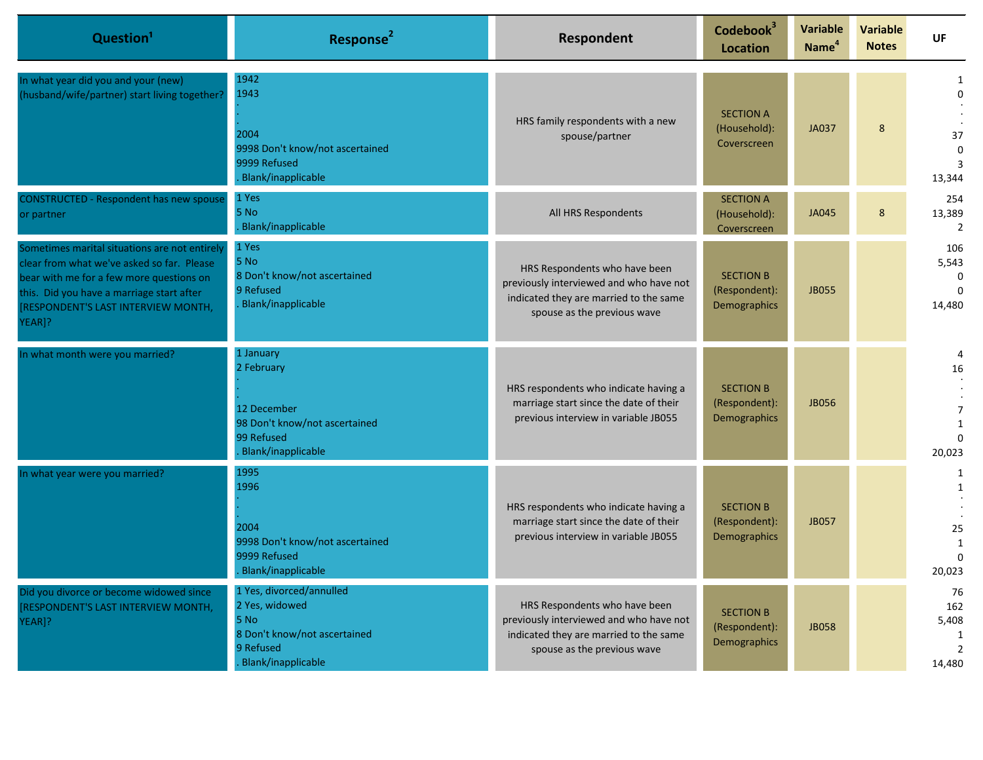| Question <sup>1</sup>                                                                                                                                                                                                                | Response <sup>2</sup>                                                                                                 | Respondent                                                                                                                                        | Codebook <sup>3</sup><br>Location                 | <b>Variable</b><br>Name <sup>4</sup> | <b>Variable</b><br><b>Notes</b> | UF                                              |
|--------------------------------------------------------------------------------------------------------------------------------------------------------------------------------------------------------------------------------------|-----------------------------------------------------------------------------------------------------------------------|---------------------------------------------------------------------------------------------------------------------------------------------------|---------------------------------------------------|--------------------------------------|---------------------------------|-------------------------------------------------|
| In what year did you and your (new)<br>(husband/wife/partner) start living together?                                                                                                                                                 | 1942<br>1943<br>2004<br>9998 Don't know/not ascertained<br>9999 Refused<br>Blank/inapplicable                         | HRS family respondents with a new<br>spouse/partner                                                                                               | <b>SECTION A</b><br>(Household):<br>Coverscreen   | <b>JA037</b>                         | 8                               | U<br>37<br>0<br>13,344                          |
| <b>CONSTRUCTED - Respondent has new spouse</b><br>or partner                                                                                                                                                                         | 1 Yes<br>5 No<br>Blank/inapplicable                                                                                   | All HRS Respondents                                                                                                                               | <b>SECTION A</b><br>(Household):<br>Coverscreen   | <b>JA045</b>                         | 8                               | 254<br>13,389<br>$\overline{2}$                 |
| Sometimes marital situations are not entirely<br>clear from what we've asked so far. Please<br>bear with me for a few more questions on<br>this. Did you have a marriage start after<br>RESPONDENT'S LAST INTERVIEW MONTH,<br>YEAR]? | 1 Yes<br>5 No<br>8 Don't know/not ascertained<br>9 Refused<br>Blank/inapplicable                                      | HRS Respondents who have been<br>previously interviewed and who have not<br>indicated they are married to the same<br>spouse as the previous wave | <b>SECTION B</b><br>(Respondent):<br>Demographics | <b>JB055</b>                         |                                 | 106<br>5,543<br>$\Omega$<br>$\Omega$<br>14,480  |
| In what month were you married?                                                                                                                                                                                                      | 1 January<br>2 February<br>12 December<br>98 Don't know/not ascertained<br>99 Refused<br>Blank/inapplicable           | HRS respondents who indicate having a<br>marriage start since the date of their<br>previous interview in variable JB055                           | <b>SECTION B</b><br>(Respondent):<br>Demographics | <b>JB056</b>                         |                                 | 16<br>$\overline{7}$<br>1<br>$\Omega$<br>20,023 |
| In what year were you married?                                                                                                                                                                                                       | 1995<br>1996<br>2004<br>9998 Don't know/not ascertained<br>9999 Refused<br>Blank/inapplicable                         | HRS respondents who indicate having a<br>marriage start since the date of their<br>previous interview in variable JB055                           | <b>SECTION B</b><br>(Respondent):<br>Demographics | <b>JB057</b>                         |                                 | 1<br>25<br>1<br>0<br>20,023                     |
| Did you divorce or become widowed since<br>RESPONDENT'S LAST INTERVIEW MONTH,<br>YEAR]?                                                                                                                                              | 1 Yes, divorced/annulled<br>2 Yes, widowed<br>5 No<br>8 Don't know/not ascertained<br>9 Refused<br>Blank/inapplicable | HRS Respondents who have been<br>previously interviewed and who have not<br>indicated they are married to the same<br>spouse as the previous wave | <b>SECTION B</b><br>(Respondent):<br>Demographics | <b>JB058</b>                         |                                 | 76<br>162<br>5,408<br>$\mathcal{L}$<br>14,480   |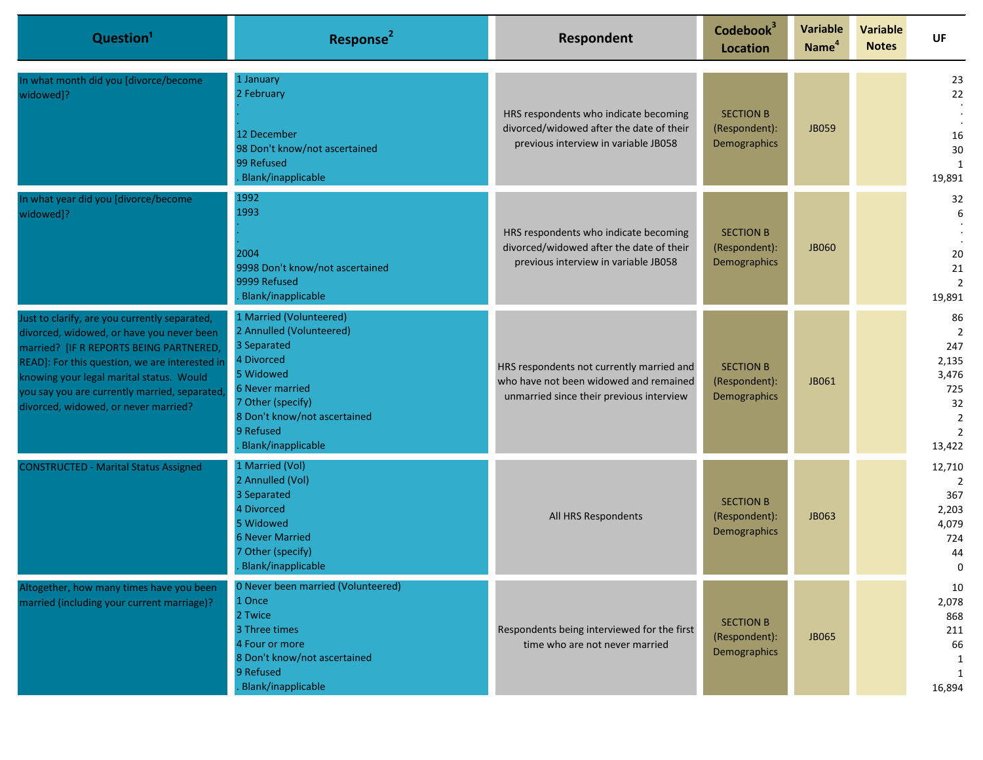| Question <sup>1</sup>                                                                                                                                                                                                                                                                                                       | Response <sup>2</sup>                                                                                                                                                                                    | Respondent                                                                                                                      | Codebook <sup>3</sup><br><b>Location</b>          | <b>Variable</b><br>Name <sup>4</sup> | <b>Variable</b><br><b>Notes</b> | UF                                                                                     |
|-----------------------------------------------------------------------------------------------------------------------------------------------------------------------------------------------------------------------------------------------------------------------------------------------------------------------------|----------------------------------------------------------------------------------------------------------------------------------------------------------------------------------------------------------|---------------------------------------------------------------------------------------------------------------------------------|---------------------------------------------------|--------------------------------------|---------------------------------|----------------------------------------------------------------------------------------|
| In what month did you [divorce/become<br>widowed]?                                                                                                                                                                                                                                                                          | 1 January<br>2 February<br>12 December<br>98 Don't know/not ascertained<br>99 Refused<br>Blank/inapplicable                                                                                              | HRS respondents who indicate becoming<br>divorced/widowed after the date of their<br>previous interview in variable JB058       | <b>SECTION B</b><br>(Respondent):<br>Demographics | <b>JB059</b>                         |                                 | 23<br>22<br>16<br>30<br>19,891                                                         |
| In what year did you [divorce/become<br>widowed]?                                                                                                                                                                                                                                                                           | 1992<br>1993<br>2004<br>9998 Don't know/not ascertained<br>9999 Refused<br><b>Blank/inapplicable</b>                                                                                                     | HRS respondents who indicate becoming<br>divorced/widowed after the date of their<br>previous interview in variable JB058       | <b>SECTION B</b><br>(Respondent):<br>Demographics | <b>JB060</b>                         |                                 | 32<br>6<br>20<br>21<br>$\overline{2}$<br>19,891                                        |
| Just to clarify, are you currently separated,<br>divorced, widowed, or have you never been<br>married? [IF R REPORTS BEING PARTNERED,<br>READ]: For this question, we are interested in<br>knowing your legal marital status. Would<br>you say you are currently married, separated<br>divorced, widowed, or never married? | 1 Married (Volunteered)<br>2 Annulled (Volunteered)<br>3 Separated<br>4 Divorced<br>5 Widowed<br>6 Never married<br>7 Other (specify)<br>8 Don't know/not ascertained<br>9 Refused<br>Blank/inapplicable | HRS respondents not currently married and<br>who have not been widowed and remained<br>unmarried since their previous interview | <b>SECTION B</b><br>(Respondent):<br>Demographics | JB061                                |                                 | 86<br>$\overline{2}$<br>247<br>2,135<br>3,476<br>725<br>32<br>$\overline{2}$<br>13,422 |
| <b>CONSTRUCTED - Marital Status Assigned</b>                                                                                                                                                                                                                                                                                | 1 Married (Vol)<br>2 Annulled (Vol)<br>3 Separated<br>4 Divorced<br>5 Widowed<br><b>6 Never Married</b><br>7 Other (specify)<br>Blank/inapplicable                                                       | All HRS Respondents                                                                                                             | <b>SECTION B</b><br>(Respondent):<br>Demographics | <b>JB063</b>                         |                                 | 12,710<br>2<br>367<br>2,203<br>4,079<br>724<br>44<br>0                                 |
| Altogether, how many times have you been<br>married (including your current marriage)?                                                                                                                                                                                                                                      | 0 Never been married (Volunteered)<br>1 Once<br>2 Twice<br>3 Three times<br>4 Four or more<br>8 Don't know/not ascertained<br>9 Refused<br>Blank/inapplicable                                            | Respondents being interviewed for the first<br>time who are not never married                                                   | <b>SECTION B</b><br>(Respondent):<br>Demographics | <b>JB065</b>                         |                                 | 10<br>2,078<br>868<br>211<br>66<br>1<br>1<br>16,894                                    |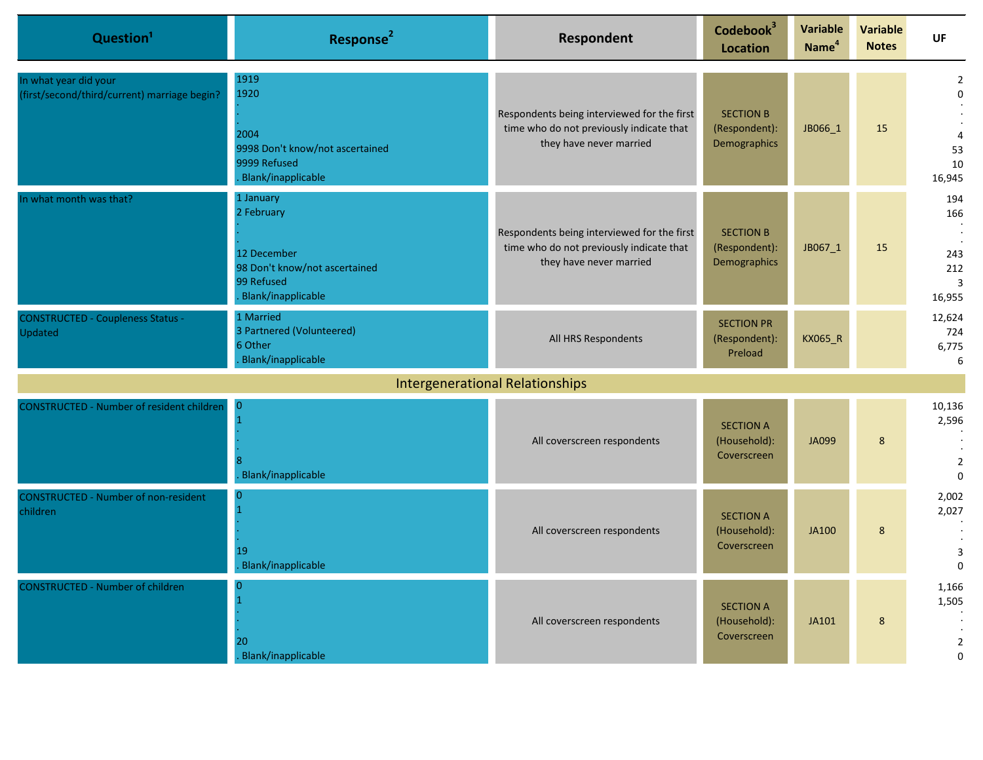| Question <sup>1</sup>                                                 | Response <sup>2</sup>                                                                                       | <b>Respondent</b>                                                                                                  | Codebook <sup>3</sup><br><b>Location</b>          | <b>Variable</b><br>Name <sup>4</sup> | <b>Variable</b><br><b>Notes</b> | UF                                                                           |
|-----------------------------------------------------------------------|-------------------------------------------------------------------------------------------------------------|--------------------------------------------------------------------------------------------------------------------|---------------------------------------------------|--------------------------------------|---------------------------------|------------------------------------------------------------------------------|
| In what year did your<br>(first/second/third/current) marriage begin? | 1919<br>1920<br>2004<br>9998 Don't know/not ascertained<br>9999 Refused<br>Blank/inapplicable               | Respondents being interviewed for the first<br>time who do not previously indicate that<br>they have never married | <b>SECTION B</b><br>(Respondent):<br>Demographics | JB066_1                              | 15                              | $\overline{2}$<br>$\Omega$<br>4<br>53<br>10<br>16,945                        |
| In what month was that?                                               | 1 January<br>2 February<br>12 December<br>98 Don't know/not ascertained<br>99 Refused<br>Blank/inapplicable | Respondents being interviewed for the first<br>time who do not previously indicate that<br>they have never married | <b>SECTION B</b><br>(Respondent):<br>Demographics | JB067_1                              | 15                              | 194<br>166<br>$\ddot{\phantom{a}}$<br>243<br>212<br>$\overline{3}$<br>16,955 |
| <b>CONSTRUCTED - Coupleness Status -</b><br>Updated                   | 1 Married<br>3 Partnered (Volunteered)<br>6 Other<br>Blank/inapplicable                                     | All HRS Respondents                                                                                                | <b>SECTION PR</b><br>(Respondent):<br>Preload     | KX065_R                              |                                 | 12,624<br>724<br>6,775<br>6                                                  |
|                                                                       |                                                                                                             | <b>Intergenerational Relationships</b>                                                                             |                                                   |                                      |                                 |                                                                              |
| <b>CONSTRUCTED - Number of resident children</b>                      | <b>O</b><br>Blank/inapplicable                                                                              | All coverscreen respondents                                                                                        | <b>SECTION A</b><br>(Household):<br>Coverscreen   | <b>JA099</b>                         | $8\phantom{1}$                  | 10,136<br>2,596<br>$\overline{2}$<br>$\Omega$                                |
| <b>CONSTRUCTED - Number of non-resident</b><br>children               | O<br>$\mathbf{1}$<br>19<br><b>Blank/inapplicable</b>                                                        | All coverscreen respondents                                                                                        | <b>SECTION A</b><br>(Household):<br>Coverscreen   | <b>JA100</b>                         | 8                               | 2,002<br>2,027<br>3<br>$\mathbf{0}$                                          |
| <b>CONSTRUCTED - Number of children</b>                               | 20<br>Blank/inapplicable                                                                                    | All coverscreen respondents                                                                                        | <b>SECTION A</b><br>(Household):<br>Coverscreen   | JA101                                | 8                               | 1,166<br>1,505<br>$\overline{2}$<br>$\Omega$                                 |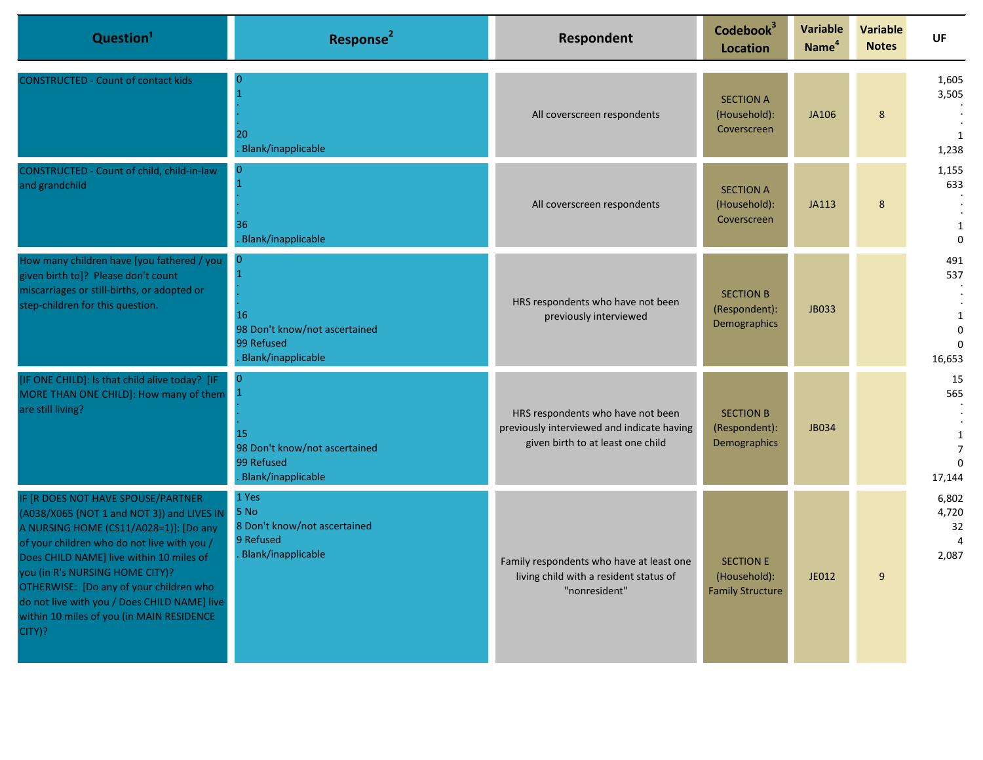| Question <sup>1</sup>                                                                                                                                                                                                                                                                                                                                                                                      | Response <sup>2</sup>                                                                            | <b>Respondent</b>                                                                                                    | Codebook <sup>3</sup><br><b>Location</b>                    | Variable<br>Name <sup>4</sup> | <b>Variable</b><br><b>Notes</b> | UF                                                                |
|------------------------------------------------------------------------------------------------------------------------------------------------------------------------------------------------------------------------------------------------------------------------------------------------------------------------------------------------------------------------------------------------------------|--------------------------------------------------------------------------------------------------|----------------------------------------------------------------------------------------------------------------------|-------------------------------------------------------------|-------------------------------|---------------------------------|-------------------------------------------------------------------|
| <b>CONSTRUCTED - Count of contact kids</b>                                                                                                                                                                                                                                                                                                                                                                 | $\Omega$<br>20<br>Blank/inapplicable                                                             | All coverscreen respondents                                                                                          | <b>SECTION A</b><br>(Household):<br>Coverscreen             | JA106                         | 8                               | 1,605<br>3,505<br>1<br>1,238                                      |
| CONSTRUCTED - Count of child, child-in-law<br>and grandchild                                                                                                                                                                                                                                                                                                                                               | $\overline{0}$<br>36<br><b>Blank/inapplicable</b>                                                | All coverscreen respondents                                                                                          | <b>SECTION A</b><br>(Household):<br>Coverscreen             | <b>JA113</b>                  | 8                               | 1,155<br>633<br>$\mathbf{1}$<br>$\Omega$                          |
| How many children have [you fathered / you<br>given birth to]? Please don't count<br>miscarriages or still-births, or adopted or<br>step-children for this question.                                                                                                                                                                                                                                       | $\mathbf{0}$<br>16<br>98 Don't know/not ascertained<br>99 Refused<br><b>Blank/inapplicable</b>   | HRS respondents who have not been<br>previously interviewed                                                          | <b>SECTION B</b><br>(Respondent):<br>Demographics           | <b>JB033</b>                  |                                 | 491<br>537<br>$\mathbf{1}$<br>$\Omega$<br>$\Omega$<br>16,653      |
| [IF ONE CHILD]: Is that child alive today? [IF<br>MORE THAN ONE CHILD]: How many of them<br>are still living?                                                                                                                                                                                                                                                                                              | $\overline{0}$<br>15<br>98 Don't know/not ascertained<br>99 Refused<br><b>Blank/inapplicable</b> | HRS respondents who have not been<br>previously interviewed and indicate having<br>given birth to at least one child | <b>SECTION B</b><br>(Respondent):<br>Demographics           | <b>JB034</b>                  |                                 | 15<br>565<br>$\mathbf{1}$<br>$\overline{7}$<br>$\Omega$<br>17,144 |
| IF [R DOES NOT HAVE SPOUSE/PARTNER<br>(A038/X065 {NOT 1 and NOT 3}) and LIVES IN<br>A NURSING HOME (CS11/A028=1)]: [Do any<br>of your children who do not live with you /<br>Does CHILD NAME] live within 10 miles of<br>you (in R's NURSING HOME CITY)?<br>OTHERWISE: [Do any of your children who<br>do not live with you / Does CHILD NAME] live<br>within 10 miles of you (in MAIN RESIDENCE<br>CITY)? | 1 Yes<br>5 No<br>8 Don't know/not ascertained<br>9 Refused<br><b>Blank/inapplicable</b>          | Family respondents who have at least one<br>living child with a resident status of<br>"nonresident"                  | <b>SECTION E</b><br>(Household):<br><b>Family Structure</b> | JE012                         | 9                               | 6,802<br>4,720<br>32<br>$\Delta$<br>2,087                         |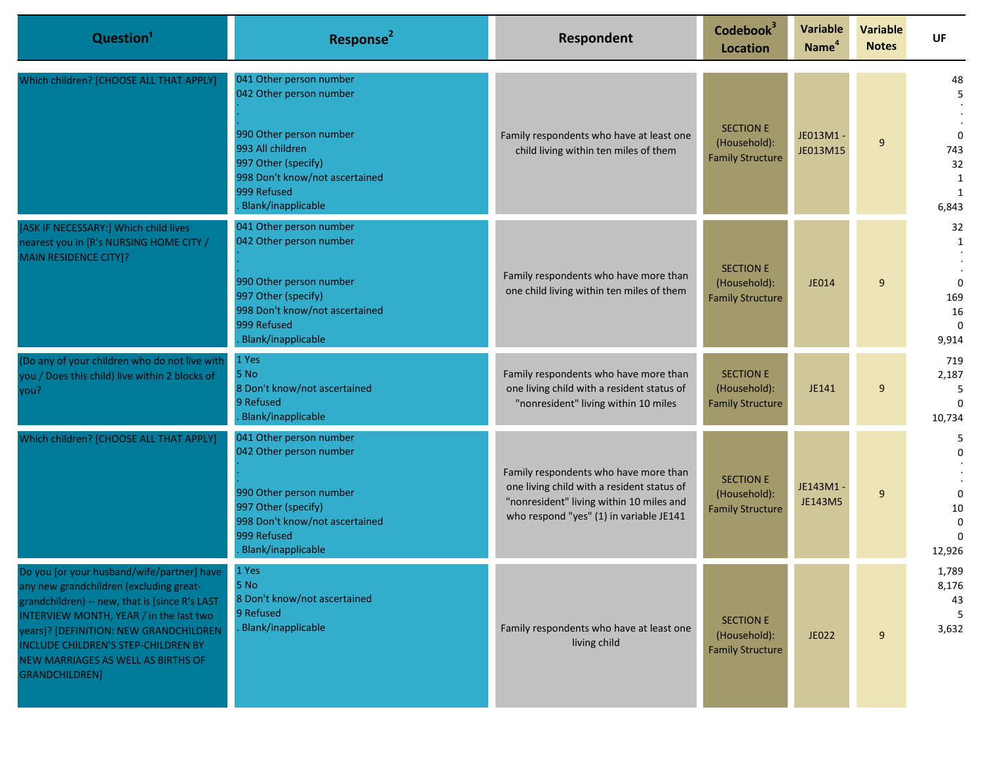| Question <sup>1</sup>                                                                                                                                                                                                                                                                                                       | Response <sup>2</sup>                                                                                                                                                       | Respondent                                                                                                                                                                 | Codebook <sup>3</sup><br><b>Location</b>                    | <b>Variable</b><br>Name <sup>4</sup> | Variable<br><b>Notes</b> | UF                                             |
|-----------------------------------------------------------------------------------------------------------------------------------------------------------------------------------------------------------------------------------------------------------------------------------------------------------------------------|-----------------------------------------------------------------------------------------------------------------------------------------------------------------------------|----------------------------------------------------------------------------------------------------------------------------------------------------------------------------|-------------------------------------------------------------|--------------------------------------|--------------------------|------------------------------------------------|
| Which children? [CHOOSE ALL THAT APPLY]                                                                                                                                                                                                                                                                                     | 041 Other person number<br>042 Other person number                                                                                                                          |                                                                                                                                                                            | <b>SECTION E</b>                                            |                                      |                          | 48<br>5                                        |
|                                                                                                                                                                                                                                                                                                                             | 990 Other person number<br>993 All children<br>997 Other (specify)<br>998 Don't know/not ascertained<br>999 Refused<br>Blank/inapplicable                                   | Family respondents who have at least one<br>child living within ten miles of them                                                                                          | (Household):<br><b>Family Structure</b>                     | JE013M1 -<br>JE013M15                | 9                        | $\Omega$<br>743<br>32<br>1<br>1<br>6,843       |
| [ASK IF NECESSARY:] Which child lives<br>nearest you in [R's NURSING HOME CITY /<br><b>MAIN RESIDENCE CITY]?</b>                                                                                                                                                                                                            | 041 Other person number<br>042 Other person number<br>990 Other person number<br>997 Other (specify)<br>998 Don't know/not ascertained                                      | Family respondents who have more than<br>one child living within ten miles of them                                                                                         | <b>SECTION E</b><br>(Household):<br><b>Family Structure</b> | JE014                                | 9                        | 32<br>1<br>$\Omega$<br>169<br>16               |
|                                                                                                                                                                                                                                                                                                                             | 999 Refused<br>Blank/inapplicable<br>1 Yes                                                                                                                                  |                                                                                                                                                                            |                                                             |                                      |                          | $\Omega$<br>9,914                              |
| (Do any of your children who do not live with<br>you / Does this child) live within 2 blocks of<br>you?                                                                                                                                                                                                                     | 5 No<br>8 Don't know/not ascertained<br>9 Refused<br>Blank/inapplicable                                                                                                     | Family respondents who have more than<br>one living child with a resident status of<br>"nonresident" living within 10 miles                                                | <b>SECTION E</b><br>(Household):<br><b>Family Structure</b> | JE141                                | 9                        | 719<br>2,187<br>5<br>$\Omega$<br>10,734        |
| Which children? [CHOOSE ALL THAT APPLY]                                                                                                                                                                                                                                                                                     | 041 Other person number<br>042 Other person number<br>990 Other person number<br>997 Other (specify)<br>998 Don't know/not ascertained<br>999 Refused<br>Blank/inapplicable | Family respondents who have more than<br>one living child with a resident status of<br>"nonresident" living within 10 miles and<br>who respond "yes" (1) in variable JE141 | <b>SECTION E</b><br>(Household):<br><b>Family Structure</b> | JE143M1 -<br><b>JE143M5</b>          | 9                        | 5<br>0<br>$\Omega$<br>10<br>$\Omega$<br>12,926 |
| Do you [or your husband/wife/partner] have<br>any new grandchildren (excluding great-<br>grandchildren) -- new, that is [since R's LAST<br>INTERVIEW MONTH, YEAR / in the last two<br>years]? [DEFINITION: NEW GRANDCHILDREN<br>INCLUDE CHILDREN'S STEP-CHILDREN BY<br>NEW MARRIAGES AS WELL AS BIRTHS OF<br>GRANDCHILDREN] | 1 Yes<br>5 No<br>8 Don't know/not ascertained<br>9 Refused<br>Blank/inapplicable                                                                                            | Family respondents who have at least one<br>living child                                                                                                                   | <b>SECTION E</b><br>(Household):<br><b>Family Structure</b> | JE022                                | 9                        | 1,789<br>8,176<br>43<br>5<br>3,632             |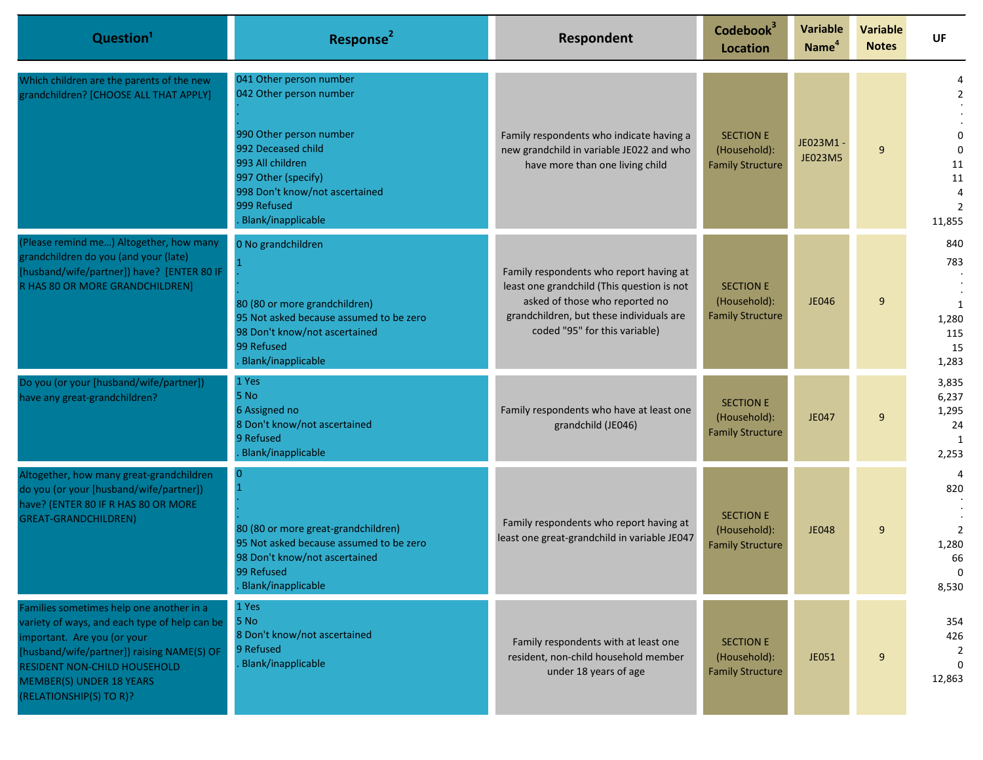| Question <sup>1</sup>                                                                                                                                                                                                                                                       | Response <sup>2</sup>                                                                                                                                                                                                        | Respondent                                                                                                                                                                                           | Codebook <sup>3</sup><br><b>Location</b>                    | <b>Variable</b><br>Name <sup>4</sup> | <b>Variable</b><br><b>Notes</b> | UF                                                       |
|-----------------------------------------------------------------------------------------------------------------------------------------------------------------------------------------------------------------------------------------------------------------------------|------------------------------------------------------------------------------------------------------------------------------------------------------------------------------------------------------------------------------|------------------------------------------------------------------------------------------------------------------------------------------------------------------------------------------------------|-------------------------------------------------------------|--------------------------------------|---------------------------------|----------------------------------------------------------|
| Which children are the parents of the new<br>grandchildren? [CHOOSE ALL THAT APPLY]                                                                                                                                                                                         | 041 Other person number<br>042 Other person number<br>990 Other person number<br>992 Deceased child<br>993 All children<br>997 Other (specify)<br>998 Don't know/not ascertained<br>999 Refused<br><b>Blank/inapplicable</b> | Family respondents who indicate having a<br>new grandchild in variable JE022 and who<br>have more than one living child                                                                              | <b>SECTION E</b><br>(Household):<br><b>Family Structure</b> | JE023M1 -<br>JE023M5                 | 9                               | $\Omega$<br>11<br>11<br>2<br>11,855                      |
| (Please remind me) Altogether, how many<br>grandchildren do you (and your (late)<br>[husband/wife/partner]) have? [ENTER 80 IF<br>R HAS 80 OR MORE GRANDCHILDREN]                                                                                                           | 0 No grandchildren<br>80 (80 or more grandchildren)<br>95 Not asked because assumed to be zero<br>98 Don't know/not ascertained<br>99 Refused<br>Blank/inapplicable                                                          | Family respondents who report having at<br>least one grandchild (This question is not<br>asked of those who reported no<br>grandchildren, but these individuals are<br>coded "95" for this variable) | <b>SECTION E</b><br>(Household):<br><b>Family Structure</b> | <b>JE046</b>                         | 9                               | 840<br>783<br>1<br>1,280<br>115<br>15<br>1,283           |
| Do you (or your [husband/wife/partner])<br>have any great-grandchildren?                                                                                                                                                                                                    | 1 Yes<br>5 No<br>6 Assigned no<br>8 Don't know/not ascertained<br>9 Refused<br>Blank/inapplicable                                                                                                                            | Family respondents who have at least one<br>grandchild (JE046)                                                                                                                                       | <b>SECTION E</b><br>(Household):<br><b>Family Structure</b> | JE047                                | 9                               | 3,835<br>6,237<br>1,295<br>24<br>$\overline{1}$<br>2,253 |
| Altogether, how many great-grandchildren<br>do you (or your [husband/wife/partner])<br>have? (ENTER 80 IF R HAS 80 OR MORE<br><b>GREAT-GRANDCHILDREN)</b>                                                                                                                   | $\overline{0}$<br>80 (80 or more great-grandchildren)<br>95 Not asked because assumed to be zero<br>98 Don't know/not ascertained<br>99 Refused<br><b>Blank/inapplicable</b>                                                 | Family respondents who report having at<br>least one great-grandchild in variable JE047                                                                                                              | <b>SECTION E</b><br>(Household):<br><b>Family Structure</b> | <b>JE048</b>                         | 9                               | 820<br>$\overline{2}$<br>1,280<br>66<br>8,530            |
| Families sometimes help one another in a<br>variety of ways, and each type of help can be<br>important. Are you (or your<br>[husband/wife/partner]) raising NAME(S) OF<br><b>RESIDENT NON-CHILD HOUSEHOLD</b><br><b>MEMBER(S) UNDER 18 YEARS</b><br>(RELATIONSHIP(S) TO R)? | 1 Yes<br>5 No<br>8 Don't know/not ascertained<br>9 Refused<br><b>Blank/inapplicable</b>                                                                                                                                      | Family respondents with at least one<br>resident, non-child household member<br>under 18 years of age                                                                                                | <b>SECTION E</b><br>(Household):<br><b>Family Structure</b> | JE051                                | 9                               | 354<br>426<br>12,863                                     |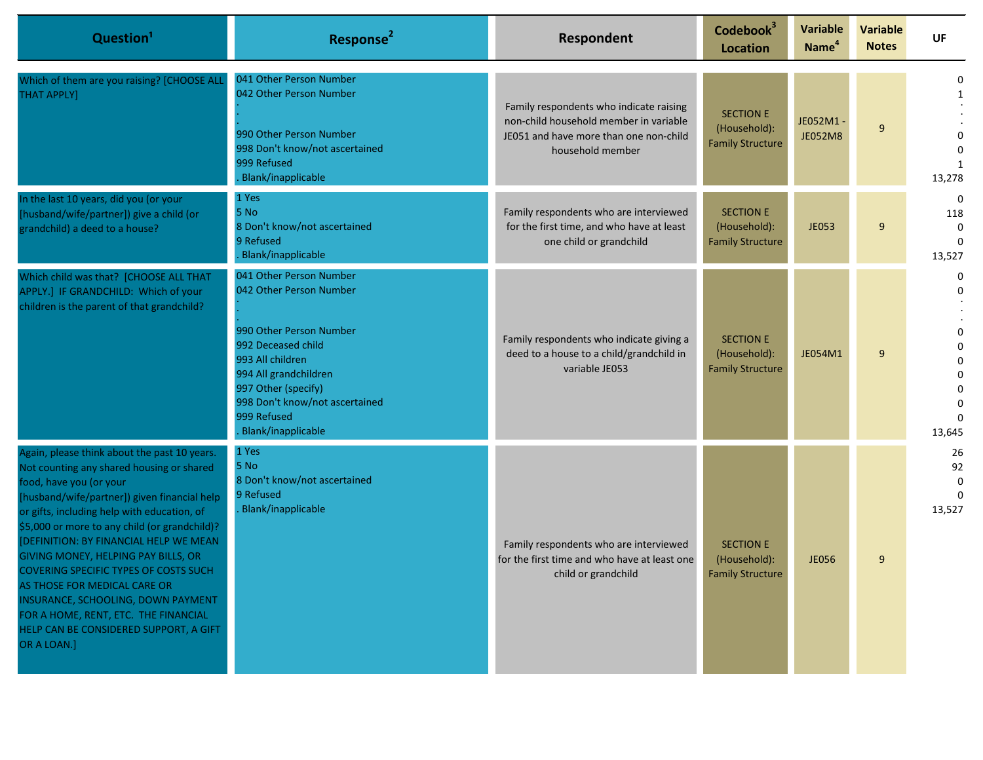| Question <sup>1</sup>                                                                                                                                                                                                                                                                                                                                                                                                                                                                                                                                                        | Response <sup>2</sup>                                                                                                                                                                                                                          | Respondent                                                                                                                                      | Codebook <sup>3</sup><br><b>Location</b>                    | <b>Variable</b><br>Name <sup>4</sup> | <b>Variable</b><br><b>Notes</b> | UF                                                                            |
|------------------------------------------------------------------------------------------------------------------------------------------------------------------------------------------------------------------------------------------------------------------------------------------------------------------------------------------------------------------------------------------------------------------------------------------------------------------------------------------------------------------------------------------------------------------------------|------------------------------------------------------------------------------------------------------------------------------------------------------------------------------------------------------------------------------------------------|-------------------------------------------------------------------------------------------------------------------------------------------------|-------------------------------------------------------------|--------------------------------------|---------------------------------|-------------------------------------------------------------------------------|
| Which of them are you raising? [CHOOSE ALL<br><b>THAT APPLY]</b>                                                                                                                                                                                                                                                                                                                                                                                                                                                                                                             | 041 Other Person Number<br>042 Other Person Number<br>990 Other Person Number<br>998 Don't know/not ascertained<br>999 Refused<br>Blank/inapplicable                                                                                           | Family respondents who indicate raising<br>non-child household member in variable<br>JE051 and have more than one non-child<br>household member | <b>SECTION E</b><br>(Household):<br><b>Family Structure</b> | JE052M1-<br><b>JE052M8</b>           | 9                               | 0<br>$\Omega$<br>13,278                                                       |
| In the last 10 years, did you (or your<br>[husband/wife/partner]) give a child (or<br>grandchild) a deed to a house?                                                                                                                                                                                                                                                                                                                                                                                                                                                         | 1 Yes<br>5 No<br>8 Don't know/not ascertained<br>9 Refused<br>Blank/inapplicable                                                                                                                                                               | Family respondents who are interviewed<br>for the first time, and who have at least<br>one child or grandchild                                  | <b>SECTION E</b><br>(Household):<br><b>Family Structure</b> | <b>JE053</b>                         | 9                               | $\Omega$<br>118<br>$\mathbf 0$<br>13,527                                      |
| Which child was that? [CHOOSE ALL THAT<br>APPLY.] IF GRANDCHILD: Which of your<br>children is the parent of that grandchild?                                                                                                                                                                                                                                                                                                                                                                                                                                                 | 041 Other Person Number<br>042 Other Person Number<br>990 Other Person Number<br>992 Deceased child<br>993 All children<br>994 All grandchildren<br>997 Other (specify)<br>998 Don't know/not ascertained<br>999 Refused<br>Blank/inapplicable | Family respondents who indicate giving a<br>deed to a house to a child/grandchild in<br>variable JE053                                          | <b>SECTION E</b><br>(Household):<br><b>Family Structure</b> | JE054M1                              | 9                               | 0<br>0<br>0<br>$\Omega$<br>$\Omega$<br>0<br>$\mathbf 0$<br>$\Omega$<br>13,645 |
| Again, please think about the past 10 years.<br>Not counting any shared housing or shared<br>food, have you (or your<br>[husband/wife/partner]) given financial help<br>or gifts, including help with education, of<br>\$5,000 or more to any child (or grandchild)?<br>[DEFINITION: BY FINANCIAL HELP WE MEAN<br>GIVING MONEY, HELPING PAY BILLS, OR<br><b>COVERING SPECIFIC TYPES OF COSTS SUCH</b><br>AS THOSE FOR MEDICAL CARE OR<br>INSURANCE, SCHOOLING, DOWN PAYMENT<br>FOR A HOME, RENT, ETC. THE FINANCIAL<br>HELP CAN BE CONSIDERED SUPPORT, A GIFT<br>OR A LOAN.] | 1 Yes<br>5 No<br>8 Don't know/not ascertained<br>9 Refused<br>Blank/inapplicable                                                                                                                                                               | Family respondents who are interviewed<br>for the first time and who have at least one<br>child or grandchild                                   | <b>SECTION E</b><br>(Household):<br><b>Family Structure</b> | <b>JE056</b>                         | 9                               | 26<br>92<br>$\Omega$<br>13,527                                                |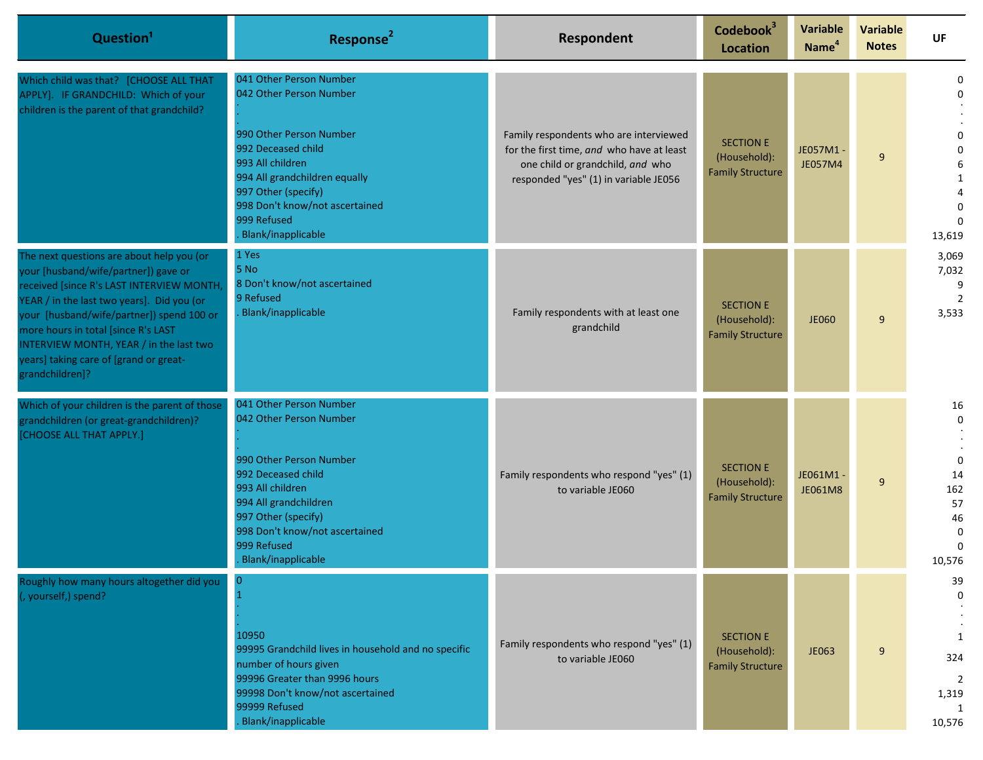| Question <sup>1</sup>                                                                                                                                                                                                                                                                                                                                                   | Response <sup>2</sup>                                                                                                                                                                                                                                         | Respondent                                                                                                                                                       | Codebook <sup>3</sup><br>Location                           | <b>Variable</b><br>Name <sup>4</sup> | <b>Variable</b><br><b>Notes</b> | <b>UF</b>                                                                          |
|-------------------------------------------------------------------------------------------------------------------------------------------------------------------------------------------------------------------------------------------------------------------------------------------------------------------------------------------------------------------------|---------------------------------------------------------------------------------------------------------------------------------------------------------------------------------------------------------------------------------------------------------------|------------------------------------------------------------------------------------------------------------------------------------------------------------------|-------------------------------------------------------------|--------------------------------------|---------------------------------|------------------------------------------------------------------------------------|
| Which child was that? [CHOOSE ALL THAT<br>APPLY]. IF GRANDCHILD: Which of your<br>children is the parent of that grandchild?                                                                                                                                                                                                                                            | 041 Other Person Number<br>042 Other Person Number<br>990 Other Person Number<br>992 Deceased child<br>993 All children<br>994 All grandchildren equally<br>997 Other (specify)<br>998 Don't know/not ascertained<br>999 Refused<br><b>Blank/inapplicable</b> | Family respondents who are interviewed<br>for the first time, and who have at least<br>one child or grandchild, and who<br>responded "yes" (1) in variable JE056 | <b>SECTION E</b><br>(Household):<br><b>Family Structure</b> | JE057M1-<br>JE057M4                  | 9                               | $\Omega$<br>1<br>$\mathbf 0$<br>13,619                                             |
| The next questions are about help you (or<br>your [husband/wife/partner]) gave or<br>received [since R's LAST INTERVIEW MONTH<br>YEAR / in the last two years]. Did you (or<br>your [husband/wife/partner]) spend 100 or<br>more hours in total [since R's LAST<br>INTERVIEW MONTH, YEAR / in the last two<br>years] taking care of [grand or great-<br>grandchildren]? | 1 Yes<br>5 No<br>8 Don't know/not ascertained<br>9 Refused<br>Blank/inapplicable                                                                                                                                                                              | Family respondents with at least one<br>grandchild                                                                                                               | <b>SECTION E</b><br>(Household):<br><b>Family Structure</b> | <b>JE060</b>                         | 9                               | 3,069<br>7,032<br>9<br>$\overline{2}$<br>3,533                                     |
| Which of your children is the parent of those<br>grandchildren (or great-grandchildren)?<br>[CHOOSE ALL THAT APPLY.]                                                                                                                                                                                                                                                    | 041 Other Person Number<br>042 Other Person Number<br>990 Other Person Number<br>992 Deceased child<br>993 All children<br>994 All grandchildren<br>997 Other (specify)<br>998 Don't know/not ascertained<br>999 Refused<br>Blank/inapplicable                | Family respondents who respond "yes" (1)<br>to variable JE060                                                                                                    | <b>SECTION E</b><br>(Household):<br><b>Family Structure</b> | JE061M1-<br>JE061M8                  | 9                               | 16<br>$\mathbf 0$<br>$\Omega$<br>14<br>162<br>57<br>46<br>$\mathbf 0$<br>10,576    |
| Roughly how many hours altogether did you<br>(, yourself,) spend?                                                                                                                                                                                                                                                                                                       | $\bf{0}$<br>$\mathbf{1}$<br>10950<br>99995 Grandchild lives in household and no specific<br>number of hours given<br>99996 Greater than 9996 hours<br>99998 Don't know/not ascertained<br>99999 Refused<br>Blank/inapplicable                                 | Family respondents who respond "yes" (1)<br>to variable JE060                                                                                                    | <b>SECTION E</b><br>(Household):<br><b>Family Structure</b> | JE063                                | 9                               | 39<br>$\mathbf 0$<br>$\mathbf{1}$<br>324<br>$\overline{2}$<br>1,319<br>1<br>10,576 |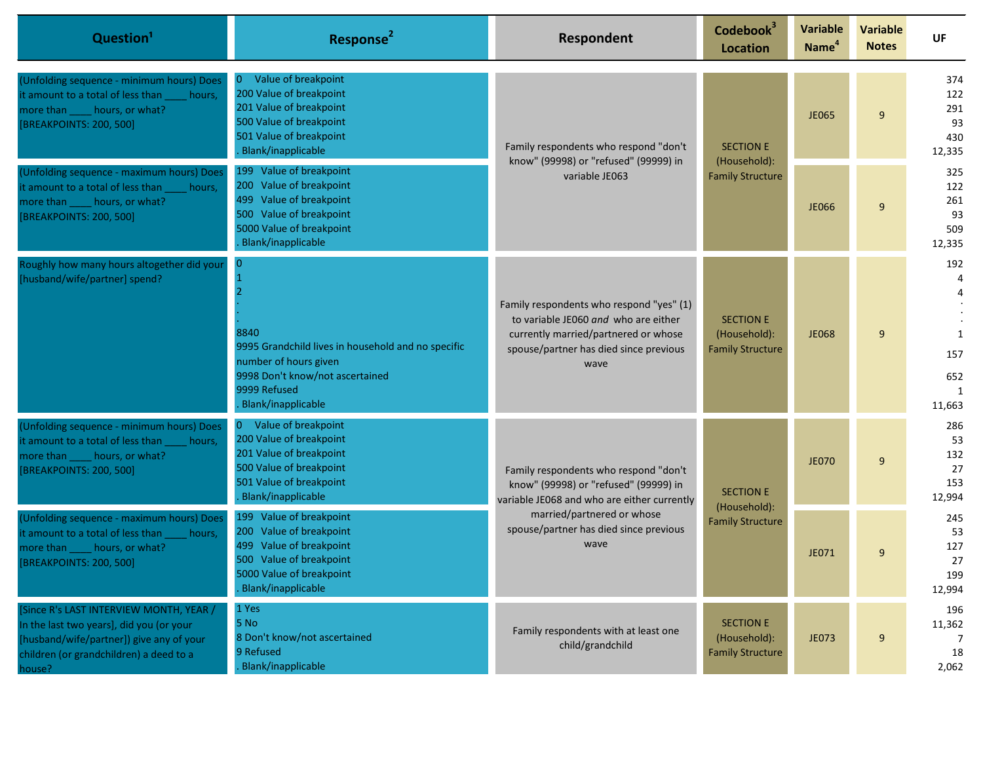| Question <sup>1</sup>                                                                                                                                                                | Response <sup>2</sup>                                                                                                                                                                                                                                                                                        | Respondent                                                                                                                                                                 | Codebook <sup>3</sup><br><b>Location</b>                    | <b>Variable</b><br>Name <sup>4</sup> | <b>Variable</b><br><b>Notes</b> | UF                                       |
|--------------------------------------------------------------------------------------------------------------------------------------------------------------------------------------|--------------------------------------------------------------------------------------------------------------------------------------------------------------------------------------------------------------------------------------------------------------------------------------------------------------|----------------------------------------------------------------------------------------------------------------------------------------------------------------------------|-------------------------------------------------------------|--------------------------------------|---------------------------------|------------------------------------------|
| (Unfolding sequence - minimum hours) Does<br>it amount to a total of less than<br>hours,<br>more than _____ hours, or what?<br>[BREAKPOINTS: 200, 500]                               | Value of breakpoint<br>200 Value of breakpoint<br>201 Value of breakpoint<br>500 Value of breakpoint<br>501 Value of breakpoint<br>Blank/inapplicable                                                                                                                                                        | Family respondents who respond "don't<br>know" (99998) or "refused" (99999) in<br>variable JE063                                                                           | <b>SECTION E</b><br>(Household):                            | <b>JE065</b>                         | 9                               | 374<br>122<br>291<br>93<br>430<br>12,335 |
| (Unfolding sequence - maximum hours) Does<br>it amount to a total of less than<br>hours,<br>more than _____ hours, or what?<br>[BREAKPOINTS: 200, 500]                               | 199 Value of breakpoint<br>200 Value of breakpoint<br>499 Value of breakpoint<br>500 Value of breakpoint<br>5000 Value of breakpoint<br>Blank/inapplicable                                                                                                                                                   |                                                                                                                                                                            |                                                             | <b>Family Structure</b>              | <b>JE066</b>                    | 9                                        |
| Roughly how many hours altogether did your<br>[husband/wife/partner] spend?                                                                                                          | 8840<br>9995 Grandchild lives in household and no specific<br>number of hours given<br>9998 Don't know/not ascertained<br>9999 Refused<br>Blank/inapplicable                                                                                                                                                 | Family respondents who respond "yes" (1)<br>to variable JE060 and who are either<br>currently married/partnered or whose<br>spouse/partner has died since previous<br>wave | <b>SECTION E</b><br>(Household):<br><b>Family Structure</b> | <b>JE068</b>                         | 9                               | 192<br>1<br>157<br>652<br>1<br>11,663    |
| (Unfolding sequence - minimum hours) Does<br>it amount to a total of less than<br>hours,<br>more than _____ hours, or what?<br>[BREAKPOINTS: 200, 500]                               | 0 Value of breakpoint<br>200 Value of breakpoint<br>201 Value of breakpoint<br>500 Value of breakpoint<br>Family respondents who respond "don't<br>501 Value of breakpoint<br>know" (99998) or "refused" (99999) in<br><b>SECTION E</b><br>Blank/inapplicable<br>variable JE068 and who are either currently | married/partnered or whose<br>spouse/partner has died since previous<br>wave                                                                                               | (Household):                                                | <b>JE070</b>                         | 9                               | 286<br>53<br>132<br>27<br>153<br>12,994  |
| (Unfolding sequence - maximum hours) Does<br>it amount to a total of less than<br>hours,<br>hours, or what?<br>more than<br>[BREAKPOINTS: 200, 500]                                  | 199 Value of breakpoint<br>200 Value of breakpoint<br>499 Value of breakpoint<br>500 Value of breakpoint<br>5000 Value of breakpoint<br>Blank/inapplicable                                                                                                                                                   |                                                                                                                                                                            | <b>Family Structure</b>                                     | JE071                                | 9                               | 245<br>53<br>127<br>27<br>199<br>12,994  |
| [Since R's LAST INTERVIEW MONTH, YEAR /<br>In the last two years], did you (or your<br>[husband/wife/partner]) give any of your<br>children (or grandchildren) a deed to a<br>house? | 1 Yes<br>5 No<br>8 Don't know/not ascertained<br>9 Refused<br>Blank/inapplicable                                                                                                                                                                                                                             | Family respondents with at least one<br>child/grandchild                                                                                                                   | <b>SECTION E</b><br>(Household):<br><b>Family Structure</b> | JE073                                | 9                               | 196<br>11,362<br>7<br>18<br>2,062        |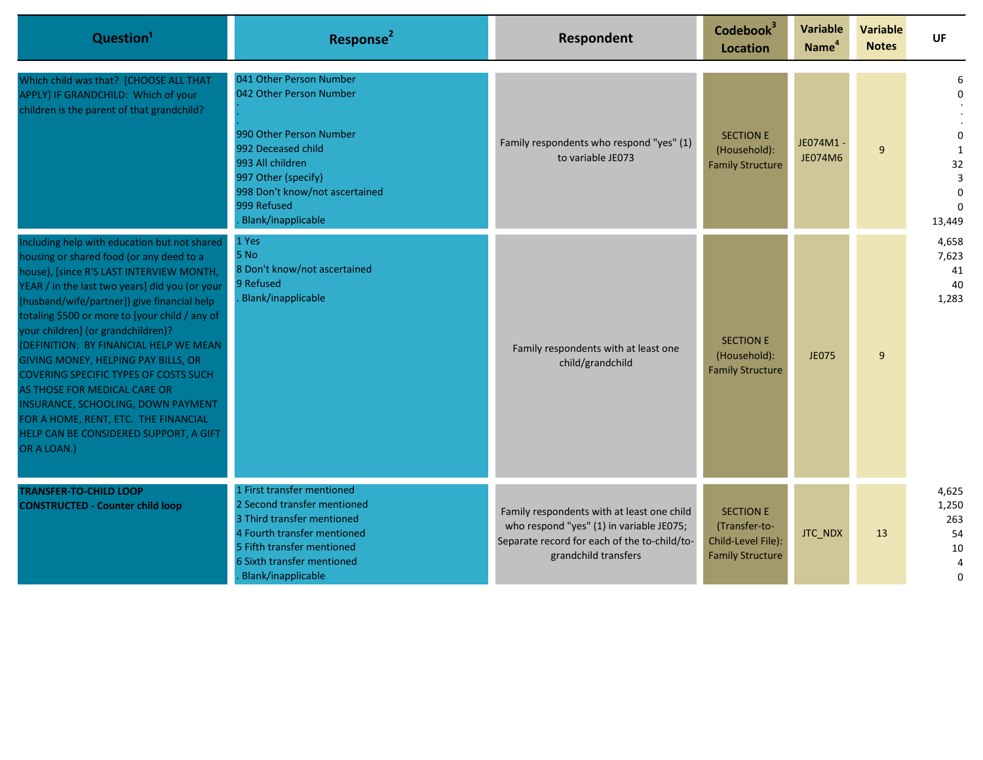| Question <sup>1</sup>                                                                                                                                                                                                                                                                                                                                                                                                                                                                                                                                                                                                                 | Response <sup>2</sup>                                                                                                                                                                                                 | Respondent                                                                                                                                                     | Codebook <sup>3</sup><br><b>Location</b>                                           | <b>Variable</b><br>Name <sup>4</sup> | <b>Variable</b><br><b>Notes</b> | <b>UF</b>                                   |
|---------------------------------------------------------------------------------------------------------------------------------------------------------------------------------------------------------------------------------------------------------------------------------------------------------------------------------------------------------------------------------------------------------------------------------------------------------------------------------------------------------------------------------------------------------------------------------------------------------------------------------------|-----------------------------------------------------------------------------------------------------------------------------------------------------------------------------------------------------------------------|----------------------------------------------------------------------------------------------------------------------------------------------------------------|------------------------------------------------------------------------------------|--------------------------------------|---------------------------------|---------------------------------------------|
| Which child was that? [CHOOSE ALL THAT<br>APPLY] IF GRANDCHILD: Which of your<br>children is the parent of that grandchild?                                                                                                                                                                                                                                                                                                                                                                                                                                                                                                           | 041 Other Person Number<br>042 Other Person Number<br>990 Other Person Number<br>992 Deceased child<br>993 All children<br>997 Other (specify)<br>998 Don't know/not ascertained<br>999 Refused<br>Blank/inapplicable | Family respondents who respond "yes" (1)<br>to variable JE073                                                                                                  | <b>SECTION E</b><br>(Household):<br><b>Family Structure</b>                        | JE074M1 -<br><b>JE074M6</b>          | 9                               | 6<br>32<br>3<br>$\Omega$<br>13,449          |
| Including help with education but not shared<br>housing or shared food (or any deed to a<br>house), [since R'S LAST INTERVIEW MONTH,<br>YEAR / in the last two years] did you (or your<br>[husband/wife/partner]) give financial help<br>totaling \$500 or more to [your child / any of<br>your children] (or grandchildren)?<br>(DEFINITION: BY FINANCIAL HELP WE MEAN<br>GIVING MONEY, HELPING PAY BILLS, OR<br><b>COVERING SPECIFIC TYPES OF COSTS SUCH</b><br>AS THOSE FOR MEDICAL CARE OR<br>INSURANCE, SCHOOLING, DOWN PAYMENT<br>FOR A HOME, RENT, ETC. THE FINANCIAL<br>HELP CAN BE CONSIDERED SUPPORT, A GIFT<br>OR A LOAN.) | 1 Yes<br>5 No<br>8 Don't know/not ascertained<br>9 Refused<br>Blank/inapplicable                                                                                                                                      | Family respondents with at least one<br>child/grandchild                                                                                                       | <b>SECTION E</b><br>(Household):<br><b>Family Structure</b>                        | <b>JE075</b>                         | 9                               | 4,658<br>7,623<br>41<br>40<br>1,283         |
| <b>TRANSFER-TO-CHILD LOOP</b><br><b>CONSTRUCTED - Counter child loop</b>                                                                                                                                                                                                                                                                                                                                                                                                                                                                                                                                                              | 1 First transfer mentioned<br>2 Second transfer mentioned<br>3 Third transfer mentioned<br>4 Fourth transfer mentioned<br>5 Fifth transfer mentioned<br>6 Sixth transfer mentioned<br>Blank/inapplicable              | Family respondents with at least one child<br>who respond "yes" (1) in variable JE075;<br>Separate record for each of the to-child/to-<br>grandchild transfers | <b>SECTION E</b><br>(Transfer-to-<br>Child-Level File):<br><b>Family Structure</b> | JTC_NDX                              | 13                              | 4,625<br>1,250<br>263<br>54<br>10<br>4<br>0 |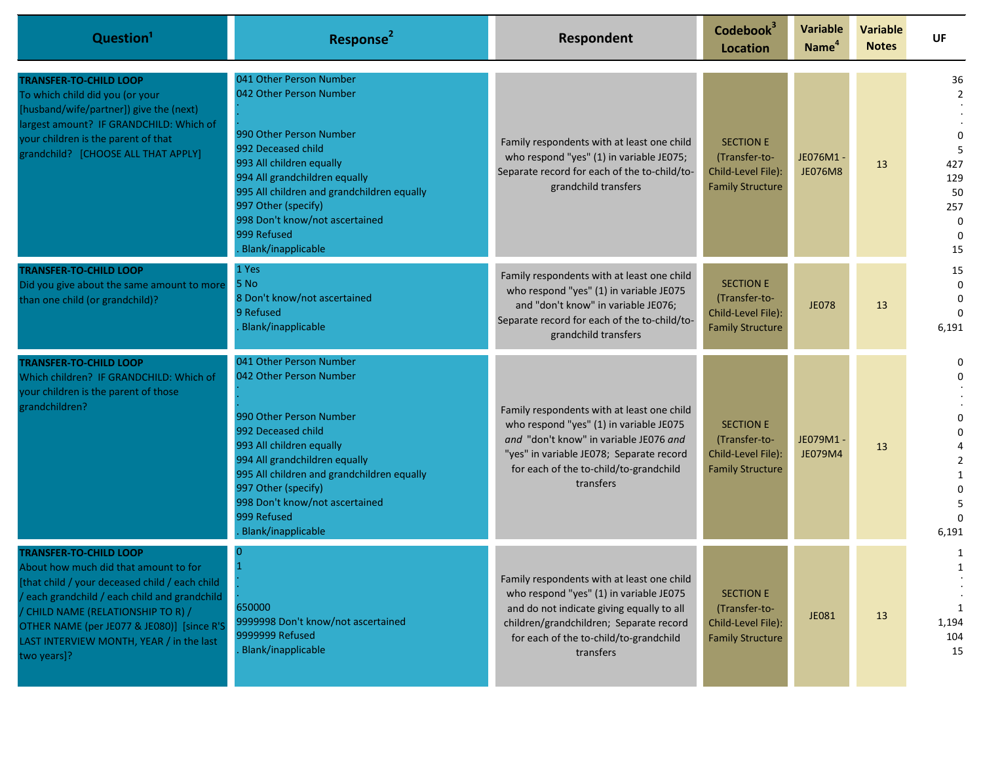| Question <sup>1</sup>                                                                                                                                                                                                                                                                                                    | Response <sup>2</sup>                                                                                                                                                                                                                                                                                        | Respondent                                                                                                                                                                                                                           | Codebook <sup>3</sup><br><b>Location</b>                                           | <b>Variable</b><br>Name <sup>4</sup> | <b>Variable</b><br><b>Notes</b> | <b>UF</b>                                                       |
|--------------------------------------------------------------------------------------------------------------------------------------------------------------------------------------------------------------------------------------------------------------------------------------------------------------------------|--------------------------------------------------------------------------------------------------------------------------------------------------------------------------------------------------------------------------------------------------------------------------------------------------------------|--------------------------------------------------------------------------------------------------------------------------------------------------------------------------------------------------------------------------------------|------------------------------------------------------------------------------------|--------------------------------------|---------------------------------|-----------------------------------------------------------------|
| <b>TRANSFER-TO-CHILD LOOP</b><br>To which child did you (or your<br>[husband/wife/partner]) give the (next)<br>largest amount? IF GRANDCHILD: Which of<br>your children is the parent of that<br>grandchild? [CHOOSE ALL THAT APPLY]                                                                                     | 041 Other Person Number<br>042 Other Person Number<br>990 Other Person Number<br>992 Deceased child<br>993 All children equally<br>994 All grandchildren equally<br>995 All children and grandchildren equally<br>997 Other (specify)<br>998 Don't know/not ascertained<br>999 Refused<br>Blank/inapplicable | Family respondents with at least one child<br>who respond "yes" (1) in variable JE075;<br>Separate record for each of the to-child/to-<br>grandchild transfers                                                                       | <b>SECTION E</b><br>(Transfer-to-<br>Child-Level File):<br><b>Family Structure</b> | JE076M1 -<br><b>JE076M8</b>          | 13                              | 36<br>2<br>-5<br>427<br>129<br>50<br>257<br>0<br>$\Omega$<br>15 |
| <b>TRANSFER-TO-CHILD LOOP</b><br>Did you give about the same amount to more<br>than one child (or grandchild)?                                                                                                                                                                                                           | 1 Yes<br>5 No<br>8 Don't know/not ascertained<br>9 Refused<br>Blank/inapplicable                                                                                                                                                                                                                             | Family respondents with at least one child<br>who respond "yes" (1) in variable JE075<br>and "don't know" in variable JE076;<br>Separate record for each of the to-child/to-<br>grandchild transfers                                 | <b>SECTION E</b><br>(Transfer-to-<br>Child-Level File):<br><b>Family Structure</b> | <b>JE078</b>                         | 13                              | 15<br>$\Omega$<br>6,191                                         |
| <b>TRANSFER-TO-CHILD LOOP</b><br>Which children? IF GRANDCHILD: Which of<br>your children is the parent of those<br>grandchildren?                                                                                                                                                                                       | 041 Other Person Number<br>042 Other Person Number<br>990 Other Person Number<br>992 Deceased child<br>993 All children equally<br>994 All grandchildren equally<br>995 All children and grandchildren equally<br>997 Other (specify)<br>998 Don't know/not ascertained<br>999 Refused<br>Blank/inapplicable | Family respondents with at least one child<br>who respond "yes" (1) in variable JE075<br>and "don't know" in variable JE076 and<br>"yes" in variable JE078; Separate record<br>for each of the to-child/to-grandchild<br>transfers   | <b>SECTION E</b><br>(Transfer-to-<br>Child-Level File):<br><b>Family Structure</b> | JE079M1 -<br>JE079M4                 | 13                              | 0<br>6,191                                                      |
| <b>TRANSFER-TO-CHILD LOOP</b><br>About how much did that amount to for<br>[that child / your deceased child / each child<br>/ each grandchild / each child and grandchild<br>/ CHILD NAME (RELATIONSHIP TO R) /<br>OTHER NAME (per JE077 & JE080)] [since R'S<br>LAST INTERVIEW MONTH, YEAR / in the last<br>two years]? | 0<br>650000<br>9999998 Don't know/not ascertained<br>9999999 Refused<br>Blank/inapplicable                                                                                                                                                                                                                   | Family respondents with at least one child<br>who respond "yes" (1) in variable JE075<br>and do not indicate giving equally to all<br>children/grandchildren; Separate record<br>for each of the to-child/to-grandchild<br>transfers | <b>SECTION E</b><br>(Transfer-to-<br>Child-Level File):<br><b>Family Structure</b> | <b>JE081</b>                         | 13                              | 1<br>1<br>1,194<br>104<br>15                                    |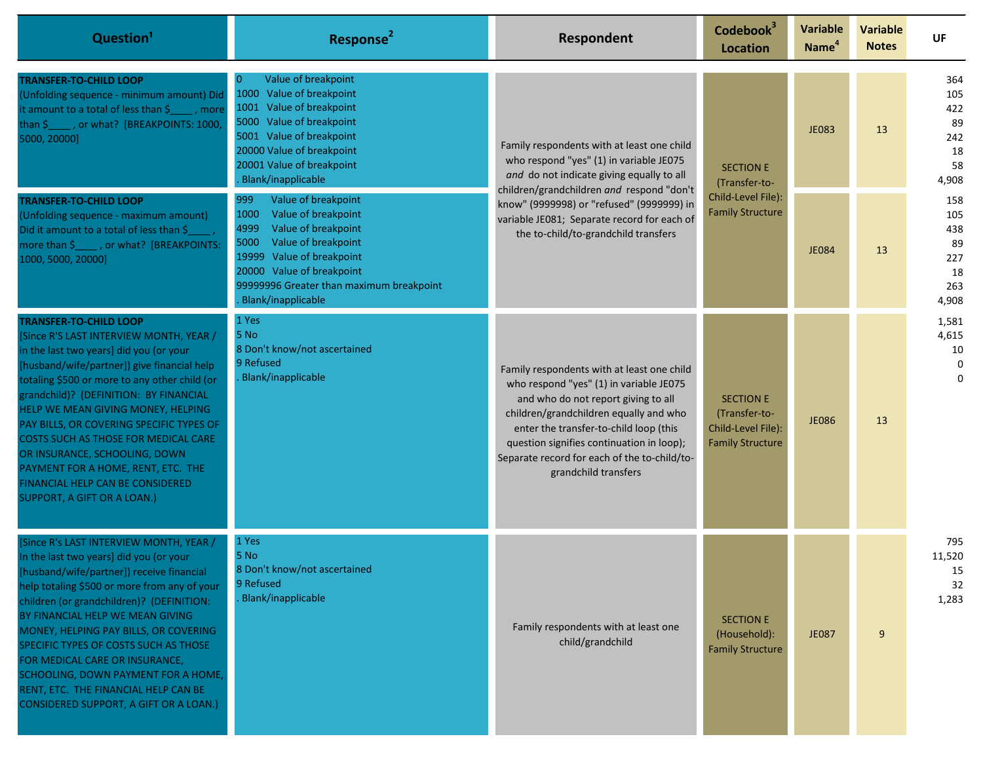| Question <sup>1</sup>                                                                                                                                                                                                                                                                                                                                                                                                                                                                                                             | Response <sup>2</sup>                                                                                                                                                                                                                               | Respondent                                                                                                                                                                                                                                                                                                                            | Codebook <sup>3</sup><br>Location                                                  | <b>Variable</b><br>Name <sup>4</sup> | <b>Variable</b><br><b>Notes</b> | <b>UF</b>                                            |                                                     |
|-----------------------------------------------------------------------------------------------------------------------------------------------------------------------------------------------------------------------------------------------------------------------------------------------------------------------------------------------------------------------------------------------------------------------------------------------------------------------------------------------------------------------------------|-----------------------------------------------------------------------------------------------------------------------------------------------------------------------------------------------------------------------------------------------------|---------------------------------------------------------------------------------------------------------------------------------------------------------------------------------------------------------------------------------------------------------------------------------------------------------------------------------------|------------------------------------------------------------------------------------|--------------------------------------|---------------------------------|------------------------------------------------------|-----------------------------------------------------|
| <b>TRANSFER-TO-CHILD LOOP</b><br>(Unfolding sequence - minimum amount) Did<br>it amount to a total of less than \$ _____, more<br>than \$ _____, or what? [BREAKPOINTS: 1000,<br>5000, 20000]                                                                                                                                                                                                                                                                                                                                     | Value of breakpoint<br><b>O</b><br>Value of breakpoint<br>1000<br>Value of breakpoint<br>1001<br>5000 Value of breakpoint<br>5001 Value of breakpoint<br>20000 Value of breakpoint<br>20001 Value of breakpoint<br>Blank/inapplicable               | Family respondents with at least one child<br>who respond "yes" (1) in variable JE075<br>and do not indicate giving equally to all<br>children/grandchildren and respond "don't<br>know" (9999998) or "refused" (9999999) in<br>variable JE081; Separate record for each of<br>the to-child/to-grandchild transfers                   |                                                                                    | <b>SECTION E</b><br>(Transfer-to-    | <b>JE083</b>                    | 13                                                   | 364<br>105<br>422<br>89<br>242<br>18<br>58<br>4,908 |
| <b>TRANSFER-TO-CHILD LOOP</b><br>(Unfolding sequence - maximum amount)<br>Did it amount to a total of less than \$<br>more than \$_____, or what? [BREAKPOINTS:<br>1000, 5000, 20000]                                                                                                                                                                                                                                                                                                                                             | 999<br>Value of breakpoint<br>Value of breakpoint<br>1000<br>Value of breakpoint<br>4999<br>Value of breakpoint<br>5000<br>19999 Value of breakpoint<br>20000 Value of breakpoint<br>99999996 Greater than maximum breakpoint<br>Blank/inapplicable |                                                                                                                                                                                                                                                                                                                                       | Child-Level File):<br><b>Family Structure</b>                                      | <b>JE084</b>                         | 13                              | 158<br>105<br>438<br>89<br>227<br>18<br>263<br>4,908 |                                                     |
| <b>TRANSFER-TO-CHILD LOOP</b><br>[Since R'S LAST INTERVIEW MONTH, YEAR /<br>in the last two years] did you (or your<br>[husband/wife/partner]) give financial help<br>totaling \$500 or more to any other child (or<br>grandchild)? (DEFINITION: BY FINANCIAL<br>HELP WE MEAN GIVING MONEY, HELPING<br>PAY BILLS, OR COVERING SPECIFIC TYPES OF<br>COSTS SUCH AS THOSE FOR MEDICAL CARE<br>OR INSURANCE, SCHOOLING, DOWN<br>PAYMENT FOR A HOME, RENT, ETC. THE<br>FINANCIAL HELP CAN BE CONSIDERED<br>SUPPORT, A GIFT OR A LOAN.) | 1 Yes<br>5 No<br>8 Don't know/not ascertained<br>9 Refused<br>Blank/inapplicable                                                                                                                                                                    | Family respondents with at least one child<br>who respond "yes" (1) in variable JE075<br>and who do not report giving to all<br>children/grandchildren equally and who<br>enter the transfer-to-child loop (this<br>question signifies continuation in loop);<br>Separate record for each of the to-child/to-<br>grandchild transfers | <b>SECTION E</b><br>(Transfer-to-<br>Child-Level File):<br><b>Family Structure</b> | <b>JE086</b>                         | 13                              | 1,581<br>4,615<br>10<br>0<br>$\mathbf 0$             |                                                     |
| [Since R's LAST INTERVIEW MONTH, YEAR /<br>In the last two years] did you (or your<br>[husband/wife/partner]) receive financial<br>help totaling \$500 or more from any of your<br>children (or grandchildren)? (DEFINITION:<br>BY FINANCIAL HELP WE MEAN GIVING<br>MONEY, HELPING PAY BILLS, OR COVERING<br>SPECIFIC TYPES OF COSTS SUCH AS THOSE<br>FOR MEDICAL CARE OR INSURANCE,<br>SCHOOLING, DOWN PAYMENT FOR A HOME,<br>RENT, ETC. THE FINANCIAL HELP CAN BE<br>CONSIDERED SUPPORT, A GIFT OR A LOAN.)                     | 1 Yes<br>5 No<br>8 Don't know/not ascertained<br>9 Refused<br>Blank/inapplicable                                                                                                                                                                    | Family respondents with at least one<br>child/grandchild                                                                                                                                                                                                                                                                              | <b>SECTION E</b><br>(Household):<br><b>Family Structure</b>                        | <b>JE087</b>                         | 9                               | 795<br>11,520<br>15<br>32<br>1,283                   |                                                     |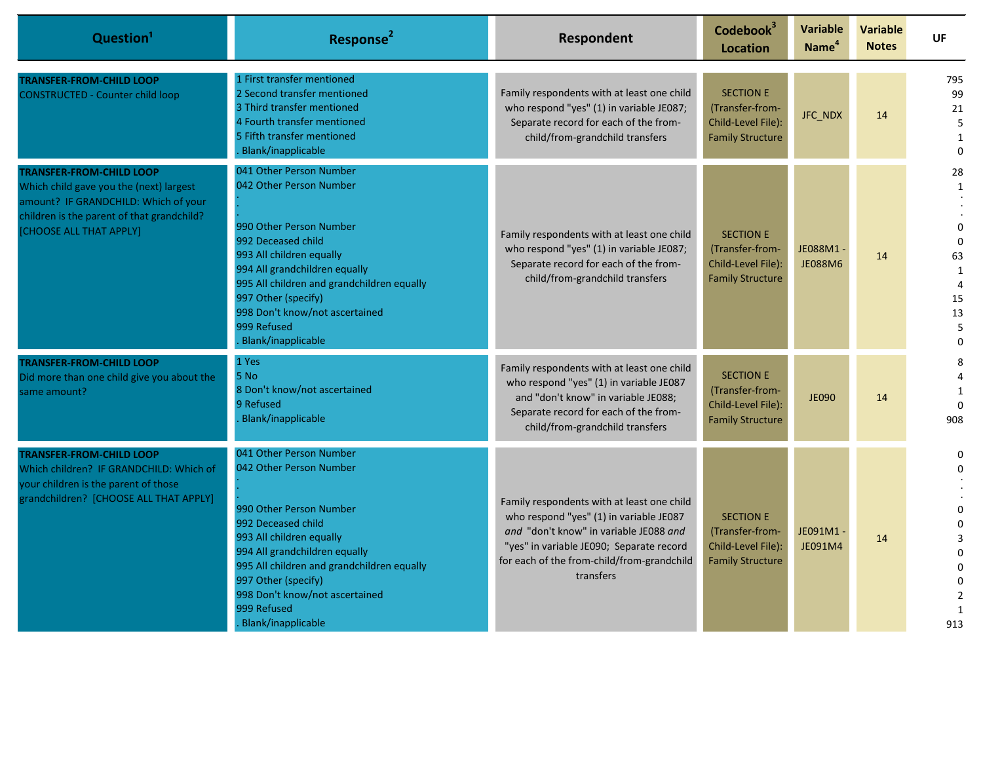| Question <sup>1</sup>                                                                                                                                                                       | Response <sup>2</sup>                                                                                                                                                                                                                                                                                        | <b>Respondent</b>                                                                                                                                                                                                                      | Codebook <sup>3</sup><br><b>Location</b>                                             | <b>Variable</b><br>Name <sup>4</sup> | <b>Variable</b><br><b>Notes</b> | UF                                                                                                              |
|---------------------------------------------------------------------------------------------------------------------------------------------------------------------------------------------|--------------------------------------------------------------------------------------------------------------------------------------------------------------------------------------------------------------------------------------------------------------------------------------------------------------|----------------------------------------------------------------------------------------------------------------------------------------------------------------------------------------------------------------------------------------|--------------------------------------------------------------------------------------|--------------------------------------|---------------------------------|-----------------------------------------------------------------------------------------------------------------|
| <b>TRANSFER-FROM-CHILD LOOP</b><br><b>CONSTRUCTED - Counter child loop</b>                                                                                                                  | 1 First transfer mentioned<br>2 Second transfer mentioned<br>3 Third transfer mentioned<br>4 Fourth transfer mentioned<br>5 Fifth transfer mentioned<br>Blank/inapplicable                                                                                                                                   | Family respondents with at least one child<br>who respond "yes" (1) in variable JE087;<br>Separate record for each of the from-<br>child/from-grandchild transfers                                                                     | <b>SECTION E</b><br>(Transfer-from-<br>Child-Level File):<br><b>Family Structure</b> | JFC_NDX                              | 14                              | 795<br>99<br>21<br>5<br>$\mathbf{1}$<br>$\Omega$                                                                |
| <b>TRANSFER-FROM-CHILD LOOP</b><br>Which child gave you the (next) largest<br>amount? IF GRANDCHILD: Which of your<br>children is the parent of that grandchild?<br>[CHOOSE ALL THAT APPLY] | 041 Other Person Number<br>042 Other Person Number<br>990 Other Person Number<br>992 Deceased child<br>993 All children equally<br>994 All grandchildren equally<br>995 All children and grandchildren equally<br>997 Other (specify)<br>998 Don't know/not ascertained<br>999 Refused<br>Blank/inapplicable | Family respondents with at least one child<br>who respond "yes" (1) in variable JE087;<br>Separate record for each of the from-<br>child/from-grandchild transfers                                                                     | <b>SECTION E</b><br>(Transfer-from-<br>Child-Level File):<br><b>Family Structure</b> | JE088M1-<br><b>JE088M6</b>           | 14                              | 28<br>$\mathbf{1}$<br>$\Omega$<br>$\Omega$<br>63<br>$\mathbf{1}$<br>$\overline{4}$<br>15<br>13<br>5<br>$\Omega$ |
| <b>TRANSFER-FROM-CHILD LOOP</b><br>Did more than one child give you about the<br>same amount?                                                                                               | 1 Yes<br>5 No<br>8 Don't know/not ascertained<br>9 Refused<br>Blank/inapplicable                                                                                                                                                                                                                             | Family respondents with at least one child<br>who respond "yes" (1) in variable JE087<br>and "don't know" in variable JE088;<br>Separate record for each of the from-<br>child/from-grandchild transfers                               | <b>SECTION E</b><br>(Transfer-from-<br>Child-Level File):<br><b>Family Structure</b> | <b>JE090</b>                         | 14                              | 8<br>1<br>$\Omega$<br>908                                                                                       |
| <b>TRANSFER-FROM-CHILD LOOP</b><br>Which children? IF GRANDCHILD: Which of<br>your children is the parent of those<br>grandchildren? [CHOOSE ALL THAT APPLY]                                | 041 Other Person Number<br>042 Other Person Number<br>990 Other Person Number<br>992 Deceased child<br>993 All children equally<br>994 All grandchildren equally<br>995 All children and grandchildren equally<br>997 Other (specify)<br>998 Don't know/not ascertained<br>999 Refused<br>Blank/inapplicable | Family respondents with at least one child<br>who respond "yes" (1) in variable JE087<br>and "don't know" in variable JE088 and<br>"yes" in variable JE090; Separate record<br>for each of the from-child/from-grandchild<br>transfers | <b>SECTION E</b><br>(Transfer-from-<br>Child-Level File):<br><b>Family Structure</b> | JE091M1-<br>JE091M4                  | 14                              | $\Omega$<br>$\Omega$<br>$\Omega$<br>$\Omega$<br>913                                                             |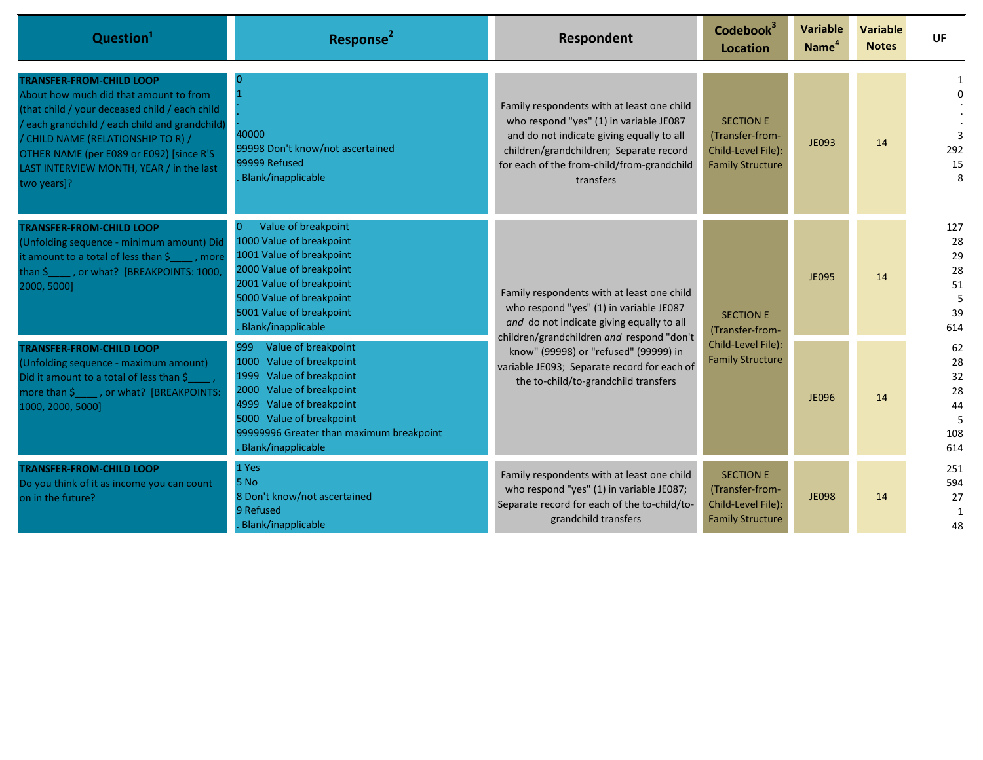| Question <sup>1</sup>                                                                                                                                                                                                                                                                                                      | Response <sup>2</sup>                                                                                                                                                                                                                                | Respondent                                                                                                                                                                                                                                                                                                      | Codebook <sup>3</sup><br>Location                                                    | <b>Variable</b><br>Name <sup>4</sup> | <b>Variable</b><br><b>Notes</b> | <b>UF</b>                                     |
|----------------------------------------------------------------------------------------------------------------------------------------------------------------------------------------------------------------------------------------------------------------------------------------------------------------------------|------------------------------------------------------------------------------------------------------------------------------------------------------------------------------------------------------------------------------------------------------|-----------------------------------------------------------------------------------------------------------------------------------------------------------------------------------------------------------------------------------------------------------------------------------------------------------------|--------------------------------------------------------------------------------------|--------------------------------------|---------------------------------|-----------------------------------------------|
| <b>TRANSFER-FROM-CHILD LOOP</b><br>About how much did that amount to from<br>(that child / your deceased child / each child<br>/ each grandchild / each child and grandchild)<br>/ CHILD NAME (RELATIONSHIP TO R) /<br>OTHER NAME (per E089 or E092) [since R'S<br>LAST INTERVIEW MONTH, YEAR / in the last<br>two years]? | 40000<br>99998 Don't know/not ascertained<br>99999 Refused<br>Blank/inapplicable                                                                                                                                                                     | Family respondents with at least one child<br>who respond "yes" (1) in variable JE087<br>and do not indicate giving equally to all<br>children/grandchildren; Separate record<br>for each of the from-child/from-grandchild<br>transfers                                                                        | <b>SECTION E</b><br>(Transfer-from-<br>Child-Level File):<br><b>Family Structure</b> | <b>JE093</b>                         | 14                              | 292<br>15<br>$\mathsf{R}$                     |
| <b>TRANSFER-FROM-CHILD LOOP</b><br>(Unfolding sequence - minimum amount) Did<br>it amount to a total of less than $\frac{5}{2}$ , more<br>than \$_____, or what? [BREAKPOINTS: 1000,<br>2000, 5000]                                                                                                                        | Value of breakpoint<br>1000 Value of breakpoint<br>1001 Value of breakpoint<br>2000 Value of breakpoint<br>2001 Value of breakpoint<br>5000 Value of breakpoint<br>5001 Value of breakpoint<br>Blank/inapplicable                                    | Family respondents with at least one child<br>who respond "yes" (1) in variable JE087<br>and do not indicate giving equally to all<br>children/grandchildren and respond "don't<br>know" (99998) or "refused" (99999) in<br>variable JE093; Separate record for each of<br>the to-child/to-grandchild transfers | <b>SECTION E</b><br>(Transfer-from-<br>Child-Level File):<br><b>Family Structure</b> | <b>JE095</b>                         | 14                              | 127<br>28<br>29<br>28<br>51<br>5<br>39<br>614 |
| <b>TRANSFER-FROM-CHILD LOOP</b><br>(Unfolding sequence - maximum amount)<br>Did it amount to a total of less than \$<br>more than \$______, or what? [BREAKPOINTS:<br>1000, 2000, 5000]                                                                                                                                    | Value of breakpoint<br>999<br>1000<br>Value of breakpoint<br>1999<br>Value of breakpoint<br>Value of breakpoint<br>2000<br>Value of breakpoint<br>4999<br>5000 Value of breakpoint<br>99999996 Greater than maximum breakpoint<br>Blank/inapplicable |                                                                                                                                                                                                                                                                                                                 |                                                                                      |                                      | <b>JE096</b>                    | 14                                            |
| <b>TRANSFER-FROM-CHILD LOOP</b><br>Do you think of it as income you can count<br>on in the future?                                                                                                                                                                                                                         | 1 Yes<br>5 No<br>8 Don't know/not ascertained<br>9 Refused<br>Blank/inapplicable                                                                                                                                                                     | Family respondents with at least one child<br>who respond "yes" (1) in variable JE087;<br>Separate record for each of the to-child/to-<br>grandchild transfers                                                                                                                                                  | <b>SECTION E</b><br>(Transfer-from-<br>Child-Level File):<br><b>Family Structure</b> | <b>JE098</b>                         | 14                              | 251<br>594<br>27<br>1<br>48                   |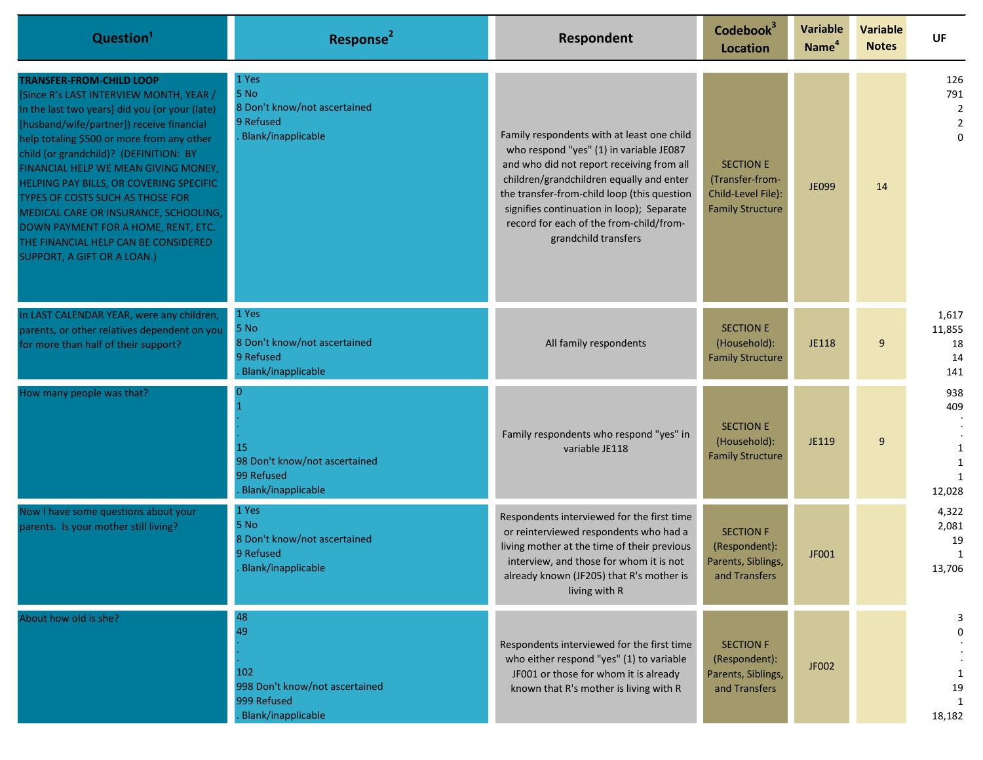| Question <sup>1</sup>                                                                                                                                                                                                                                                                                                                                                                                                                                                                                                                    | Response <sup>2</sup>                                                                     | Respondent                                                                                                                                                                                                                                                                                                                                    | Codebook <sup>3</sup><br>Location                                                    | <b>Variable</b><br>Name <sup>4</sup> | <b>Variable</b><br><b>Notes</b> | <b>UF</b>                                                     |
|------------------------------------------------------------------------------------------------------------------------------------------------------------------------------------------------------------------------------------------------------------------------------------------------------------------------------------------------------------------------------------------------------------------------------------------------------------------------------------------------------------------------------------------|-------------------------------------------------------------------------------------------|-----------------------------------------------------------------------------------------------------------------------------------------------------------------------------------------------------------------------------------------------------------------------------------------------------------------------------------------------|--------------------------------------------------------------------------------------|--------------------------------------|---------------------------------|---------------------------------------------------------------|
| TRANSFER-FROM-CHILD LOOP<br>[Since R's LAST INTERVIEW MONTH, YEAR /<br>In the last two years] did you (or your (late)<br>[husband/wife/partner]) receive financial<br>help totaling \$500 or more from any other<br>child (or grandchild)? (DEFINITION: BY<br>FINANCIAL HELP WE MEAN GIVING MONEY,<br>HELPING PAY BILLS, OR COVERING SPECIFIC<br>TYPES OF COSTS SUCH AS THOSE FOR<br>MEDICAL CARE OR INSURANCE, SCHOOLING,<br>DOWN PAYMENT FOR A HOME, RENT, ETC.<br>THE FINANCIAL HELP CAN BE CONSIDERED<br>SUPPORT, A GIFT OR A LOAN.) | 1 Yes<br><b>5 No</b><br>8 Don't know/not ascertained<br>9 Refused<br>Blank/inapplicable   | Family respondents with at least one child<br>who respond "yes" (1) in variable JE087<br>and who did not report receiving from all<br>children/grandchildren equally and enter<br>the transfer-from-child loop (this question<br>signifies continuation in loop); Separate<br>record for each of the from-child/from-<br>grandchild transfers | <b>SECTION E</b><br>(Transfer-from-<br>Child-Level File):<br><b>Family Structure</b> | <b>JE099</b>                         | 14                              | 126<br>791<br>$\overline{2}$<br>$\overline{2}$<br>$\mathbf 0$ |
| In LAST CALENDAR YEAR, were any children,<br>parents, or other relatives dependent on you<br>for more than half of their support?                                                                                                                                                                                                                                                                                                                                                                                                        | 1 Yes<br>5 No<br>8 Don't know/not ascertained<br>9 Refused<br>Blank/inapplicable          | All family respondents                                                                                                                                                                                                                                                                                                                        | <b>SECTION E</b><br>(Household):<br><b>Family Structure</b>                          | JE118                                | 9                               | 1,617<br>11,855<br>18<br>14<br>141                            |
| How many people was that?                                                                                                                                                                                                                                                                                                                                                                                                                                                                                                                | 15<br>98 Don't know/not ascertained<br>99 Refused<br>Blank/inapplicable                   | Family respondents who respond "yes" in<br>variable JE118                                                                                                                                                                                                                                                                                     | <b>SECTION E</b><br>(Household):<br><b>Family Structure</b>                          | JE119                                | 9                               | 938<br>409<br>1<br>1<br>$\mathbf{1}$<br>12,028                |
| Now I have some questions about your<br>parents. Is your mother still living?                                                                                                                                                                                                                                                                                                                                                                                                                                                            | 1 Yes<br><b>5 No</b><br>8 Don't know/not ascertained<br>9 Refused<br>. Blank/inapplicable | Respondents interviewed for the first time<br>or reinterviewed respondents who had a<br>living mother at the time of their previous<br>interview, and those for whom it is not<br>already known (JF205) that R's mother is<br>living with R                                                                                                   | <b>SECTION F</b><br>(Respondent):<br>Parents, Siblings,<br>and Transfers             | JF001                                |                                 | 4,322<br>2,081<br>19<br>$\mathbf{1}$<br>13,706                |
| About how old is she?                                                                                                                                                                                                                                                                                                                                                                                                                                                                                                                    | 48<br>49<br>102<br>998 Don't know/not ascertained<br>999 Refused<br>Blank/inapplicable    | Respondents interviewed for the first time<br>who either respond "yes" (1) to variable<br>JF001 or those for whom it is already<br>known that R's mother is living with R                                                                                                                                                                     | <b>SECTION F</b><br>(Respondent):<br>Parents, Siblings,<br>and Transfers             | JF002                                |                                 | 3<br>-1<br>19<br>$\mathbf{1}$<br>18,182                       |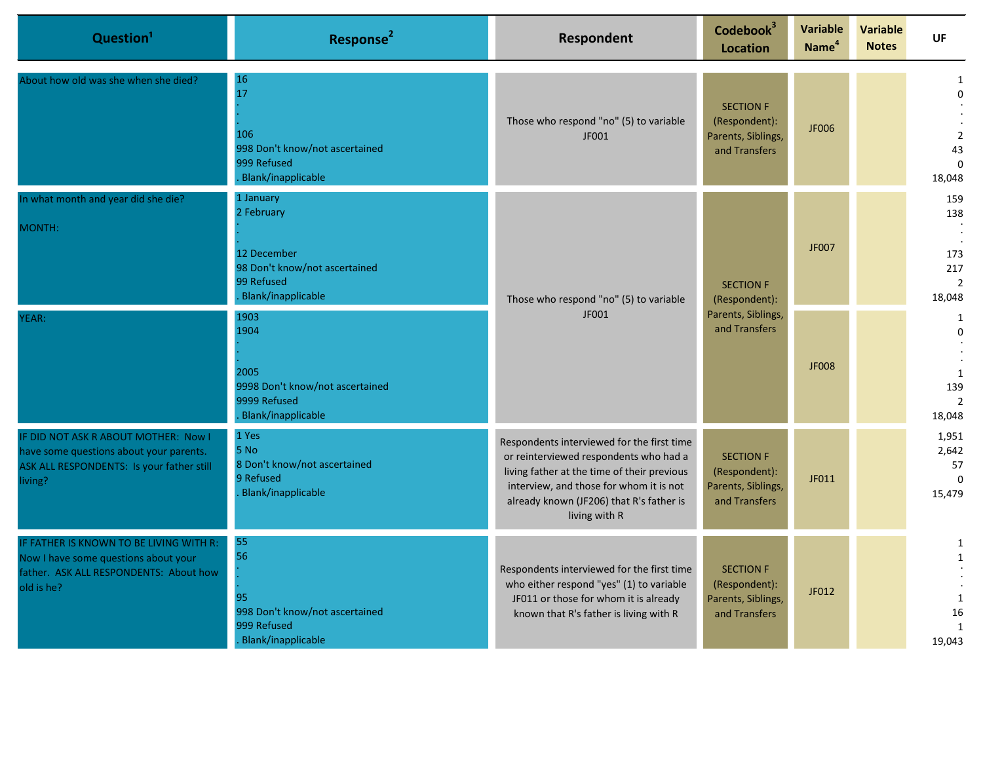| Question <sup>1</sup>                                                                                                                   | Response <sup>2</sup>                                                                                              | Respondent                                                                                                                                                                                                                                  | Codebook <sup>3</sup><br><b>Location</b>                                 | Variable<br>Name <sup>4</sup> | <b>Variable</b><br><b>Notes</b> | UF                                                                |
|-----------------------------------------------------------------------------------------------------------------------------------------|--------------------------------------------------------------------------------------------------------------------|---------------------------------------------------------------------------------------------------------------------------------------------------------------------------------------------------------------------------------------------|--------------------------------------------------------------------------|-------------------------------|---------------------------------|-------------------------------------------------------------------|
| About how old was she when she died?                                                                                                    | 16<br>17<br>106<br>998 Don't know/not ascertained<br>999 Refused<br><b>Blank/inapplicable</b>                      | Those who respond "no" (5) to variable<br>JF001                                                                                                                                                                                             | <b>SECTION F</b><br>(Respondent):<br>Parents, Siblings,<br>and Transfers | <b>JF006</b>                  |                                 | 1<br>$\Omega$<br>$\overline{2}$<br>43<br>$\Omega$<br>18,048       |
| In what month and year did she die?<br>MONTH:                                                                                           | 1 January<br>2 February<br>12 December<br>98 Don't know/not ascertained<br>99 Refused<br><b>Blank/inapplicable</b> | Those who respond "no" (5) to variable<br>JF001                                                                                                                                                                                             | <b>SECTION F</b><br>(Respondent):<br>Parents, Siblings,<br>and Transfers | JF007                         |                                 | 159<br>138<br>173<br>217<br>$\overline{2}$<br>18,048              |
| YEAR:                                                                                                                                   | 1903<br>1904<br>2005<br>9998 Don't know/not ascertained<br>9999 Refused<br><b>Blank/inapplicable</b>               |                                                                                                                                                                                                                                             |                                                                          |                               |                                 | <b>JF008</b>                                                      |
| IF DID NOT ASK R ABOUT MOTHER: Now I<br>have some questions about your parents.<br>ASK ALL RESPONDENTS: Is your father still<br>living? | 1 Yes<br>5 No<br>8 Don't know/not ascertained<br>9 Refused<br>Blank/inapplicable                                   | Respondents interviewed for the first time<br>or reinterviewed respondents who had a<br>living father at the time of their previous<br>interview, and those for whom it is not<br>already known (JF206) that R's father is<br>living with R | <b>SECTION F</b><br>(Respondent):<br>Parents, Siblings,<br>and Transfers | JF011                         |                                 | 1,951<br>2,642<br>57<br>$\Omega$<br>15,479                        |
| IF FATHER IS KNOWN TO BE LIVING WITH R:<br>Now I have some questions about your<br>father. ASK ALL RESPONDENTS: About how<br>old is he? | 55<br>56<br>95<br>998 Don't know/not ascertained<br>999 Refused<br>Blank/inapplicable                              | Respondents interviewed for the first time<br>who either respond "yes" (1) to variable<br>JF011 or those for whom it is already<br>known that R's father is living with R                                                                   | <b>SECTION F</b><br>(Respondent):<br>Parents, Siblings,<br>and Transfers | JF012                         |                                 | 1<br>$\mathbf{1}$<br>$\mathbf{1}$<br>16<br>$\mathbf{1}$<br>19,043 |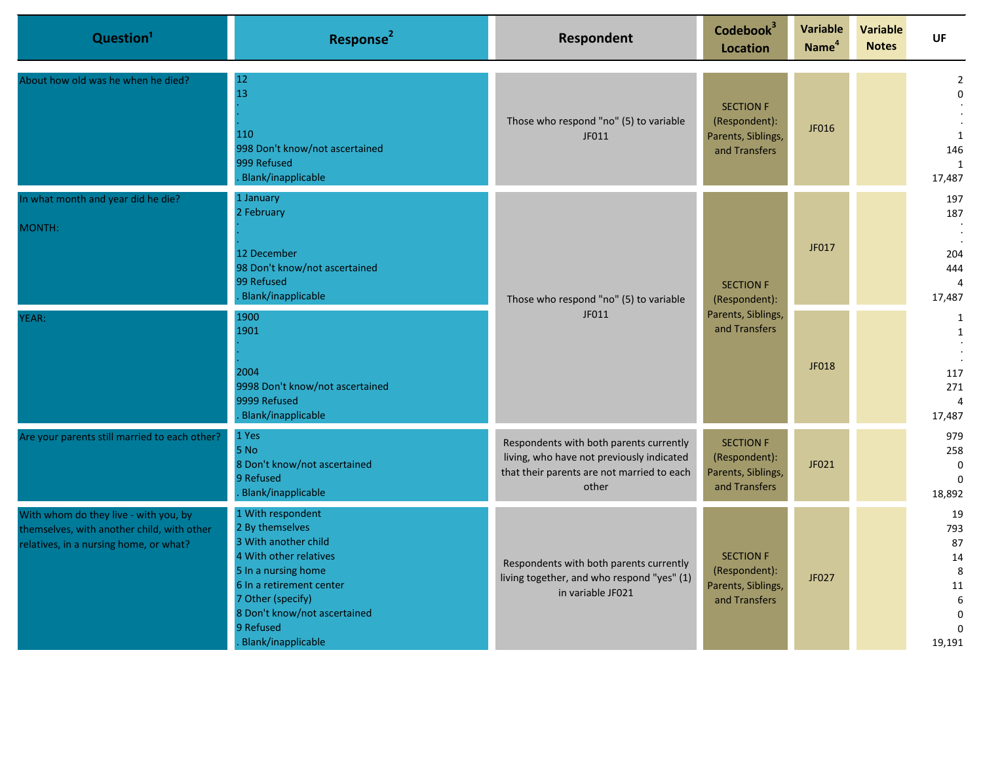| Question <sup>1</sup>                                                                                                         | Response <sup>2</sup>                                                                                                                                                                                                             | Respondent                                                                                                                                  | Codebook <sup>3</sup><br><b>Location</b>                                 | <b>Variable</b><br>Name <sup>4</sup> | <b>Variable</b><br><b>Notes</b> | UF                                                                      |
|-------------------------------------------------------------------------------------------------------------------------------|-----------------------------------------------------------------------------------------------------------------------------------------------------------------------------------------------------------------------------------|---------------------------------------------------------------------------------------------------------------------------------------------|--------------------------------------------------------------------------|--------------------------------------|---------------------------------|-------------------------------------------------------------------------|
| About how old was he when he died?                                                                                            | 12<br>13<br>110<br>998 Don't know/not ascertained<br>999 Refused<br>Blank/inapplicable                                                                                                                                            | Those who respond "no" (5) to variable<br>JF011                                                                                             | <b>SECTION F</b><br>(Respondent):<br>Parents, Siblings,<br>and Transfers | JF016                                |                                 | $\overline{2}$<br>$\mathbf 0$<br>1<br>146<br>1<br>17,487                |
| In what month and year did he die?<br>MONTH:                                                                                  | 1 January<br>2 February<br>12 December<br>98 Don't know/not ascertained<br>99 Refused<br><b>Blank/inapplicable</b>                                                                                                                | Those who respond "no" (5) to variable<br>JF011                                                                                             | <b>SECTION F</b><br>(Respondent):                                        | JF017                                |                                 | 197<br>187<br>204<br>444<br>17,487                                      |
| YEAR:                                                                                                                         | 1900<br>1901<br>2004<br>9998 Don't know/not ascertained<br>9999 Refused<br><b>Blank/inapplicable</b>                                                                                                                              |                                                                                                                                             | Parents, Siblings,<br>and Transfers                                      | JF018                                |                                 | 1<br>1<br>117<br>271<br>17,487                                          |
| Are your parents still married to each other?                                                                                 | 1 Yes<br><b>5 No</b><br>8 Don't know/not ascertained<br>9 Refused<br>Blank/inapplicable                                                                                                                                           | Respondents with both parents currently<br>living, who have not previously indicated<br>that their parents are not married to each<br>other | <b>SECTION F</b><br>(Respondent):<br>Parents, Siblings,<br>and Transfers | JF021                                |                                 | 979<br>258<br>$\mathbf 0$<br>$\Omega$<br>18,892                         |
| With whom do they live - with you, by<br>themselves, with another child, with other<br>relatives, in a nursing home, or what? | 1 With respondent<br>2 By themselves<br>3 With another child<br>4 With other relatives<br>5 In a nursing home<br>6 In a retirement center<br>7 Other (specify)<br>8 Don't know/not ascertained<br>9 Refused<br>Blank/inapplicable | Respondents with both parents currently<br>living together, and who respond "yes" (1)<br>in variable JF021                                  | <b>SECTION F</b><br>(Respondent):<br>Parents, Siblings,<br>and Transfers | JF027                                |                                 | 19<br>793<br>87<br>14<br>8<br>11<br>6<br>$\Omega$<br>$\Omega$<br>19,191 |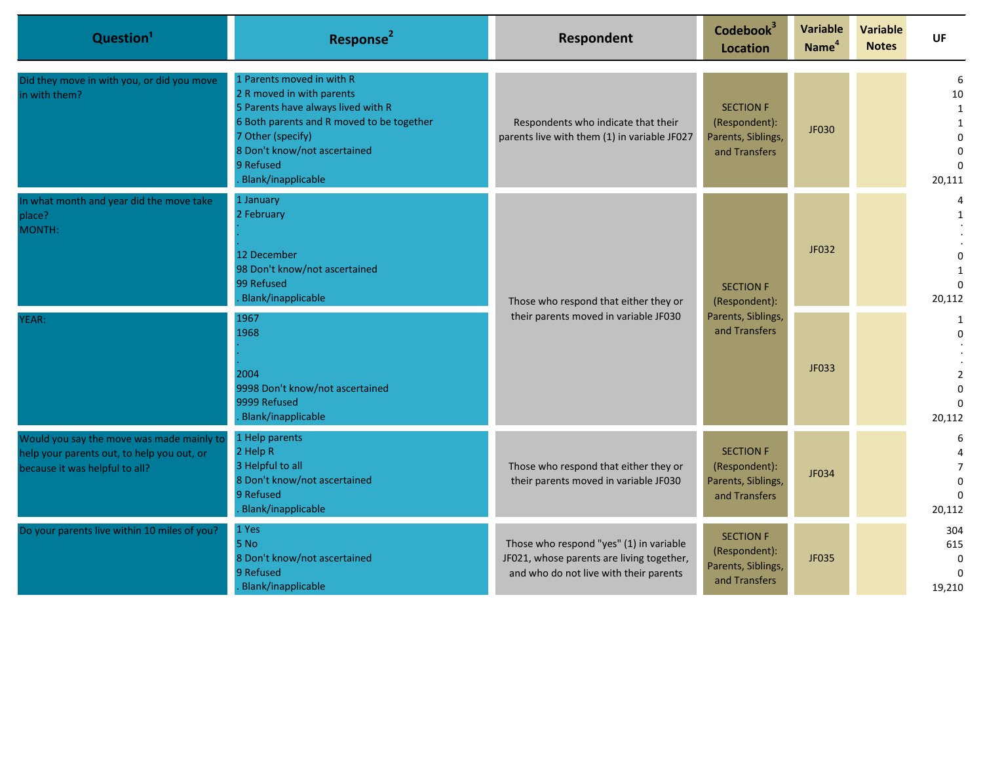| Question <sup>1</sup>                                                                                                     | Response <sup>2</sup>                                                                                                                                                                                                             | Respondent                                                                                                                     | Codebook <sup>3</sup><br><b>Location</b>                                 | Variable<br>Name <sup>4</sup> | <b>Variable</b><br><b>Notes</b> | UF                                             |                         |
|---------------------------------------------------------------------------------------------------------------------------|-----------------------------------------------------------------------------------------------------------------------------------------------------------------------------------------------------------------------------------|--------------------------------------------------------------------------------------------------------------------------------|--------------------------------------------------------------------------|-------------------------------|---------------------------------|------------------------------------------------|-------------------------|
| Did they move in with you, or did you move<br>in with them?                                                               | 1 Parents moved in with R<br>2 R moved in with parents<br>5 Parents have always lived with R<br>6 Both parents and R moved to be together<br>7 Other (specify)<br>8 Don't know/not ascertained<br>9 Refused<br>Blank/inapplicable | Respondents who indicate that their<br>parents live with them (1) in variable JF027                                            | <b>SECTION F</b><br>(Respondent):<br>Parents, Siblings,<br>and Transfers | JF030                         |                                 | 6<br>10<br>1<br>$\Omega$<br>$\Omega$<br>20,111 |                         |
| In what month and year did the move take<br>place?<br>MONTH:                                                              | 1 January<br>2 February<br>12 December<br>98 Don't know/not ascertained<br>99 Refused<br>Blank/inapplicable                                                                                                                       | Those who respond that either they or<br>their parents moved in variable JF030                                                 | <b>SECTION F</b>                                                         | (Respondent):                 | JF032                           |                                                | 1<br>$\Omega$<br>20,112 |
| YEAR:                                                                                                                     | 1967<br>1968<br>2004<br>9998 Don't know/not ascertained<br>9999 Refused<br>Blank/inapplicable                                                                                                                                     |                                                                                                                                | Parents, Siblings,<br>and Transfers                                      | JF033                         |                                 | 1<br>$\Omega$<br>$\overline{2}$<br>20,112      |                         |
| Would you say the move was made mainly to<br>help your parents out, to help you out, or<br>because it was helpful to all? | 1 Help parents<br>2 Help R<br>3 Helpful to all<br>8 Don't know/not ascertained<br>9 Refused<br>Blank/inapplicable                                                                                                                 | Those who respond that either they or<br>their parents moved in variable JF030                                                 | <b>SECTION F</b><br>(Respondent):<br>Parents, Siblings,<br>and Transfers | JF034                         |                                 | 6<br>$\overline{7}$<br>$\Omega$<br>20,112      |                         |
| Do your parents live within 10 miles of you?                                                                              | 1 Yes<br>5 No<br>8 Don't know/not ascertained<br>9 Refused<br>Blank/inapplicable                                                                                                                                                  | Those who respond "yes" (1) in variable<br>JF021, whose parents are living together,<br>and who do not live with their parents | <b>SECTION F</b><br>(Respondent):<br>Parents, Siblings,<br>and Transfers | JF035                         |                                 | 304<br>615<br>$\Omega$<br>19,210               |                         |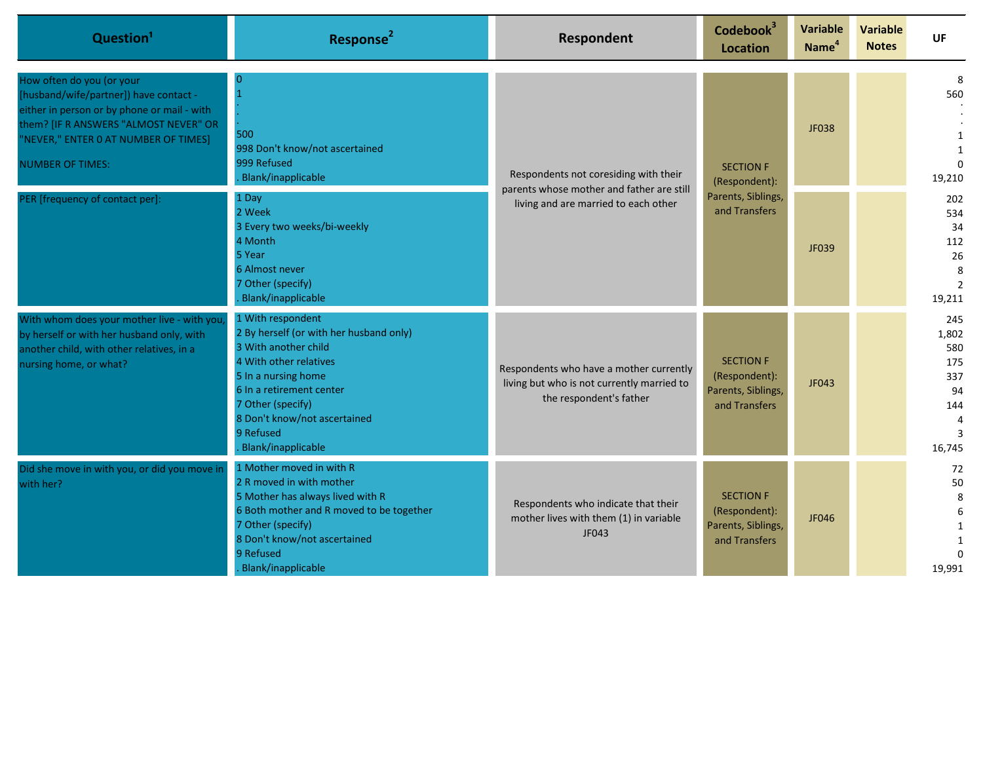| Question <sup>1</sup>                                                                                                                                                                                                          | Response <sup>2</sup>                                                                                                                                                                                                                                     | Respondent                                                                                                                 | Codebook <sup>3</sup><br><b>Location</b>                                 | <b>Variable</b><br>Name <sup>4</sup> | <b>Variable</b><br><b>Notes</b> | <b>UF</b>                                                                  |
|--------------------------------------------------------------------------------------------------------------------------------------------------------------------------------------------------------------------------------|-----------------------------------------------------------------------------------------------------------------------------------------------------------------------------------------------------------------------------------------------------------|----------------------------------------------------------------------------------------------------------------------------|--------------------------------------------------------------------------|--------------------------------------|---------------------------------|----------------------------------------------------------------------------|
| How often do you (or your<br>[husband/wife/partner]) have contact -<br>either in person or by phone or mail - with<br>them? [IF R ANSWERS "ALMOST NEVER" OR<br>"NEVER," ENTER 0 AT NUMBER OF TIMES]<br><b>NUMBER OF TIMES:</b> | $\Omega$<br>500<br>998 Don't know/not ascertained<br>999 Refused<br>Blank/inapplicable                                                                                                                                                                    | Respondents not coresiding with their<br>parents whose mother and father are still<br>living and are married to each other | <b>SECTION F</b><br>(Respondent):<br>Parents, Siblings,<br>and Transfers | JF038                                |                                 | 8<br>560<br>19,210                                                         |
| PER [frequency of contact per]:                                                                                                                                                                                                | 1 Day<br>2 Week<br>3 Every two weeks/bi-weekly<br>4 Month<br>5 Year<br>6 Almost never<br>7 Other (specify)<br>Blank/inapplicable                                                                                                                          |                                                                                                                            |                                                                          |                                      | JF039                           |                                                                            |
| With whom does your mother live - with you<br>by herself or with her husband only, with<br>another child, with other relatives, in a<br>nursing home, or what?                                                                 | 1 With respondent<br>2 By herself (or with her husband only)<br>3 With another child<br>4 With other relatives<br>5 In a nursing home<br>6 In a retirement center<br>7 Other (specify)<br>8 Don't know/not ascertained<br>9 Refused<br>Blank/inapplicable | Respondents who have a mother currently<br>living but who is not currently married to<br>the respondent's father           | <b>SECTION F</b><br>(Respondent):<br>Parents, Siblings,<br>and Transfers | JF043                                |                                 | 245<br>1,802<br>580<br>175<br>337<br>94<br>144<br>$\overline{4}$<br>16,745 |
| Did she move in with you, or did you move in<br>with her?                                                                                                                                                                      | 1 Mother moved in with R<br>2 R moved in with mother<br>5 Mother has always lived with R<br>6 Both mother and R moved to be together<br>7 Other (specify)<br>8 Don't know/not ascertained<br>9 Refused<br>Blank/inapplicable                              | Respondents who indicate that their<br>mother lives with them (1) in variable<br>JF043                                     | <b>SECTION F</b><br>(Respondent):<br>Parents, Siblings,<br>and Transfers | JF046                                |                                 | 72<br>50<br>8<br>6<br>$\Omega$<br>19,991                                   |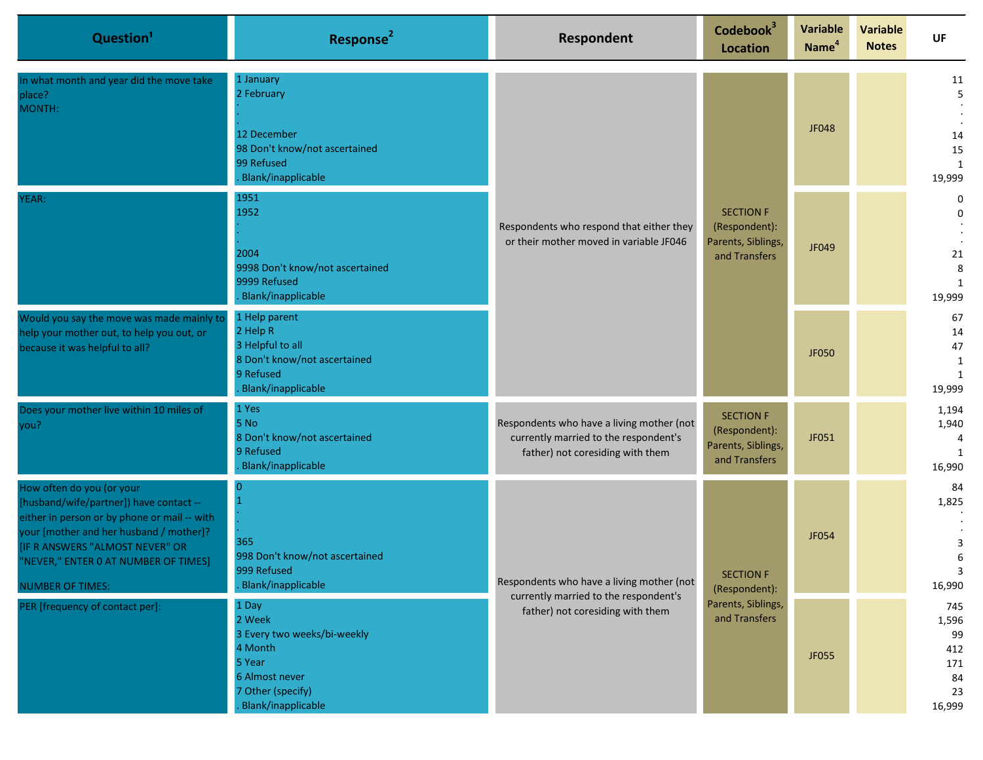| Question <sup>1</sup>                                                                                                                                                                                                                                                | Response <sup>2</sup>                                                                                                            | Respondent                                                                                                             | Codebook <sup>3</sup><br><b>Location</b>                                 | <b>Variable</b><br>Name <sup>4</sup> | <b>Variable</b><br><b>Notes</b> | UF                                                     |                                                          |
|----------------------------------------------------------------------------------------------------------------------------------------------------------------------------------------------------------------------------------------------------------------------|----------------------------------------------------------------------------------------------------------------------------------|------------------------------------------------------------------------------------------------------------------------|--------------------------------------------------------------------------|--------------------------------------|---------------------------------|--------------------------------------------------------|----------------------------------------------------------|
| In what month and year did the move take<br>place?<br>MONTH:                                                                                                                                                                                                         | 1 January<br>2 February<br>12 December<br>98 Don't know/not ascertained                                                          | Respondents who respond that either they<br>or their mother moved in variable JF046                                    |                                                                          | JF048                                |                                 | 11<br>5<br>14<br>15                                    |                                                          |
|                                                                                                                                                                                                                                                                      | 99 Refused<br>Blank/inapplicable                                                                                                 |                                                                                                                        |                                                                          |                                      |                                 | $\mathbf{1}$<br>19,999                                 |                                                          |
| YEAR:                                                                                                                                                                                                                                                                | 1951<br>1952                                                                                                                     |                                                                                                                        | <b>SECTION F</b><br>(Respondent):<br>Parents, Siblings,<br>and Transfers |                                      |                                 | 0<br>0                                                 |                                                          |
|                                                                                                                                                                                                                                                                      | 2004<br>9998 Don't know/not ascertained<br>9999 Refused<br>Blank/inapplicable                                                    |                                                                                                                        |                                                                          |                                      | JF049                           |                                                        | 21<br>8<br>19,999                                        |
| Would you say the move was made mainly to<br>help your mother out, to help you out, or<br>because it was helpful to all?                                                                                                                                             | 1 Help parent<br>2 Help R<br>3 Helpful to all<br>8 Don't know/not ascertained<br>9 Refused<br>Blank/inapplicable                 |                                                                                                                        |                                                                          |                                      | <b>JF050</b>                    |                                                        | 67<br>14<br>47<br>$\mathbf{1}$<br>$\mathbf{1}$<br>19,999 |
| Does your mother live within 10 miles of<br>you?                                                                                                                                                                                                                     | 1 Yes<br>5 No<br>8 Don't know/not ascertained<br>9 Refused<br>Blank/inapplicable                                                 | Respondents who have a living mother (not<br>currently married to the respondent's<br>father) not coresiding with them | <b>SECTION F</b><br>(Respondent):<br>Parents, Siblings,<br>and Transfers | JF051                                |                                 | 1,194<br>1,940<br>4<br>1<br>16,990                     |                                                          |
| How often do you (or your<br>[husband/wife/partner]) have contact --<br>either in person or by phone or mail -- with<br>your [mother and her husband / mother]?<br>IF R ANSWERS "ALMOST NEVER" OR<br>"NEVER," ENTER 0 AT NUMBER OF TIMES]<br><b>NUMBER OF TIMES:</b> | $\Omega$<br>$\mathbf{1}$<br>365<br>998 Don't know/not ascertained<br>999 Refused<br>Blank/inapplicable                           | Respondents who have a living mother (not<br>currently married to the respondent's<br>father) not coresiding with them | <b>SECTION F</b><br>(Respondent):<br>Parents, Siblings,<br>and Transfers | JF054                                |                                 |                                                        | 84<br>1,825<br>3<br>6<br>16,990                          |
| PER [frequency of contact per]:                                                                                                                                                                                                                                      | 1 Day<br>2 Week<br>3 Every two weeks/bi-weekly<br>4 Month<br>5 Year<br>6 Almost never<br>7 Other (specify)<br>Blank/inapplicable |                                                                                                                        |                                                                          | JF055                                |                                 | 745<br>1,596<br>99<br>412<br>171<br>84<br>23<br>16,999 |                                                          |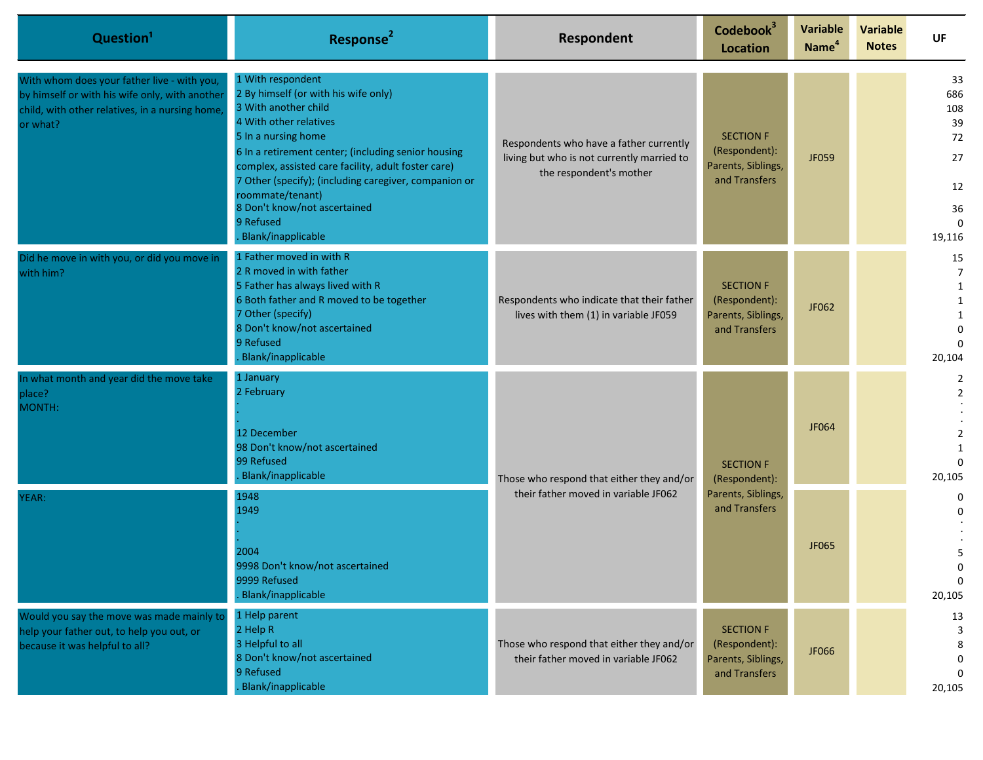| Question <sup>1</sup>                                                                                                                                        | Response <sup>2</sup>                                                                                                                                                                                                                                                                                                                                                                            | Respondent                                                                                                       | Codebook <sup>3</sup><br>Location                                        | <b>Variable</b><br>Name <sup>4</sup> | <b>Variable</b><br><b>Notes</b> | UF                                                                   |                                            |
|--------------------------------------------------------------------------------------------------------------------------------------------------------------|--------------------------------------------------------------------------------------------------------------------------------------------------------------------------------------------------------------------------------------------------------------------------------------------------------------------------------------------------------------------------------------------------|------------------------------------------------------------------------------------------------------------------|--------------------------------------------------------------------------|--------------------------------------|---------------------------------|----------------------------------------------------------------------|--------------------------------------------|
| With whom does your father live - with you,<br>by himself or with his wife only, with another<br>child, with other relatives, in a nursing home,<br>or what? | 1 With respondent<br>2 By himself (or with his wife only)<br>3 With another child<br>4 With other relatives<br>5 In a nursing home<br>6 In a retirement center; (including senior housing<br>complex, assisted care facility, adult foster care)<br>7 Other (specify); (including caregiver, companion or<br>roommate/tenant)<br>8 Don't know/not ascertained<br>9 Refused<br>Blank/inapplicable | Respondents who have a father currently<br>living but who is not currently married to<br>the respondent's mother | <b>SECTION F</b><br>(Respondent):<br>Parents, Siblings,<br>and Transfers | JF059                                |                                 | 33<br>686<br>108<br>39<br>72<br>27<br>12<br>36<br>$\Omega$<br>19,116 |                                            |
| Did he move in with you, or did you move in<br>with him?                                                                                                     | 1 Father moved in with R<br>2 R moved in with father<br>5 Father has always lived with R<br>6 Both father and R moved to be together<br>7 Other (specify)<br>8 Don't know/not ascertained<br>9 Refused<br>Blank/inapplicable                                                                                                                                                                     | Respondents who indicate that their father<br>lives with them (1) in variable JF059                              | <b>SECTION F</b><br>(Respondent):<br>Parents, Siblings,<br>and Transfers | JF062                                |                                 | 15<br>$\overline{7}$<br>1<br>20,104                                  |                                            |
| In what month and year did the move take<br>place?<br>MONTH:                                                                                                 | 1 January<br>2 February<br>12 December<br>98 Don't know/not ascertained<br>99 Refused<br>Blank/inapplicable<br>Those who respond that either they and/or<br>their father moved in variable JF062<br>1948<br>1949<br>2004<br>9998 Don't know/not ascertained<br>9999 Refused<br>Blank/inapplicable                                                                                                |                                                                                                                  |                                                                          | <b>SECTION F</b><br>(Respondent):    | JF064                           |                                                                      | $\overline{2}$<br>$\overline{2}$<br>20,105 |
| YEAR:                                                                                                                                                        |                                                                                                                                                                                                                                                                                                                                                                                                  |                                                                                                                  |                                                                          | Parents, Siblings,<br>and Transfers  | JF065                           |                                                                      | 0<br>U<br>U<br>$\mathbf 0$<br>20,105       |
| Would you say the move was made mainly to<br>help your father out, to help you out, or<br>because it was helpful to all?                                     | 1 Help parent<br>2 Help R<br>3 Helpful to all<br>8 Don't know/not ascertained<br>9 Refused<br>Blank/inapplicable                                                                                                                                                                                                                                                                                 | Those who respond that either they and/or<br>their father moved in variable JF062                                | <b>SECTION F</b><br>(Respondent):<br>Parents, Siblings,<br>and Transfers | JF066                                |                                 | 13<br>3<br>8<br>0<br>$\Omega$<br>20,105                              |                                            |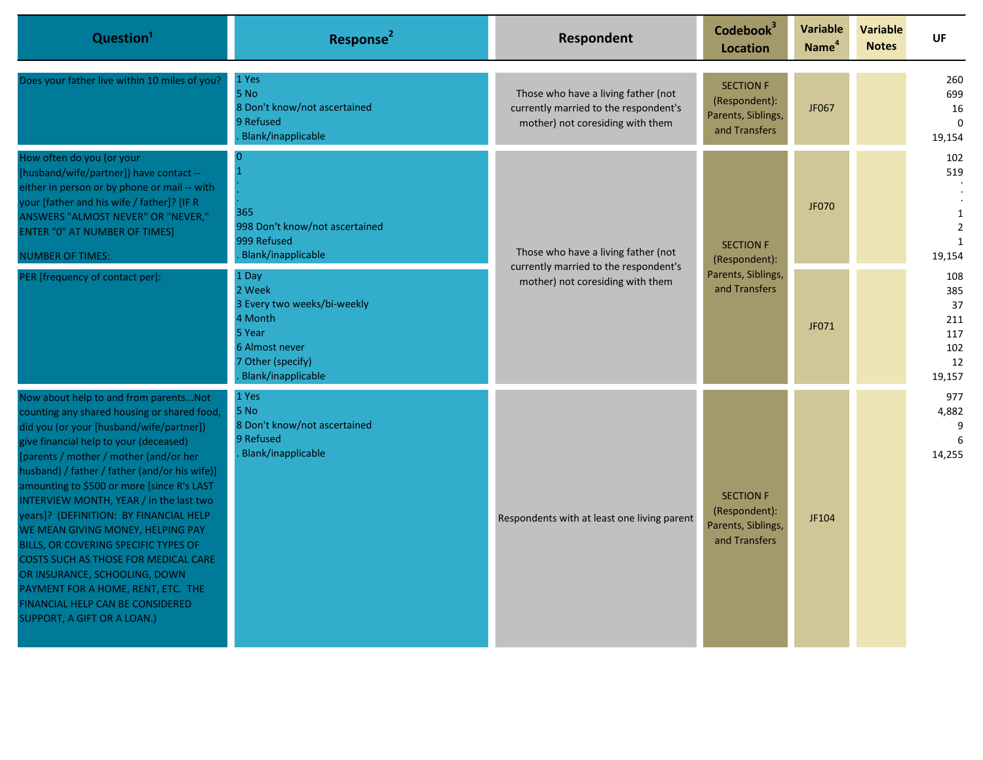| Question <sup>1</sup>                                                                                                                                                                                                                                                                                                                                                                                                                                                                                                                                                                                                                                                   | Response <sup>2</sup>                                                                                                            | <b>Respondent</b>                                                                                                | Codebook <sup>3</sup><br><b>Location</b>                                 | <b>Variable</b><br>Name <sup>4</sup> | <b>Variable</b><br><b>Notes</b> | <b>UF</b>                                                             |
|-------------------------------------------------------------------------------------------------------------------------------------------------------------------------------------------------------------------------------------------------------------------------------------------------------------------------------------------------------------------------------------------------------------------------------------------------------------------------------------------------------------------------------------------------------------------------------------------------------------------------------------------------------------------------|----------------------------------------------------------------------------------------------------------------------------------|------------------------------------------------------------------------------------------------------------------|--------------------------------------------------------------------------|--------------------------------------|---------------------------------|-----------------------------------------------------------------------|
| Does your father live within 10 miles of you?                                                                                                                                                                                                                                                                                                                                                                                                                                                                                                                                                                                                                           | 1 Yes<br>5 No<br>8 Don't know/not ascertained<br>9 Refused<br>Blank/inapplicable                                                 | Those who have a living father (not<br>currently married to the respondent's<br>mother) not coresiding with them | <b>SECTION F</b><br>(Respondent):<br>Parents, Siblings,<br>and Transfers | JF067                                |                                 | 260<br>699<br>16<br>$\mathbf 0$<br>19,154                             |
| How often do you (or your<br>[husband/wife/partner]) have contact --<br>either in person or by phone or mail -- with<br>your [father and his wife / father]? [IF R<br>ANSWERS "ALMOST NEVER" OR "NEVER,"<br><b>ENTER "0" AT NUMBER OF TIMES]</b><br><b>NUMBER OF TIMES:</b>                                                                                                                                                                                                                                                                                                                                                                                             | 0<br>365<br>998 Don't know/not ascertained<br>999 Refused<br>Blank/inapplicable                                                  | Those who have a living father (not<br>currently married to the respondent's<br>mother) not coresiding with them | <b>SECTION F</b><br>(Respondent):<br>Parents, Siblings,<br>and Transfers | JF070                                |                                 | 102<br>519<br>$\mathbf 1$<br>$\overline{2}$<br>$\mathbf{1}$<br>19,154 |
| PER [frequency of contact per]:                                                                                                                                                                                                                                                                                                                                                                                                                                                                                                                                                                                                                                         | 1 Day<br>2 Week<br>3 Every two weeks/bi-weekly<br>4 Month<br>5 Year<br>6 Almost never<br>7 Other (specify)<br>Blank/inapplicable |                                                                                                                  |                                                                          | JF071                                |                                 | 108<br>385<br>37<br>211<br>117<br>102<br>12<br>19,157                 |
| Now about help to and from parentsNot<br>counting any shared housing or shared food,<br>did you (or your [husband/wife/partner])<br>give financial help to your (deceased)<br>[parents / mother / mother (and/or her<br>husband) / father / father (and/or his wife)]<br>amounting to \$500 or more [since R's LAST<br>INTERVIEW MONTH, YEAR / in the last two<br>years]? (DEFINITION: BY FINANCIAL HELP<br>WE MEAN GIVING MONEY, HELPING PAY<br>BILLS, OR COVERING SPECIFIC TYPES OF<br>COSTS SUCH AS THOSE FOR MEDICAL CARE<br>OR INSURANCE, SCHOOLING, DOWN<br>PAYMENT FOR A HOME, RENT, ETC. THE<br>FINANCIAL HELP CAN BE CONSIDERED<br>SUPPORT, A GIFT OR A LOAN.) | 1 Yes<br>5 No<br>8 Don't know/not ascertained<br>9 Refused<br>Blank/inapplicable                                                 | Respondents with at least one living parent                                                                      | <b>SECTION F</b><br>(Respondent):<br>Parents, Siblings,<br>and Transfers | JF104                                |                                 | 977<br>4,882<br>9<br>14,255                                           |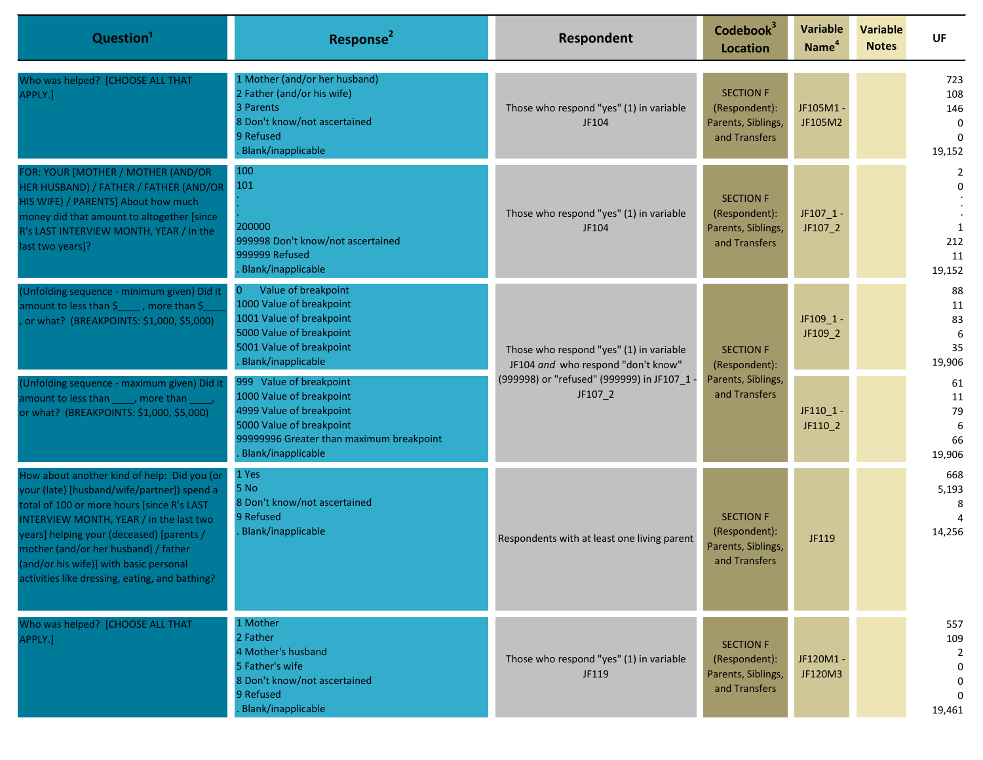| Question <sup>1</sup>                                                                                                                                                                                                                                                                                                                                                | Response <sup>2</sup>                                                                                                                                                                | Respondent                                                                                                                              | Codebook <sup>3</sup><br><b>Location</b>                                 | <b>Variable</b><br>Name <sup>4</sup> | <b>Variable</b><br><b>Notes</b> | <b>UF</b>                                                       |
|----------------------------------------------------------------------------------------------------------------------------------------------------------------------------------------------------------------------------------------------------------------------------------------------------------------------------------------------------------------------|--------------------------------------------------------------------------------------------------------------------------------------------------------------------------------------|-----------------------------------------------------------------------------------------------------------------------------------------|--------------------------------------------------------------------------|--------------------------------------|---------------------------------|-----------------------------------------------------------------|
| Who was helped? [CHOOSE ALL THAT<br>APPLY.]                                                                                                                                                                                                                                                                                                                          | 1 Mother (and/or her husband)<br>2 Father (and/or his wife)<br>3 Parents<br>8 Don't know/not ascertained<br>9 Refused<br><b>Blank/inapplicable</b>                                   | Those who respond "yes" (1) in variable<br>JF104                                                                                        | <b>SECTION F</b><br>(Respondent):<br>Parents, Siblings,<br>and Transfers | JF105M1-<br>JF105M2                  |                                 | 723<br>108<br>146<br>$\mathbf{0}$<br>$\Omega$<br>19,152         |
| FOR: YOUR [MOTHER / MOTHER (AND/OR<br>HER HUSBAND) / FATHER / FATHER (AND/OR<br>HIS WIFE) / PARENTS] About how much<br>money did that amount to altogether [since<br>R's LAST INTERVIEW MONTH, YEAR / in the<br>last two years]?                                                                                                                                     | 100<br>101<br>200000<br>999998 Don't know/not ascertained<br>999999 Refused<br><b>Blank/inapplicable</b>                                                                             | Those who respond "yes" (1) in variable<br>JF104                                                                                        | <b>SECTION F</b><br>(Respondent):<br>Parents, Siblings,<br>and Transfers | $JF107_1 -$<br>JF107_2               |                                 | 2<br>$\Omega$<br>1<br>212<br>11<br>19,152                       |
| (Unfolding sequence - minimum given) Did it<br>amount to less than \$ [1454], more than \$<br>or what? (BREAKPOINTS: \$1,000, \$5,000)                                                                                                                                                                                                                               | Value of breakpoint<br>$\overline{0}$<br>1000 Value of breakpoint<br>1001 Value of breakpoint<br>5000 Value of breakpoint<br>5001 Value of breakpoint<br><b>Blank/inapplicable</b>   | Those who respond "yes" (1) in variable<br>JF104 and who respond "don't know"<br>(999998) or "refused" (999999) in JF107_1 -<br>JF107_2 | <b>SECTION F</b><br>(Respondent):                                        | JF109 1-<br>JF109_2                  |                                 | 88<br>11<br>83<br>6<br>35<br>19,906                             |
| (Unfolding sequence - maximum given) Did it<br>amount to less than _____, more than ____,<br>or what? (BREAKPOINTS: \$1,000, \$5,000)                                                                                                                                                                                                                                | 999 Value of breakpoint<br>1000 Value of breakpoint<br>4999 Value of breakpoint<br>5000 Value of breakpoint<br>99999996 Greater than maximum breakpoint<br><b>Blank/inapplicable</b> |                                                                                                                                         | Parents, Siblings,<br>and Transfers                                      | JF110_1 -<br>JF110_2                 |                                 | 61<br>11<br>79<br>6<br>66<br>19,906                             |
| How about another kind of help: Did you (or<br>your (late) [husband/wife/partner]) spend a<br>total of 100 or more hours [since R's LAST<br>INTERVIEW MONTH, YEAR / in the last two<br>years] helping your (deceased) [parents /<br>mother (and/or her husband) / father<br>(and/or his wife)] with basic personal<br>activities like dressing, eating, and bathing? | 1 Yes<br>5 No<br>8 Don't know/not ascertained<br>9 Refused<br><b>Blank/inapplicable</b>                                                                                              | Respondents with at least one living parent                                                                                             | <b>SECTION F</b><br>(Respondent):<br>Parents, Siblings,<br>and Transfers | JF119                                |                                 | 668<br>5,193<br>8<br>14,256                                     |
| Who was helped? [CHOOSE ALL THAT<br>APPLY.]                                                                                                                                                                                                                                                                                                                          | 1 Mother<br>2 Father<br>4 Mother's husband<br>5 Father's wife<br>8 Don't know/not ascertained<br>9 Refused<br><b>Blank/inapplicable</b>                                              | Those who respond "yes" (1) in variable<br>JF119                                                                                        | <b>SECTION F</b><br>(Respondent):<br>Parents, Siblings,<br>and Transfers | JF120M1-<br>JF120M3                  |                                 | 557<br>109<br>$\overline{2}$<br>0<br>0<br>$\mathbf 0$<br>19,461 |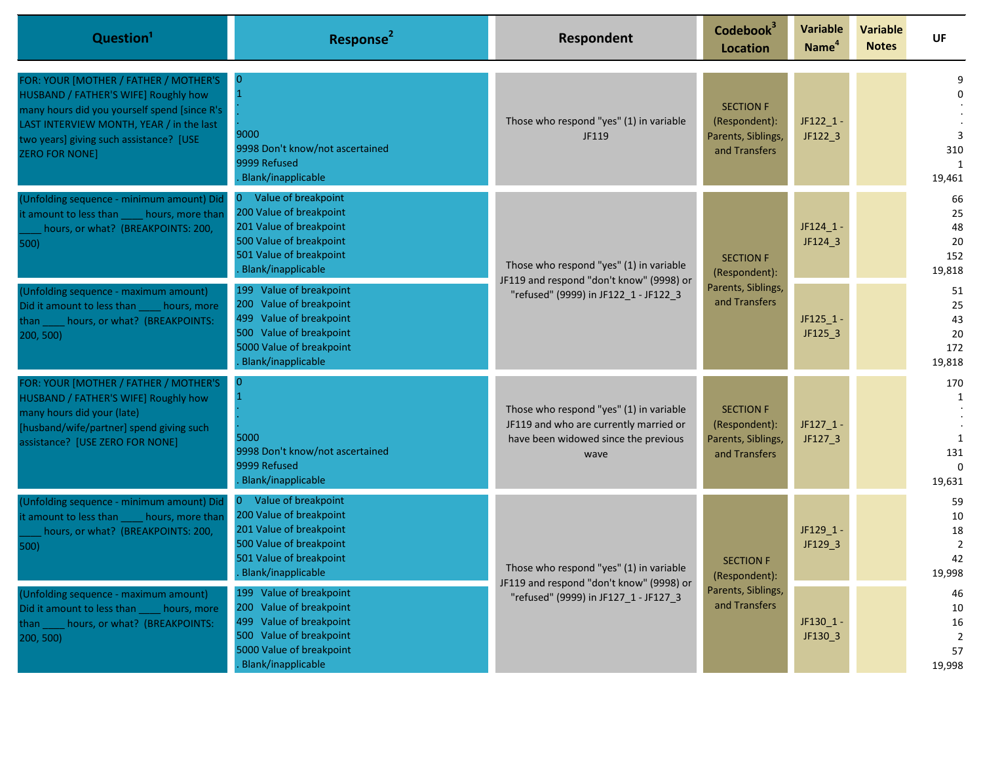| Question <sup>1</sup>                                                                                                                                                                                                                         | Response <sup>2</sup>                                                                                                                                                   | Respondent                                                                                                                        | Codebook <sup>3</sup><br><b>Location</b>                                 | Variable<br>Name <sup>4</sup>     | <b>Variable</b><br><b>Notes</b> | UF                                               |                                                  |
|-----------------------------------------------------------------------------------------------------------------------------------------------------------------------------------------------------------------------------------------------|-------------------------------------------------------------------------------------------------------------------------------------------------------------------------|-----------------------------------------------------------------------------------------------------------------------------------|--------------------------------------------------------------------------|-----------------------------------|---------------------------------|--------------------------------------------------|--------------------------------------------------|
| FOR: YOUR [MOTHER / FATHER / MOTHER'S<br>HUSBAND / FATHER'S WIFE] Roughly how<br>many hours did you yourself spend [since R's<br>LAST INTERVIEW MONTH, YEAR / in the last<br>two years] giving such assistance? [USE<br><b>ZERO FOR NONE]</b> | $\overline{0}$<br>9000<br>9998 Don't know/not ascertained<br>9999 Refused<br>Blank/inapplicable                                                                         | Those who respond "yes" (1) in variable<br>JF119                                                                                  | <b>SECTION F</b><br>(Respondent):<br>Parents, Siblings,<br>and Transfers | $JF122_1 -$<br>JF122_3            |                                 | 3<br>310<br>1<br>19,461                          |                                                  |
| (Unfolding sequence - minimum amount) Did<br>it amount to less than<br>hours, more than<br>hours, or what? (BREAKPOINTS: 200,<br>500)                                                                                                         | Value of breakpoint<br>$\overline{0}$<br>200 Value of breakpoint<br>201 Value of breakpoint<br>500 Value of breakpoint<br>501 Value of breakpoint<br>Blank/inapplicable | Those who respond "yes" (1) in variable<br>JF119 and respond "don't know" (9998) or<br>"refused" (9999) in JF122 1 - JF122 3      |                                                                          | <b>SECTION F</b><br>(Respondent): | $JF124_1 -$<br>JF124_3          |                                                  | 66<br>25<br>48<br>20<br>152<br>19,818            |
| (Unfolding sequence - maximum amount)<br>Did it amount to less than<br>hours, more<br>hours, or what? (BREAKPOINTS:<br>than I<br>200, 500)                                                                                                    | 199 Value of breakpoint<br>200 Value of breakpoint<br>499 Value of breakpoint<br>500 Value of breakpoint<br>5000 Value of breakpoint<br>Blank/inapplicable              |                                                                                                                                   | Parents, Siblings,<br>and Transfers                                      | $JF125_1 -$<br>JF125_3            |                                 | 51<br>25<br>43<br>20<br>172<br>19,818            |                                                  |
| FOR: YOUR [MOTHER / FATHER / MOTHER'S<br>HUSBAND / FATHER'S WIFE] Roughly how<br>many hours did your (late)<br>husband/wife/partner] spend giving such<br>assistance? [USE ZERO FOR NONE]                                                     | $\overline{0}$<br>5000<br>9998 Don't know/not ascertained<br>9999 Refused<br>Blank/inapplicable                                                                         | Those who respond "yes" (1) in variable<br>JF119 and who are currently married or<br>have been widowed since the previous<br>wave | <b>SECTION F</b><br>(Respondent):<br>Parents, Siblings,<br>and Transfers | $JF127_1 -$<br>JF127_3            |                                 | 170<br>1<br>1<br>131<br>$\Omega$<br>19,631       |                                                  |
| (Unfolding sequence - minimum amount) Did<br>it amount to less than<br>hours, more than<br>hours, or what? (BREAKPOINTS: 200,<br>500)                                                                                                         | $\overline{0}$<br>Value of breakpoint<br>200 Value of breakpoint<br>201 Value of breakpoint<br>500 Value of breakpoint<br>501 Value of breakpoint<br>Blank/inapplicable | Those who respond "yes" (1) in variable<br>JF119 and respond "don't know" (9998) or<br>"refused" (9999) in JF127 1 - JF127 3      |                                                                          | <b>SECTION F</b><br>(Respondent): | JF129_1 -<br>JF129_3            |                                                  | 59<br>10<br>18<br>$\overline{2}$<br>42<br>19,998 |
| (Unfolding sequence - maximum amount)<br>Did it amount to less than hours, more<br>hours, or what? (BREAKPOINTS:<br>:han :<br>200, 500)                                                                                                       | 199 Value of breakpoint<br>200 Value of breakpoint<br>499 Value of breakpoint<br>500 Value of breakpoint<br>5000 Value of breakpoint<br>Blank/inapplicable              |                                                                                                                                   | Parents, Siblings,<br>and Transfers                                      | JF130_1 -<br>JF130_3              |                                 | 46<br>10<br>16<br>$\overline{2}$<br>57<br>19,998 |                                                  |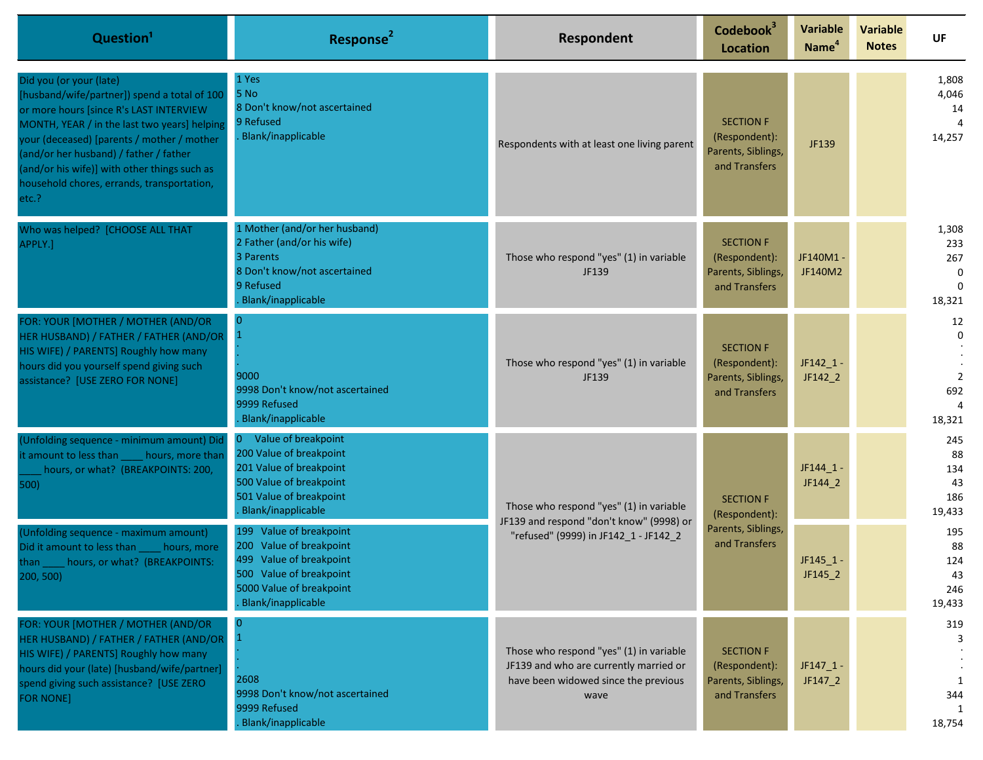| Question <sup>1</sup>                                                                                                                                                                                                                                                                                                                                             | Response <sup>2</sup>                                                                                                                                      | Respondent                                                                                                                        | Codebook <sup>3</sup><br><b>Location</b>                                 | <b>Variable</b><br>Name <sup>4</sup> | <b>Variable</b><br><b>Notes</b> | <b>UF</b>                                         |                                         |
|-------------------------------------------------------------------------------------------------------------------------------------------------------------------------------------------------------------------------------------------------------------------------------------------------------------------------------------------------------------------|------------------------------------------------------------------------------------------------------------------------------------------------------------|-----------------------------------------------------------------------------------------------------------------------------------|--------------------------------------------------------------------------|--------------------------------------|---------------------------------|---------------------------------------------------|-----------------------------------------|
| Did you (or your (late)<br>[husband/wife/partner]) spend a total of 100<br>or more hours [since R's LAST INTERVIEW<br>MONTH, YEAR / in the last two years] helping<br>your (deceased) [parents / mother / mother<br>(and/or her husband) / father / father<br>(and/or his wife)] with other things such as<br>household chores, errands, transportation,<br>etc.? | 1 Yes<br>5 No<br>8 Don't know/not ascertained<br>9 Refused<br>Blank/inapplicable                                                                           | Respondents with at least one living parent                                                                                       | <b>SECTION F</b><br>(Respondent):<br>Parents, Siblings,<br>and Transfers | JF139                                |                                 | 1,808<br>4,046<br>14<br>14,257                    |                                         |
| Who was helped? [CHOOSE ALL THAT<br>APPLY.]                                                                                                                                                                                                                                                                                                                       | 1 Mother (and/or her husband)<br>2 Father (and/or his wife)<br>3 Parents<br>8 Don't know/not ascertained<br>9 Refused<br>Blank/inapplicable                | Those who respond "yes" (1) in variable<br>JF139                                                                                  | <b>SECTION F</b><br>(Respondent):<br>Parents, Siblings,<br>and Transfers | JF140M1 -<br>JF140M2                 |                                 | 1,308<br>233<br>267<br>0<br>$\Omega$<br>18,321    |                                         |
| FOR: YOUR [MOTHER / MOTHER (AND/OR<br>HER HUSBAND) / FATHER / FATHER (AND/OR<br>HIS WIFE) / PARENTS] Roughly how many<br>hours did you yourself spend giving such<br>assistance? [USE ZERO FOR NONE]                                                                                                                                                              | $\overline{0}$<br>9000<br>9998 Don't know/not ascertained<br>9999 Refused<br>Blank/inapplicable                                                            | Those who respond "yes" (1) in variable<br>JF139                                                                                  | <b>SECTION F</b><br>(Respondent):<br>Parents, Siblings,<br>and Transfers | $JF142_1 -$<br>JF142_2               |                                 | 12<br>$\Omega$<br>$\overline{2}$<br>692<br>18,321 |                                         |
| (Unfolding sequence - minimum amount) Did<br>it amount to less than _____ hours, more than<br>hours, or what? (BREAKPOINTS: 200,<br>500)                                                                                                                                                                                                                          | 0 Value of breakpoint<br>200 Value of breakpoint<br>201 Value of breakpoint<br>500 Value of breakpoint<br>501 Value of breakpoint<br>Blank/inapplicable    | Those who respond "yes" (1) in variable<br>JF139 and respond "don't know" (9998) or<br>"refused" (9999) in JF142_1 - JF142_2      | <b>SECTION F</b>                                                         | (Respondent):                        | $JF144_1 -$<br>JF144_2          |                                                   | 245<br>88<br>134<br>43<br>186<br>19,433 |
| (Unfolding sequence - maximum amount)<br>Did it amount to less than<br>hours, more<br>than hours, or what? (BREAKPOINTS:<br>200, 500)                                                                                                                                                                                                                             | 199 Value of breakpoint<br>200 Value of breakpoint<br>499 Value of breakpoint<br>500 Value of breakpoint<br>5000 Value of breakpoint<br>Blank/inapplicable |                                                                                                                                   |                                                                          | Parents, Siblings,<br>and Transfers  | $JF145_1 -$<br>$JF145_2$        |                                                   | 195<br>88<br>124<br>43<br>246<br>19,433 |
| FOR: YOUR [MOTHER / MOTHER (AND/OR<br>HER HUSBAND) / FATHER / FATHER (AND/OR<br>HIS WIFE) / PARENTS] Roughly how many<br>hours did your (late) [husband/wife/partner]<br>spend giving such assistance? [USE ZERO<br><b>FOR NONE]</b>                                                                                                                              | 0<br>$\blacksquare$<br>2608<br>9998 Don't know/not ascertained<br>9999 Refused<br>Blank/inapplicable                                                       | Those who respond "yes" (1) in variable<br>JF139 and who are currently married or<br>have been widowed since the previous<br>wave | <b>SECTION F</b><br>(Respondent):<br>Parents, Siblings,<br>and Transfers | $JF147_1 -$<br>JF147_2               |                                 | 319<br>3<br>344<br>18,754                         |                                         |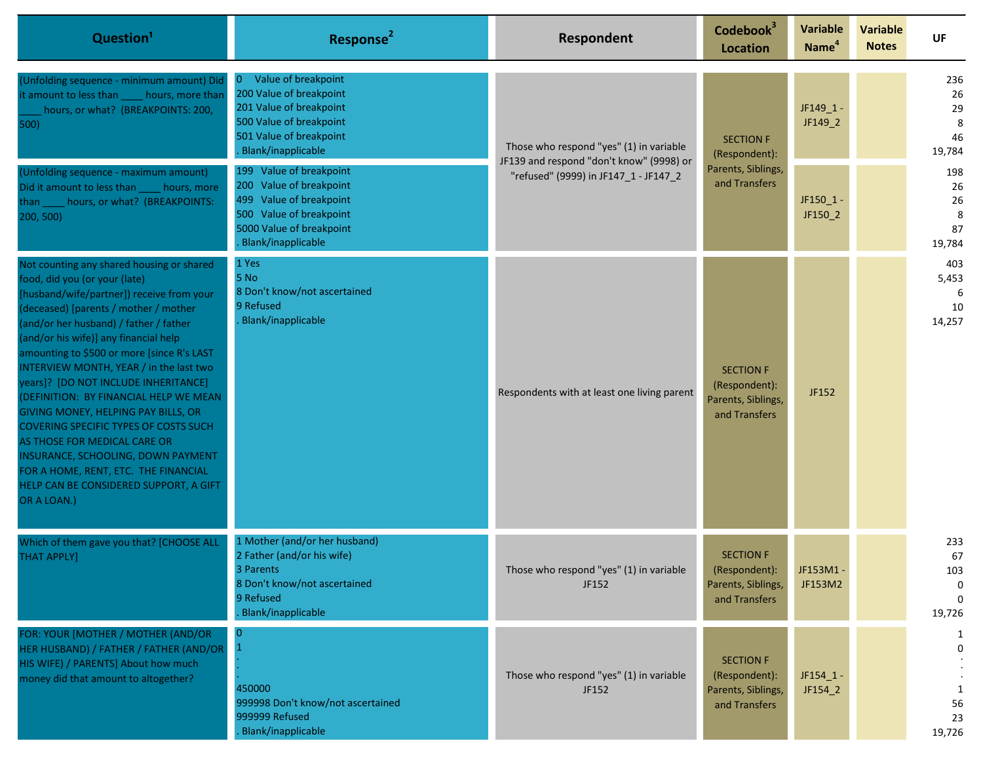| Question <sup>1</sup>                                                                                                                                                                                                                                                                                                                                                                                                                                                                                                                                                                                                                                                                 | Response <sup>2</sup>                                                                                                                                      | Respondent                                                                                                                   | Codebook <sup>3</sup><br>Location                                        | <b>Variable</b><br>Name <sup>4</sup> | <b>Variable</b><br><b>Notes</b> | UF                                          |                                      |
|---------------------------------------------------------------------------------------------------------------------------------------------------------------------------------------------------------------------------------------------------------------------------------------------------------------------------------------------------------------------------------------------------------------------------------------------------------------------------------------------------------------------------------------------------------------------------------------------------------------------------------------------------------------------------------------|------------------------------------------------------------------------------------------------------------------------------------------------------------|------------------------------------------------------------------------------------------------------------------------------|--------------------------------------------------------------------------|--------------------------------------|---------------------------------|---------------------------------------------|--------------------------------------|
| (Unfolding sequence - minimum amount) Did<br>it amount to less than<br>hours, more than<br>hours, or what? (BREAKPOINTS: 200,<br>500)                                                                                                                                                                                                                                                                                                                                                                                                                                                                                                                                                 | Value of breakpoint<br>0<br>200 Value of breakpoint<br>201 Value of breakpoint<br>500 Value of breakpoint<br>501 Value of breakpoint<br>Blank/inapplicable | Those who respond "yes" (1) in variable<br>JF139 and respond "don't know" (9998) or<br>"refused" (9999) in JF147_1 - JF147_2 | <b>SECTION F</b><br>(Respondent):                                        |                                      | JF149_1 -<br>JF149_2            |                                             | 236<br>26<br>29<br>8<br>46<br>19,784 |
| (Unfolding sequence - maximum amount)<br>Did it amount to less than<br>hours, more<br>hours, or what? (BREAKPOINTS:<br>than l<br>200, 500)                                                                                                                                                                                                                                                                                                                                                                                                                                                                                                                                            | 199 Value of breakpoint<br>200 Value of breakpoint<br>499 Value of breakpoint<br>500 Value of breakpoint<br>5000 Value of breakpoint<br>Blank/inapplicable |                                                                                                                              | Parents, Siblings,<br>and Transfers                                      | JF150_1 -<br>JF150_2                 |                                 | 198<br>26<br>26<br>8<br>87<br>19,784        |                                      |
| Not counting any shared housing or shared<br>food, did you (or your (late)<br>[husband/wife/partner]) receive from your<br>(deceased) [parents / mother / mother<br>(and/or her husband) / father / father<br>(and/or his wife)] any financial help<br>amounting to \$500 or more [since R's LAST<br>INTERVIEW MONTH, YEAR / in the last two<br>years]? [DO NOT INCLUDE INHERITANCE]<br>(DEFINITION: BY FINANCIAL HELP WE MEAN<br>GIVING MONEY, HELPING PAY BILLS, OR<br>COVERING SPECIFIC TYPES OF COSTS SUCH<br>AS THOSE FOR MEDICAL CARE OR<br>INSURANCE, SCHOOLING, DOWN PAYMENT<br>FOR A HOME, RENT, ETC. THE FINANCIAL<br>HELP CAN BE CONSIDERED SUPPORT, A GIFT<br>OR A LOAN.) | 1 Yes<br>5 No<br>8 Don't know/not ascertained<br>9 Refused<br>Blank/inapplicable                                                                           | Respondents with at least one living parent                                                                                  | <b>SECTION F</b><br>(Respondent):<br>Parents, Siblings,<br>and Transfers | JF152                                |                                 | 403<br>5,453<br>10<br>14,257                |                                      |
| Which of them gave you that? [CHOOSE ALL<br><b>THAT APPLY]</b>                                                                                                                                                                                                                                                                                                                                                                                                                                                                                                                                                                                                                        | 1 Mother (and/or her husband)<br>2 Father (and/or his wife)<br>3 Parents<br>8 Don't know/not ascertained<br>9 Refused<br>Blank/inapplicable                | Those who respond "yes" (1) in variable<br>JF152                                                                             | <b>SECTION F</b><br>(Respondent):<br>Parents, Siblings,<br>and Transfers | JF153M1-<br>JF153M2                  |                                 | 233<br>67<br>103<br>0<br>$\Omega$<br>19,726 |                                      |
| FOR: YOUR [MOTHER / MOTHER (AND/OR<br>HER HUSBAND) / FATHER / FATHER (AND/OR<br>HIS WIFE) / PARENTS] About how much<br>money did that amount to altogether?                                                                                                                                                                                                                                                                                                                                                                                                                                                                                                                           | $\mathbf{0}$<br>$\mathbf{1}$<br>450000<br>999998 Don't know/not ascertained<br>999999 Refused<br>Blank/inapplicable                                        | Those who respond "yes" (1) in variable<br>JF152                                                                             | <b>SECTION F</b><br>(Respondent):<br>Parents, Siblings,<br>and Transfers | $JF154_1 -$<br>JF154_2               |                                 | 1<br>0<br>1<br>56<br>23<br>19,726           |                                      |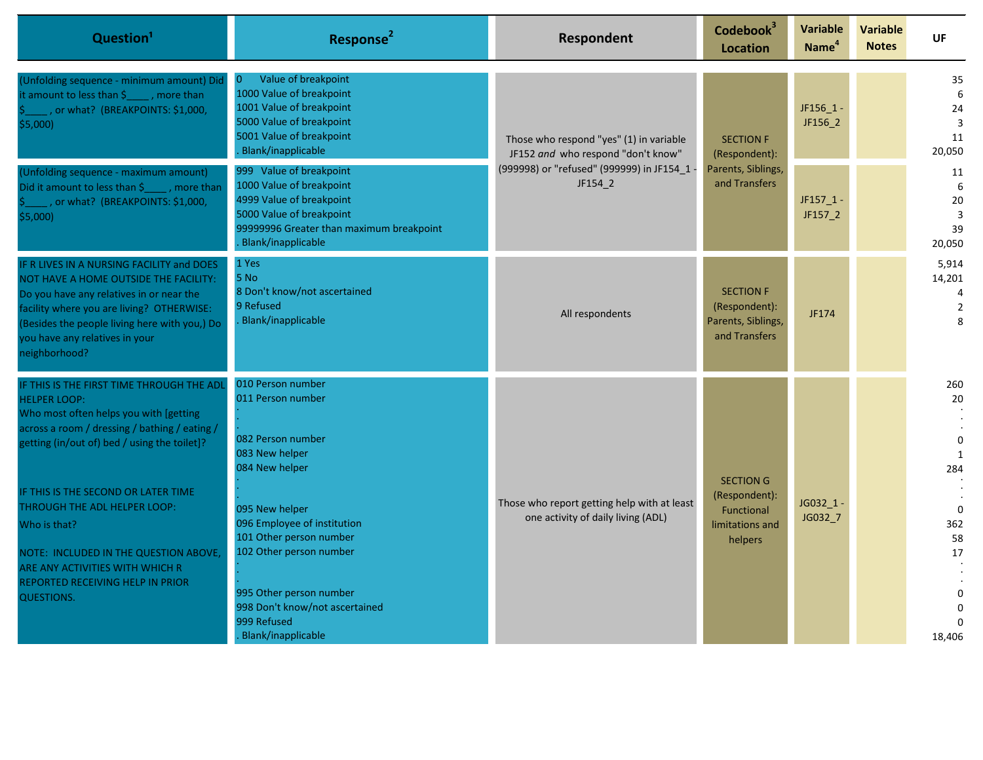| Question <sup>1</sup>                                                                                                                                                                                                                                                                                                                                                                                                                   | Response <sup>2</sup>                                                                                                                                                                                                                                                                                    | <b>Respondent</b>                                                                                                                       | Codebook <sup>3</sup><br><b>Location</b>                                      | <b>Variable</b><br>Name <sup>4</sup> | <b>Variable</b><br><b>Notes</b> | UF                                                                                                       |
|-----------------------------------------------------------------------------------------------------------------------------------------------------------------------------------------------------------------------------------------------------------------------------------------------------------------------------------------------------------------------------------------------------------------------------------------|----------------------------------------------------------------------------------------------------------------------------------------------------------------------------------------------------------------------------------------------------------------------------------------------------------|-----------------------------------------------------------------------------------------------------------------------------------------|-------------------------------------------------------------------------------|--------------------------------------|---------------------------------|----------------------------------------------------------------------------------------------------------|
| (Unfolding sequence - minimum amount) Did<br>it amount to less than $\frac{1}{2}$ , more than<br>_, or what? (BREAKPOINTS: \$1,000,<br>\$5,000)                                                                                                                                                                                                                                                                                         | Value of breakpoint<br>$\overline{0}$<br>1000 Value of breakpoint<br>1001 Value of breakpoint<br>5000 Value of breakpoint<br>5001 Value of breakpoint<br>Blank/inapplicable                                                                                                                              | Those who respond "yes" (1) in variable<br>JF152 and who respond "don't know"<br>(999998) or "refused" (999999) in JF154_1 -<br>JF154_2 | <b>SECTION F</b><br>(Respondent):                                             | JF156_1 -<br>JF156_2                 |                                 | 35<br>6<br>24<br>3<br>11<br>20,050                                                                       |
| (Unfolding sequence - maximum amount)<br>Did it amount to less than \$_____, more than<br>, or what? (BREAKPOINTS: \$1,000,<br>\$5,000)                                                                                                                                                                                                                                                                                                 | 999 Value of breakpoint<br>1000 Value of breakpoint<br>4999 Value of breakpoint<br>5000 Value of breakpoint<br>99999996 Greater than maximum breakpoint<br>Blank/inapplicable                                                                                                                            |                                                                                                                                         |                                                                               | Parents, Siblings,<br>and Transfers  | $JF157_1 -$<br>JF157_2          |                                                                                                          |
| IF R LIVES IN A NURSING FACILITY and DOES<br>NOT HAVE A HOME OUTSIDE THE FACILITY:<br>Do you have any relatives in or near the<br>facility where you are living? OTHERWISE:<br>(Besides the people living here with you,) Do<br>you have any relatives in your<br>neighborhood?                                                                                                                                                         | 1 Yes<br>5 No<br>8 Don't know/not ascertained<br>9 Refused<br>Blank/inapplicable                                                                                                                                                                                                                         | All respondents                                                                                                                         | <b>SECTION F</b><br>(Respondent):<br>Parents, Siblings,<br>and Transfers      | JF174                                |                                 | 5,914<br>14,201<br>4<br>$\overline{2}$<br>8                                                              |
| IF THIS IS THE FIRST TIME THROUGH THE ADL<br><b>HELPER LOOP:</b><br>Who most often helps you with [getting<br>across a room / dressing / bathing / eating /<br>getting (in/out of) bed / using the toilet]?<br>IF THIS IS THE SECOND OR LATER TIME<br>THROUGH THE ADL HELPER LOOP:<br>Who is that?<br>NOTE: INCLUDED IN THE QUESTION ABOVE,<br>ARE ANY ACTIVITIES WITH WHICH R<br>REPORTED RECEIVING HELP IN PRIOR<br><b>QUESTIONS.</b> | 010 Person number<br>011 Person number<br>082 Person number<br>083 New helper<br>084 New helper<br>095 New helper<br>096 Employee of institution<br>101 Other person number<br>102 Other person number<br>995 Other person number<br>998 Don't know/not ascertained<br>999 Refused<br>Blank/inapplicable | Those who report getting help with at least<br>one activity of daily living (ADL)                                                       | <b>SECTION G</b><br>(Respondent):<br>Functional<br>limitations and<br>helpers | JG032 1-<br>JG032_7                  |                                 | 260<br>20<br>$\pmb{0}$<br>$\mathbf{1}$<br>284<br>$\overline{0}$<br>362<br>58<br>17<br>$\Omega$<br>18,406 |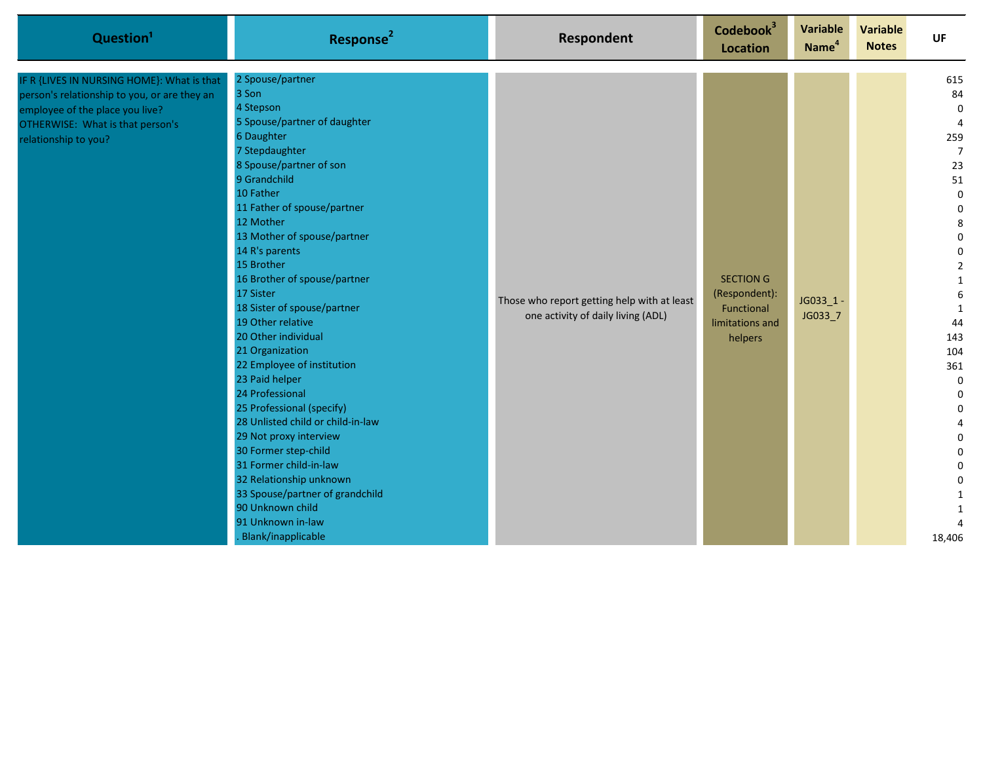| Question <sup>1</sup>                                                                                                                                                                     | Response <sup>2</sup>                                                                                                                                                                                                                                                                                                                                                                                                                                                                                                                                                                                                                                                                                                                                              | <b>Respondent</b>                                                                 | Codebook <sup>3</sup><br><b>Location</b>                                      | <b>Variable</b><br>Name <sup>4</sup> | Variable<br><b>Notes</b> | UF                                                                                                                                                                                                                                                                                                                                                                                            |
|-------------------------------------------------------------------------------------------------------------------------------------------------------------------------------------------|--------------------------------------------------------------------------------------------------------------------------------------------------------------------------------------------------------------------------------------------------------------------------------------------------------------------------------------------------------------------------------------------------------------------------------------------------------------------------------------------------------------------------------------------------------------------------------------------------------------------------------------------------------------------------------------------------------------------------------------------------------------------|-----------------------------------------------------------------------------------|-------------------------------------------------------------------------------|--------------------------------------|--------------------------|-----------------------------------------------------------------------------------------------------------------------------------------------------------------------------------------------------------------------------------------------------------------------------------------------------------------------------------------------------------------------------------------------|
| IF R {LIVES IN NURSING HOME}: What is that<br>person's relationship to you, or are they an<br>employee of the place you live?<br>OTHERWISE: What is that person's<br>relationship to you? | 2 Spouse/partner<br>3 Son<br>4 Stepson<br>5 Spouse/partner of daughter<br>6 Daughter<br>7 Stepdaughter<br>8 Spouse/partner of son<br>9 Grandchild<br>10 Father<br>11 Father of spouse/partner<br>12 Mother<br>13 Mother of spouse/partner<br>14 R's parents<br>15 Brother<br>16 Brother of spouse/partner<br>17 Sister<br>18 Sister of spouse/partner<br>19 Other relative<br>20 Other individual<br>21 Organization<br>22 Employee of institution<br>23 Paid helper<br>24 Professional<br>25 Professional (specify)<br>28 Unlisted child or child-in-law<br>29 Not proxy interview<br>30 Former step-child<br>31 Former child-in-law<br>32 Relationship unknown<br>33 Spouse/partner of grandchild<br>90 Unknown child<br>91 Unknown in-law<br>Blank/inapplicable | Those who report getting help with at least<br>one activity of daily living (ADL) | <b>SECTION G</b><br>(Respondent):<br>Functional<br>limitations and<br>helpers | JG033_1-<br>JG033_7                  |                          | 615<br>84<br>$\mathbf 0$<br>$\overline{4}$<br>259<br>$\overline{7}$<br>23<br>51<br>$\mathbf 0$<br>$\boldsymbol{0}$<br>8<br>$\pmb{0}$<br>$\pmb{0}$<br>$\overline{2}$<br>$\mathbf{1}$<br>$\boldsymbol{6}$<br>1<br>44<br>143<br>104<br>361<br>$\boldsymbol{0}$<br>$\boldsymbol{0}$<br>$\mathbf 0$<br>$\overline{4}$<br>0<br>$\pmb{0}$<br>$\pmb{0}$<br>$\mathbf 0$<br>1<br>$\mathbf{1}$<br>18,406 |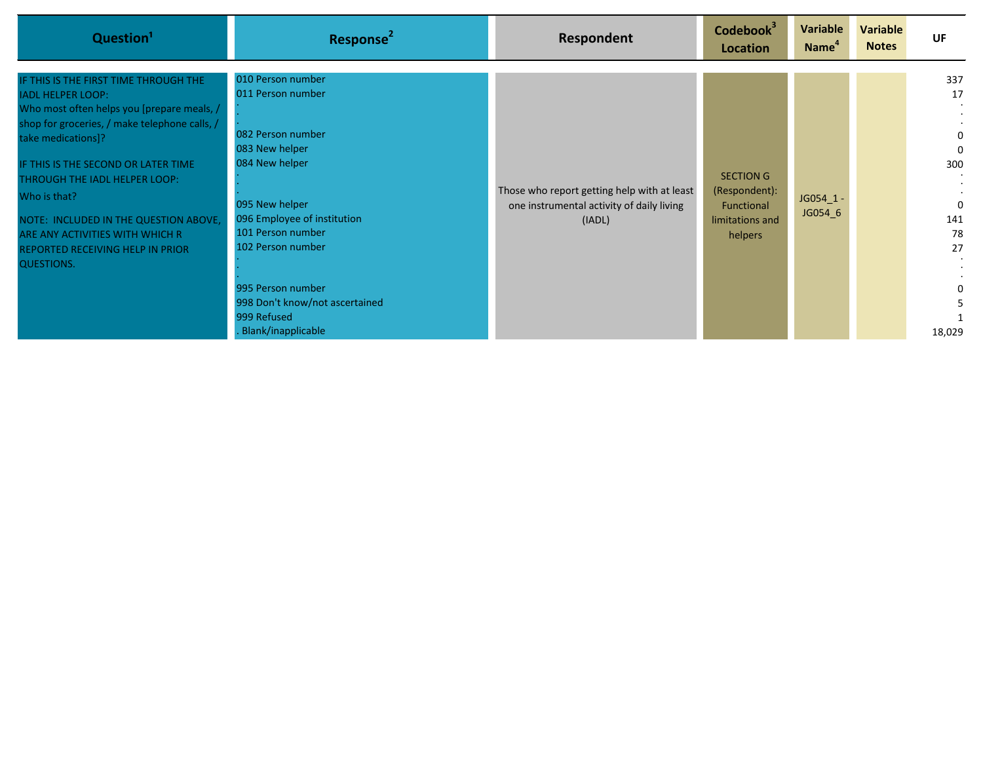| Question <sup>1</sup>                                                                                                                                                                                                                                                                                                                                                                                               | Response <sup>2</sup>                                                                                                                                                                                                                                                                         | Respondent                                                                                         | Codebook <sup>3</sup><br>Location                                      | Variable<br>Name <sup>"</sup> | Variable<br><b>Notes</b> | <b>UF</b>                                                                    |
|---------------------------------------------------------------------------------------------------------------------------------------------------------------------------------------------------------------------------------------------------------------------------------------------------------------------------------------------------------------------------------------------------------------------|-----------------------------------------------------------------------------------------------------------------------------------------------------------------------------------------------------------------------------------------------------------------------------------------------|----------------------------------------------------------------------------------------------------|------------------------------------------------------------------------|-------------------------------|--------------------------|------------------------------------------------------------------------------|
| IF THIS IS THE FIRST TIME THROUGH THE<br><b>IADL HELPER LOOP:</b><br>Who most often helps you [prepare meals, /<br>shop for groceries, / make telephone calls, /<br>take medications]?<br>IF THIS IS THE SECOND OR LATER TIME<br>THROUGH THE IADL HELPER LOOP:<br>Who is that?<br>NOTE: INCLUDED IN THE QUESTION ABOVE,<br>ARE ANY ACTIVITIES WITH WHICH R<br>REPORTED RECEIVING HELP IN PRIOR<br><b>QUESTIONS.</b> | 010 Person number<br>011 Person number<br>082 Person number<br>083 New helper<br>084 New helper<br>095 New helper<br>096 Employee of institution<br>101 Person number<br>102 Person number<br>995 Person number<br>998 Don't know/not ascertained<br>999 Refused<br><b>Blank/inapplicable</b> | Those who report getting help with at least<br>one instrumental activity of daily living<br>(IADL) | SECTION G<br>(Respondent):<br>Functional<br>limitations and<br>helpers | JG054_1 -<br>JG054 6          |                          | 337<br>17<br>0<br>0<br>300<br>$\mathbf{0}$<br>141<br>78<br>27<br>0<br>18,029 |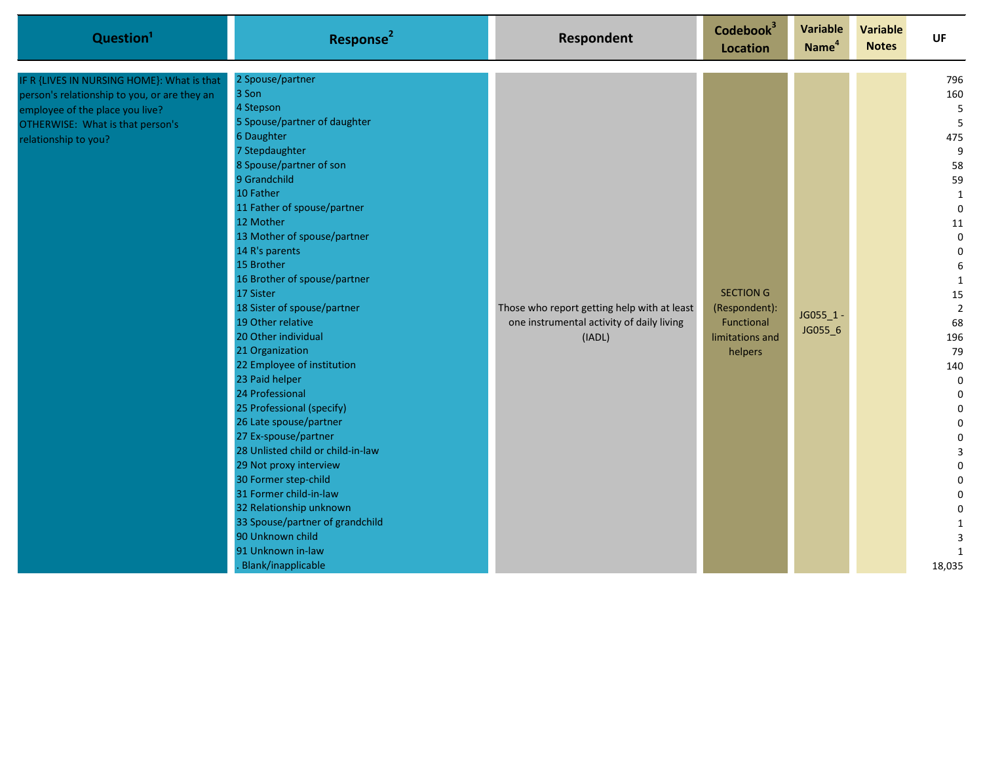| Question <sup>1</sup>                                                                                                                                                                     | Response <sup>2</sup>                                                                                                                                                                                                                                                                                                                                                                                                                                                                                                                                                                                                                                                                                                                                                                                                | <b>Respondent</b>                                                                                  | Codebook <sup>3</sup><br><b>Location</b>                                      | <b>Variable</b><br>Name <sup>4</sup> | Variable<br><b>Notes</b> | <b>UF</b>                                                                                                                                                                                                                                                                                                                                                           |
|-------------------------------------------------------------------------------------------------------------------------------------------------------------------------------------------|----------------------------------------------------------------------------------------------------------------------------------------------------------------------------------------------------------------------------------------------------------------------------------------------------------------------------------------------------------------------------------------------------------------------------------------------------------------------------------------------------------------------------------------------------------------------------------------------------------------------------------------------------------------------------------------------------------------------------------------------------------------------------------------------------------------------|----------------------------------------------------------------------------------------------------|-------------------------------------------------------------------------------|--------------------------------------|--------------------------|---------------------------------------------------------------------------------------------------------------------------------------------------------------------------------------------------------------------------------------------------------------------------------------------------------------------------------------------------------------------|
| IF R {LIVES IN NURSING HOME}: What is that<br>person's relationship to you, or are they an<br>employee of the place you live?<br>OTHERWISE: What is that person's<br>relationship to you? | 2 Spouse/partner<br>3 Son<br>4 Stepson<br>5 Spouse/partner of daughter<br>6 Daughter<br>7 Stepdaughter<br>8 Spouse/partner of son<br>9 Grandchild<br>10 Father<br>11 Father of spouse/partner<br>12 Mother<br>13 Mother of spouse/partner<br>14 R's parents<br>15 Brother<br>16 Brother of spouse/partner<br>17 Sister<br>18 Sister of spouse/partner<br>19 Other relative<br>20 Other individual<br>21 Organization<br>22 Employee of institution<br>23 Paid helper<br>24 Professional<br>25 Professional (specify)<br>26 Late spouse/partner<br>27 Ex-spouse/partner<br>28 Unlisted child or child-in-law<br>29 Not proxy interview<br>30 Former step-child<br>31 Former child-in-law<br>32 Relationship unknown<br>33 Spouse/partner of grandchild<br>90 Unknown child<br>91 Unknown in-law<br>Blank/inapplicable | Those who report getting help with at least<br>one instrumental activity of daily living<br>(IADL) | <b>SECTION G</b><br>(Respondent):<br>Functional<br>limitations and<br>helpers | JG055_1 -<br>JG055_6                 |                          | 796<br>160<br>5<br>5<br>475<br>$\boldsymbol{9}$<br>58<br>59<br>$\mathbf{1}$<br>$\mathbf 0$<br>$11\,$<br>$\pmb{0}$<br>$\mathbf 0$<br>$\boldsymbol{6}$<br>$\mathbf{1}$<br>15<br>$\overline{2}$<br>68<br>196<br>79<br>140<br>$\pmb{0}$<br>$\mathbf 0$<br>0<br>0<br>$\pmb{0}$<br>3<br>$\mathbf 0$<br>0<br>0<br>$\pmb{0}$<br>$\mathbf{1}$<br>3<br>$\mathbf{1}$<br>18,035 |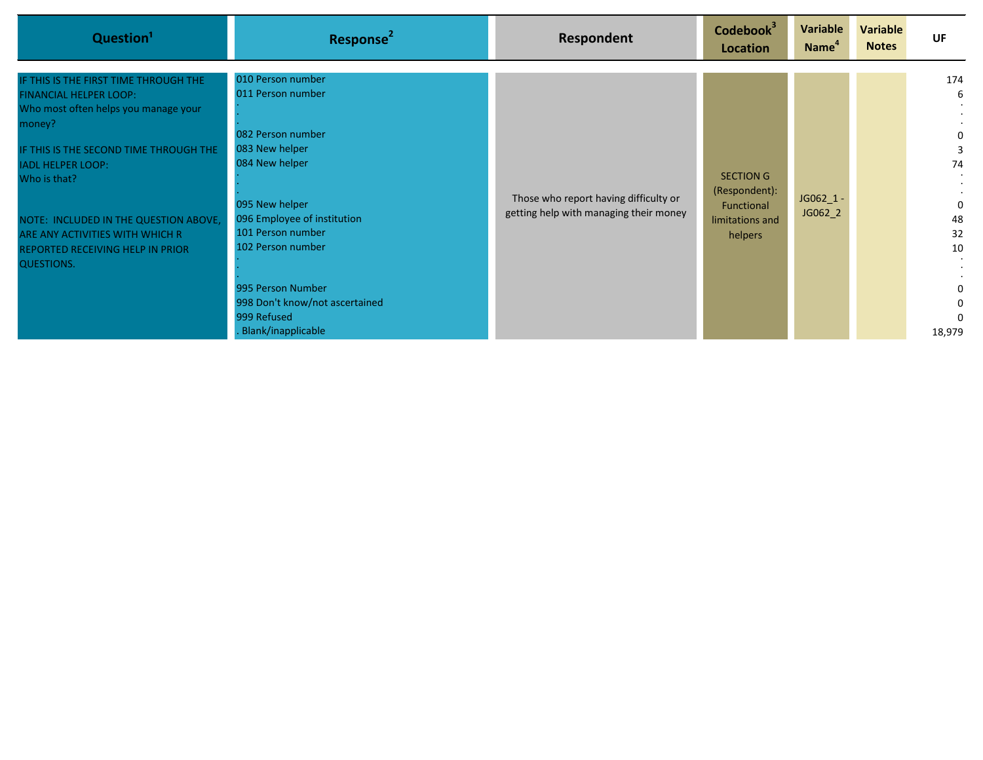| Question <sup>1</sup>                                                                                                                                                                                                                                                                                                                                      | Response <sup>2</sup>                                                                                                                                                                                                                                                                  | Respondent                                                                      | Codebook <sup>3</sup><br>Location                                             | Variable<br>Name <sup>4</sup> | <b>Variable</b><br><b>Notes</b> | UF                                                                           |
|------------------------------------------------------------------------------------------------------------------------------------------------------------------------------------------------------------------------------------------------------------------------------------------------------------------------------------------------------------|----------------------------------------------------------------------------------------------------------------------------------------------------------------------------------------------------------------------------------------------------------------------------------------|---------------------------------------------------------------------------------|-------------------------------------------------------------------------------|-------------------------------|---------------------------------|------------------------------------------------------------------------------|
| IF THIS IS THE FIRST TIME THROUGH THE<br><b>FINANCIAL HELPER LOOP:</b><br>Who most often helps you manage your<br>money?<br>IF THIS IS THE SECOND TIME THROUGH THE<br><b>IADL HELPER LOOP:</b><br>Who is that?<br>NOTE: INCLUDED IN THE QUESTION ABOVE,<br>ARE ANY ACTIVITIES WITH WHICH R<br><b>REPORTED RECEIVING HELP IN PRIOR</b><br><b>QUESTIONS.</b> | 010 Person number<br>011 Person number<br>082 Person number<br>083 New helper<br>084 New helper<br>095 New helper<br>096 Employee of institution<br>101 Person number<br>102 Person number<br>995 Person Number<br>998 Don't know/not ascertained<br>999 Refused<br>Blank/inapplicable | Those who report having difficulty or<br>getting help with managing their money | <b>SECTION G</b><br>(Respondent):<br>Functional<br>limitations and<br>helpers | JG062_1 -<br>JG062_2          |                                 | 174<br>6<br>0<br>74<br>$\Omega$<br>48<br>32<br>10<br>$\Omega$<br>0<br>18,979 |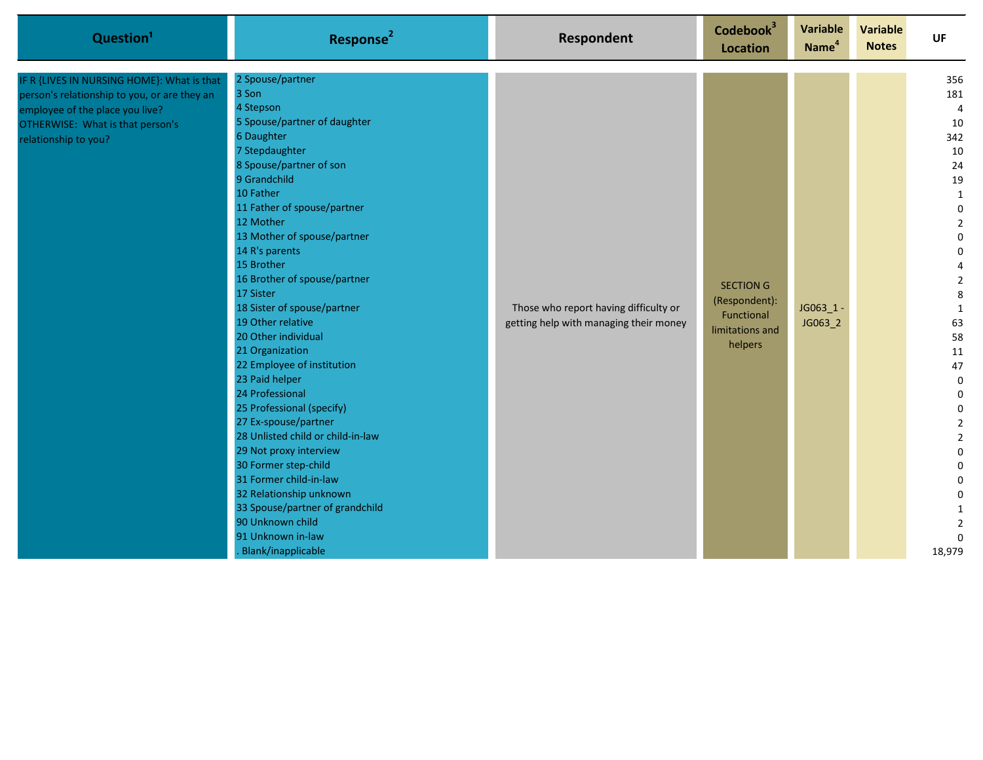| Question <sup>1</sup>                                                                                                                                                                     | Response <sup>2</sup>                                                                                                                                                                                                                                                                                                                                                                                                                                                                                                                                                                                                                                                                                                                                                                      | <b>Respondent</b>                                                               | Codebook <sup>3</sup><br>Location                                             | <b>Variable</b><br>Name <sup>4</sup> | Variable<br><b>Notes</b> | <b>UF</b>                                                                                                                                                                                                                                                                                                                                                  |
|-------------------------------------------------------------------------------------------------------------------------------------------------------------------------------------------|--------------------------------------------------------------------------------------------------------------------------------------------------------------------------------------------------------------------------------------------------------------------------------------------------------------------------------------------------------------------------------------------------------------------------------------------------------------------------------------------------------------------------------------------------------------------------------------------------------------------------------------------------------------------------------------------------------------------------------------------------------------------------------------------|---------------------------------------------------------------------------------|-------------------------------------------------------------------------------|--------------------------------------|--------------------------|------------------------------------------------------------------------------------------------------------------------------------------------------------------------------------------------------------------------------------------------------------------------------------------------------------------------------------------------------------|
| IF R {LIVES IN NURSING HOME}: What is that<br>person's relationship to you, or are they an<br>employee of the place you live?<br>OTHERWISE: What is that person's<br>relationship to you? | 2 Spouse/partner<br>3 Son<br>4 Stepson<br>5 Spouse/partner of daughter<br>6 Daughter<br>7 Stepdaughter<br>8 Spouse/partner of son<br>9 Grandchild<br>10 Father<br>11 Father of spouse/partner<br>12 Mother<br>13 Mother of spouse/partner<br>14 R's parents<br>15 Brother<br>16 Brother of spouse/partner<br>17 Sister<br>18 Sister of spouse/partner<br>19 Other relative<br>20 Other individual<br>21 Organization<br>22 Employee of institution<br>23 Paid helper<br>24 Professional<br>25 Professional (specify)<br>27 Ex-spouse/partner<br>28 Unlisted child or child-in-law<br>29 Not proxy interview<br>30 Former step-child<br>31 Former child-in-law<br>32 Relationship unknown<br>33 Spouse/partner of grandchild<br>90 Unknown child<br>91 Unknown in-law<br>Blank/inapplicable | Those who report having difficulty or<br>getting help with managing their money | <b>SECTION G</b><br>(Respondent):<br>Functional<br>limitations and<br>helpers | $JG063_1 -$<br>JG063_2               |                          | 356<br>181<br>$\overline{4}$<br>10<br>342<br>10<br>24<br>19<br>$\mathbf{1}$<br>$\pmb{0}$<br>$\overline{2}$<br>$\pmb{0}$<br>0<br>4<br>$\overline{2}$<br>8<br>$\mathbf{1}$<br>63<br>58<br>11<br>47<br>$\mathbf 0$<br>$\pmb{0}$<br>$\mathbf 0$<br>$\mathbf 2$<br>$\mathbf 2$<br>$\pmb{0}$<br>$\pmb{0}$<br>0<br>0<br>1<br>$\overline{2}$<br>$\Omega$<br>18,979 |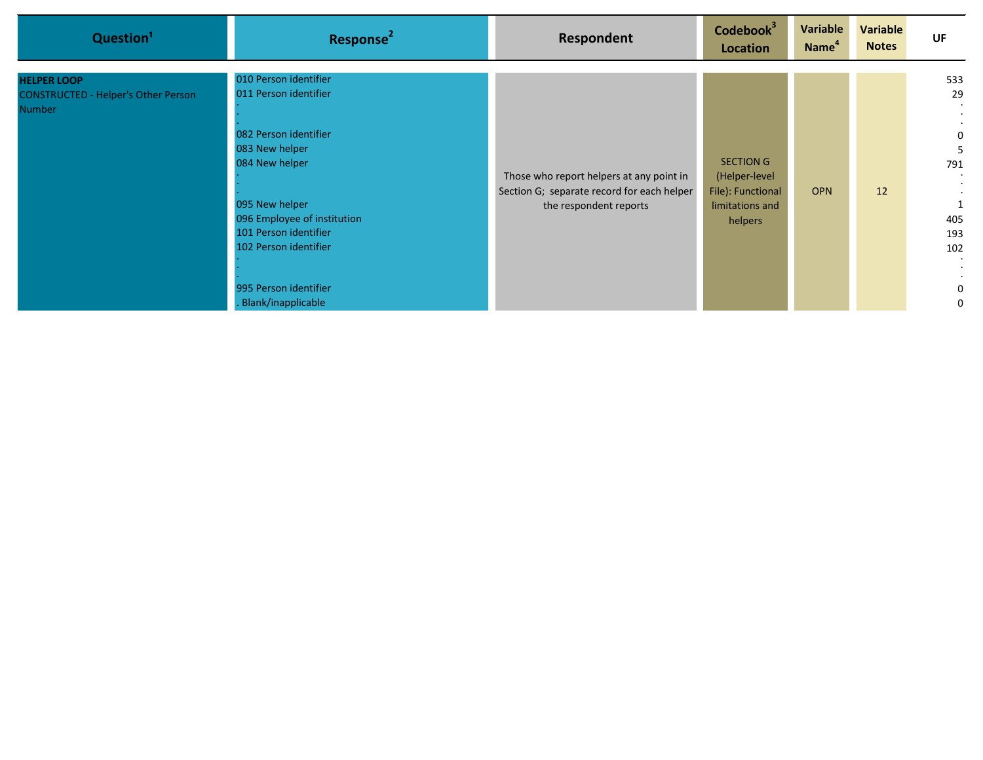| Question <sup>1</sup>                                                             | Response <sup>2</sup>                                                                                                                                                                                                                                         | <b>Respondent</b>                                                                                                | Codebook <sup>3</sup><br>Location                                                    | Variable<br>Name <sup>4</sup> | Variable<br><b>Notes</b> | UF                                                                   |
|-----------------------------------------------------------------------------------|---------------------------------------------------------------------------------------------------------------------------------------------------------------------------------------------------------------------------------------------------------------|------------------------------------------------------------------------------------------------------------------|--------------------------------------------------------------------------------------|-------------------------------|--------------------------|----------------------------------------------------------------------|
| <b>HELPER LOOP</b><br><b>CONSTRUCTED - Helper's Other Person</b><br><b>Number</b> | 010 Person identifier<br>011 Person identifier<br>082 Person identifier<br>083 New helper<br>084 New helper<br>095 New helper<br>096 Employee of institution<br>101 Person identifier<br>102 Person identifier<br>995 Person identifier<br>Blank/inapplicable | Those who report helpers at any point in<br>Section G; separate record for each helper<br>the respondent reports | <b>SECTION G</b><br>(Helper-level<br>File): Functional<br>limitations and<br>helpers | <b>OPN</b>                    | 12                       | 533<br>29<br>0<br>5<br>791<br>$\cdot$<br>405<br>193<br>102<br>0<br>0 |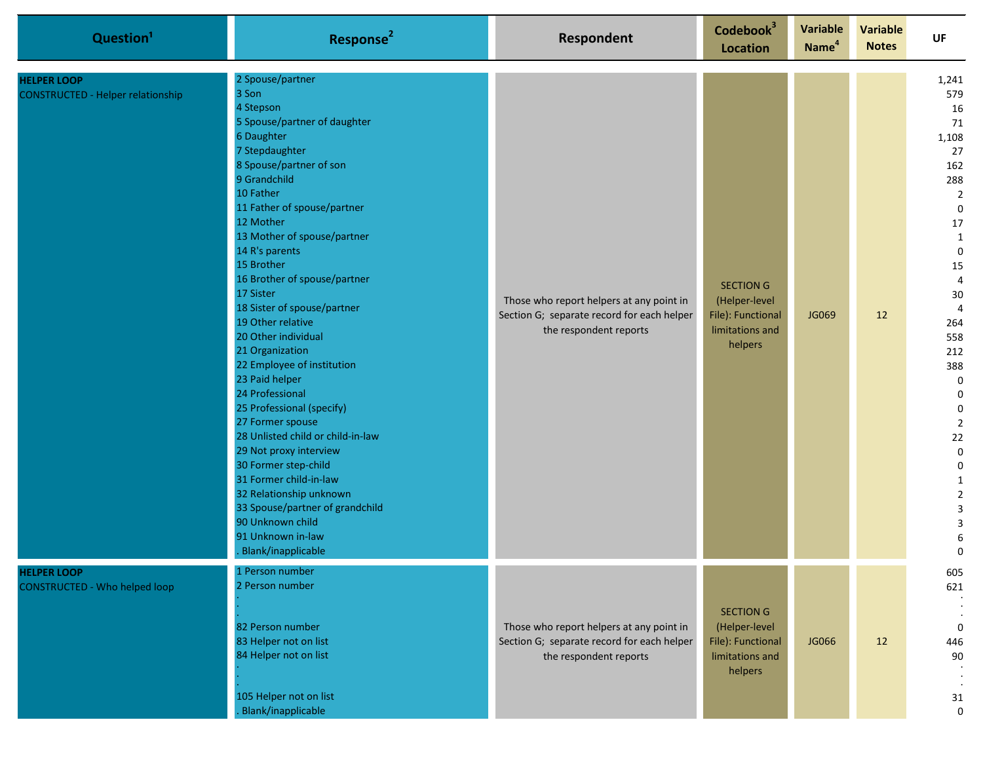| Question <sup>1</sup>                                          | Response <sup>2</sup>                                                                                                                                                                                                                                                                                                                                                                                                                                                                                                                                                                                                                                                                                                                                                                  | <b>Respondent</b>                                                                                                | Codebook <sup>3</sup><br>Location                                                    | Variable<br>Name <sup>4</sup> | <b>Variable</b><br><b>Notes</b> | <b>UF</b>                                                                                                                                                                                                                                                                                                                                                                                                    |
|----------------------------------------------------------------|----------------------------------------------------------------------------------------------------------------------------------------------------------------------------------------------------------------------------------------------------------------------------------------------------------------------------------------------------------------------------------------------------------------------------------------------------------------------------------------------------------------------------------------------------------------------------------------------------------------------------------------------------------------------------------------------------------------------------------------------------------------------------------------|------------------------------------------------------------------------------------------------------------------|--------------------------------------------------------------------------------------|-------------------------------|---------------------------------|--------------------------------------------------------------------------------------------------------------------------------------------------------------------------------------------------------------------------------------------------------------------------------------------------------------------------------------------------------------------------------------------------------------|
| <b>HELPER LOOP</b><br><b>CONSTRUCTED - Helper relationship</b> | 2 Spouse/partner<br>3 Son<br>4 Stepson<br>5 Spouse/partner of daughter<br>6 Daughter<br>7 Stepdaughter<br>8 Spouse/partner of son<br>9 Grandchild<br>10 Father<br>11 Father of spouse/partner<br>12 Mother<br>13 Mother of spouse/partner<br>14 R's parents<br>15 Brother<br>16 Brother of spouse/partner<br>17 Sister<br>18 Sister of spouse/partner<br>19 Other relative<br>20 Other individual<br>21 Organization<br>22 Employee of institution<br>23 Paid helper<br>24 Professional<br>25 Professional (specify)<br>27 Former spouse<br>28 Unlisted child or child-in-law<br>29 Not proxy interview<br>30 Former step-child<br>31 Former child-in-law<br>32 Relationship unknown<br>33 Spouse/partner of grandchild<br>90 Unknown child<br>91 Unknown in-law<br>Blank/inapplicable | Those who report helpers at any point in<br>Section G; separate record for each helper<br>the respondent reports | <b>SECTION G</b><br>(Helper-level<br>File): Functional<br>limitations and<br>helpers | <b>JG069</b>                  | 12                              | 1,241<br>579<br>16<br>71<br>1,108<br>27<br>162<br>288<br>$\mathbf 2$<br>$\pmb{0}$<br>17<br>$\mathbf{1}$<br>$\mathbf 0$<br>15<br>$\overline{a}$<br>$30\,$<br>$\overline{4}$<br>264<br>558<br>212<br>388<br>$\pmb{0}$<br>$\mathbf 0$<br>$\pmb{0}$<br>$\mathbf 2$<br>$22\,$<br>$\pmb{0}$<br>$\pmb{0}$<br>$\mathbf 1$<br>$\mathbf 2$<br>$\ensuremath{\mathsf{3}}$<br>$\overline{\mathbf{3}}$<br>6<br>$\mathbf 0$ |
| <b>HELPER LOOP</b><br><b>CONSTRUCTED - Who helped loop</b>     | 1 Person number<br>2 Person number<br>82 Person number<br>83 Helper not on list<br>84 Helper not on list<br>105 Helper not on list<br>Blank/inapplicable                                                                                                                                                                                                                                                                                                                                                                                                                                                                                                                                                                                                                               | Those who report helpers at any point in<br>Section G; separate record for each helper<br>the respondent reports | <b>SECTION G</b><br>(Helper-level<br>File): Functional<br>limitations and<br>helpers | JG066                         | 12                              | 605<br>621<br>$\boldsymbol{0}$<br>446<br>90<br>31<br>$\mathbf 0$                                                                                                                                                                                                                                                                                                                                             |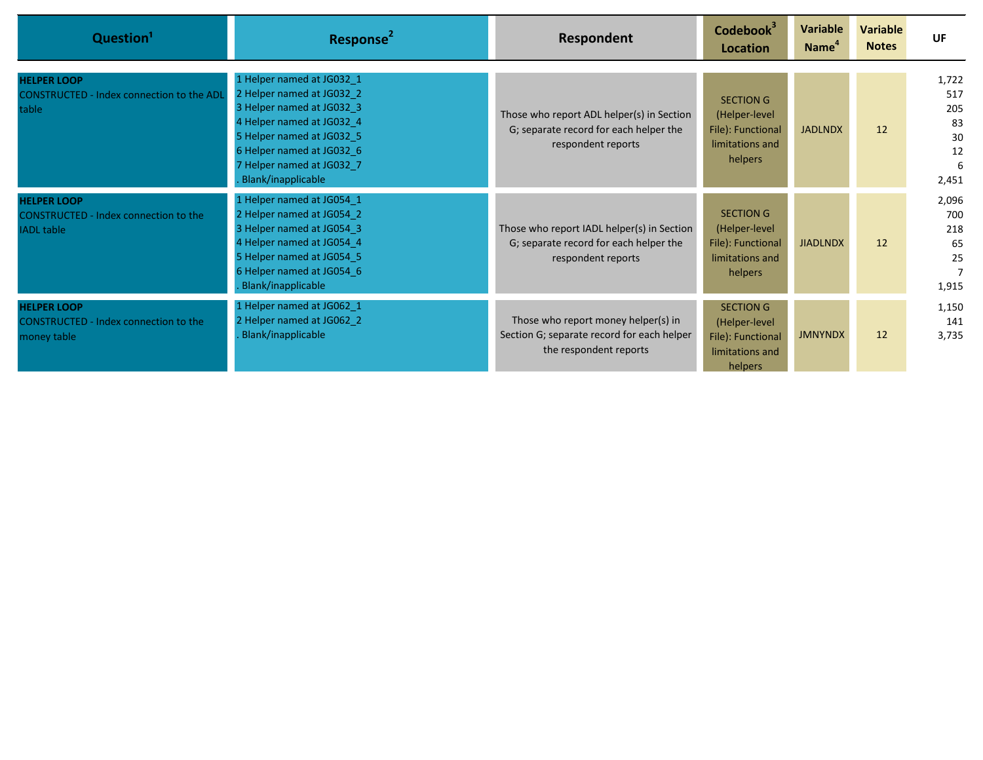| Question <sup>1</sup>                                                             | Response <sup>2</sup>                                                                                                                                                                                                         | Respondent                                                                                                  | Codebook <sup>3</sup><br><b>Location</b>                                             | Variable<br>Name <sup>4</sup> | <b>Variable</b><br><b>Notes</b> | UF                                                  |
|-----------------------------------------------------------------------------------|-------------------------------------------------------------------------------------------------------------------------------------------------------------------------------------------------------------------------------|-------------------------------------------------------------------------------------------------------------|--------------------------------------------------------------------------------------|-------------------------------|---------------------------------|-----------------------------------------------------|
| <b>HELPER LOOP</b><br><b>CONSTRUCTED - Index connection to the ADL</b><br>table   | 1 Helper named at JG032_1<br>2 Helper named at JG032 2<br>3 Helper named at JG032_3<br>4 Helper named at JG032 4<br>5 Helper named at JG032 5<br>6 Helper named at JG032_6<br>7 Helper named at JG032 7<br>Blank/inapplicable | Those who report ADL helper(s) in Section<br>G; separate record for each helper the<br>respondent reports   | <b>SECTION G</b><br>(Helper-level<br>File): Functional<br>limitations and<br>helpers | <b>JADLNDX</b>                | 12                              | 1,722<br>517<br>205<br>83<br>30<br>12<br>6<br>2,451 |
| <b>HELPER LOOP</b><br>CONSTRUCTED - Index connection to the<br><b>IADL</b> table  | 1 Helper named at JG054_1<br>2 Helper named at JG054 2<br>3 Helper named at JG054 3<br>4 Helper named at JG054 4<br>5 Helper named at JG054 5<br>6 Helper named at JG054 6<br>Blank/inapplicable                              | Those who report IADL helper(s) in Section<br>G; separate record for each helper the<br>respondent reports  | SECTION G<br>(Helper-level<br>File): Functional<br>limitations and<br>helpers        | <b>JIADLNDX</b>               | 12                              | 2,096<br>700<br>218<br>65<br>25<br>1,915            |
| <b>HELPER LOOP</b><br><b>CONSTRUCTED - Index connection to the</b><br>money table | 1 Helper named at JG062_1<br>2 Helper named at JG062 2<br>Blank/inapplicable                                                                                                                                                  | Those who report money helper(s) in<br>Section G; separate record for each helper<br>the respondent reports | <b>SECTION G</b><br>(Helper-level<br>File): Functional<br>limitations and<br>helpers | <b>JMNYNDX</b>                | 12                              | 1,150<br>141<br>3,735                               |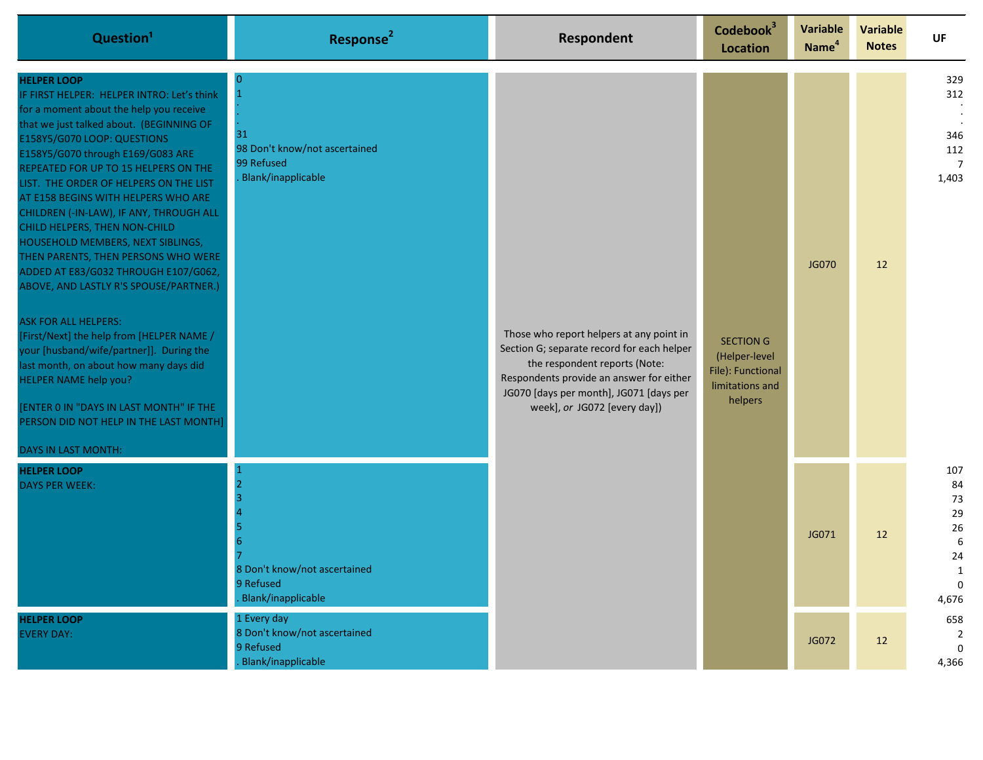| Question <sup>1</sup>                                                                                                                                                                                                                                                                                                                                                                                                                                                                                                                                                                                                                                                                                                                                                                                                                                                                                        | Response <sup>2</sup>                                                          | Respondent                                                                                                                                                                                                                                     | Codebook <sup>3</sup><br>Location                                                    | Variable<br>Name <sup>4</sup> | <b>Variable</b><br><b>Notes</b> | <b>UF</b>                                                           |
|--------------------------------------------------------------------------------------------------------------------------------------------------------------------------------------------------------------------------------------------------------------------------------------------------------------------------------------------------------------------------------------------------------------------------------------------------------------------------------------------------------------------------------------------------------------------------------------------------------------------------------------------------------------------------------------------------------------------------------------------------------------------------------------------------------------------------------------------------------------------------------------------------------------|--------------------------------------------------------------------------------|------------------------------------------------------------------------------------------------------------------------------------------------------------------------------------------------------------------------------------------------|--------------------------------------------------------------------------------------|-------------------------------|---------------------------------|---------------------------------------------------------------------|
| <b>HELPER LOOP</b><br>IF FIRST HELPER: HELPER INTRO: Let's think<br>for a moment about the help you receive<br>that we just talked about. (BEGINNING OF<br>E158Y5/G070 LOOP: QUESTIONS<br>E158Y5/G070 through E169/G083 ARE<br>REPEATED FOR UP TO 15 HELPERS ON THE<br>LIST. THE ORDER OF HELPERS ON THE LIST<br>AT E158 BEGINS WITH HELPERS WHO ARE<br>CHILDREN (-IN-LAW), IF ANY, THROUGH ALL<br>CHILD HELPERS, THEN NON-CHILD<br>HOUSEHOLD MEMBERS, NEXT SIBLINGS,<br>THEN PARENTS, THEN PERSONS WHO WERE<br>ADDED AT E83/G032 THROUGH E107/G062,<br>ABOVE, AND LASTLY R'S SPOUSE/PARTNER.)<br><b>ASK FOR ALL HELPERS:</b><br>[First/Next] the help from [HELPER NAME /<br>your [husband/wife/partner]]. During the<br>last month, on about how many days did<br>HELPER NAME help you?<br>[ENTER 0 IN "DAYS IN LAST MONTH" IF THE<br>PERSON DID NOT HELP IN THE LAST MONTH]<br><b>DAYS IN LAST MONTH:</b> | -0<br>31<br>98 Don't know/not ascertained<br>99 Refused<br>Blank/inapplicable  | Those who report helpers at any point in<br>Section G; separate record for each helper<br>the respondent reports (Note:<br>Respondents provide an answer for either<br>JG070 [days per month], JG071 [days per<br>week], or JG072 [every day]) | <b>SECTION G</b><br>(Helper-level<br>File): Functional<br>limitations and<br>helpers | JG070                         | 12                              | 329<br>312<br>346<br>112<br>$\overline{7}$<br>1,403                 |
| <b>HELPER LOOP</b><br><b>DAYS PER WEEK:</b>                                                                                                                                                                                                                                                                                                                                                                                                                                                                                                                                                                                                                                                                                                                                                                                                                                                                  | 8 Don't know/not ascertained<br>9 Refused<br>Blank/inapplicable                |                                                                                                                                                                                                                                                |                                                                                      | JG071                         | 12                              | 107<br>84<br>73<br>29<br>26<br>6<br>24<br>1<br>$\mathbf 0$<br>4,676 |
| <b>HELPER LOOP</b><br><b>EVERY DAY:</b>                                                                                                                                                                                                                                                                                                                                                                                                                                                                                                                                                                                                                                                                                                                                                                                                                                                                      | 1 Every day<br>8 Don't know/not ascertained<br>9 Refused<br>Blank/inapplicable |                                                                                                                                                                                                                                                |                                                                                      | JG072                         | 12                              | 658<br>2<br>$\mathbf{0}$<br>4,366                                   |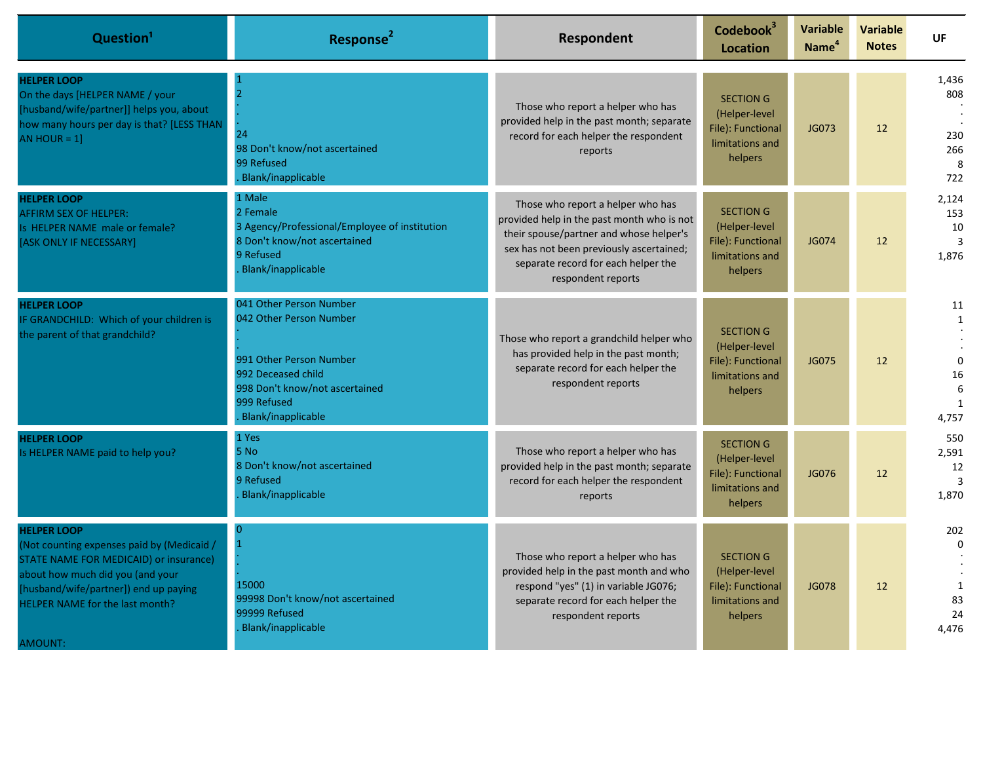| Question <sup>1</sup>                                                                                                                                                                                                                 | Response <sup>2</sup>                                                                                                                                                      | Respondent                                                                                                                                                                                                                          | Codebook <sup>3</sup><br>Location                                                    | <b>Variable</b><br>Name <sup>4</sup> | <b>Variable</b><br><b>Notes</b> | UF                                                                    |
|---------------------------------------------------------------------------------------------------------------------------------------------------------------------------------------------------------------------------------------|----------------------------------------------------------------------------------------------------------------------------------------------------------------------------|-------------------------------------------------------------------------------------------------------------------------------------------------------------------------------------------------------------------------------------|--------------------------------------------------------------------------------------|--------------------------------------|---------------------------------|-----------------------------------------------------------------------|
| <b>HELPER LOOP</b><br>On the days [HELPER NAME / your<br>[husband/wife/partner]] helps you, about<br>how many hours per day is that? [LESS THAN<br>AN HOUR = $1$ ]                                                                    | $\overline{2}$<br>24<br>98 Don't know/not ascertained<br>99 Refused<br>Blank/inapplicable                                                                                  | Those who report a helper who has<br>provided help in the past month; separate<br>record for each helper the respondent<br>reports                                                                                                  | <b>SECTION G</b><br>(Helper-level<br>File): Functional<br>limitations and<br>helpers | JG073                                | $12 \overline{ }$               | 1,436<br>808<br>230<br>266<br>8<br>722                                |
| <b>HELPER LOOP</b><br><b>AFFIRM SEX OF HELPER:</b><br>Is HELPER NAME male or female?<br>[ASK ONLY IF NECESSARY]                                                                                                                       | 1 Male<br>2 Female<br>3 Agency/Professional/Employee of institution<br>8 Don't know/not ascertained<br>9 Refused<br>Blank/inapplicable                                     | Those who report a helper who has<br>provided help in the past month who is not<br>their spouse/partner and whose helper's<br>sex has not been previously ascertained;<br>separate record for each helper the<br>respondent reports | <b>SECTION G</b><br>(Helper-level<br>File): Functional<br>limitations and<br>helpers | JG074                                | 12                              | 2,124<br>153<br>10<br>3<br>1,876                                      |
| <b>HELPER LOOP</b><br>IF GRANDCHILD: Which of your children is<br>the parent of that grandchild?                                                                                                                                      | 041 Other Person Number<br>042 Other Person Number<br>991 Other Person Number<br>992 Deceased child<br>998 Don't know/not ascertained<br>999 Refused<br>Blank/inapplicable | Those who report a grandchild helper who<br>has provided help in the past month;<br>separate record for each helper the<br>respondent reports                                                                                       | <b>SECTION G</b><br>(Helper-level<br>File): Functional<br>limitations and<br>helpers | <b>JG075</b>                         | 12                              | 11<br>$\mathbf{1}$<br>$\Omega$<br>16<br>$6\overline{6}$<br>1<br>4,757 |
| <b>HELPER LOOP</b><br>Is HELPER NAME paid to help you?                                                                                                                                                                                | 1 Yes<br>5 No<br>8 Don't know/not ascertained<br>9 Refused<br>Blank/inapplicable                                                                                           | Those who report a helper who has<br>provided help in the past month; separate<br>record for each helper the respondent<br>reports                                                                                                  | <b>SECTION G</b><br>(Helper-level<br>File): Functional<br>limitations and<br>helpers | JG076                                | 12                              | 550<br>2,591<br>12<br>$\overline{3}$<br>1,870                         |
| <b>HELPER LOOP</b><br>(Not counting expenses paid by (Medicaid /<br>STATE NAME FOR MEDICAID) or insurance)<br>about how much did you (and your<br>[husband/wife/partner]) end up paying<br>HELPER NAME for the last month?<br>AMOUNT: | $\Omega$<br>$\mathbf{1}$<br>15000<br>99998 Don't know/not ascertained<br>99999 Refused<br>Blank/inapplicable                                                               | Those who report a helper who has<br>provided help in the past month and who<br>respond "yes" (1) in variable JG076;<br>separate record for each helper the<br>respondent reports                                                   | <b>SECTION G</b><br>(Helper-level<br>File): Functional<br>limitations and<br>helpers | <b>JG078</b>                         | 12                              | 202<br>$\Omega$<br>1<br>83<br>24<br>4.476                             |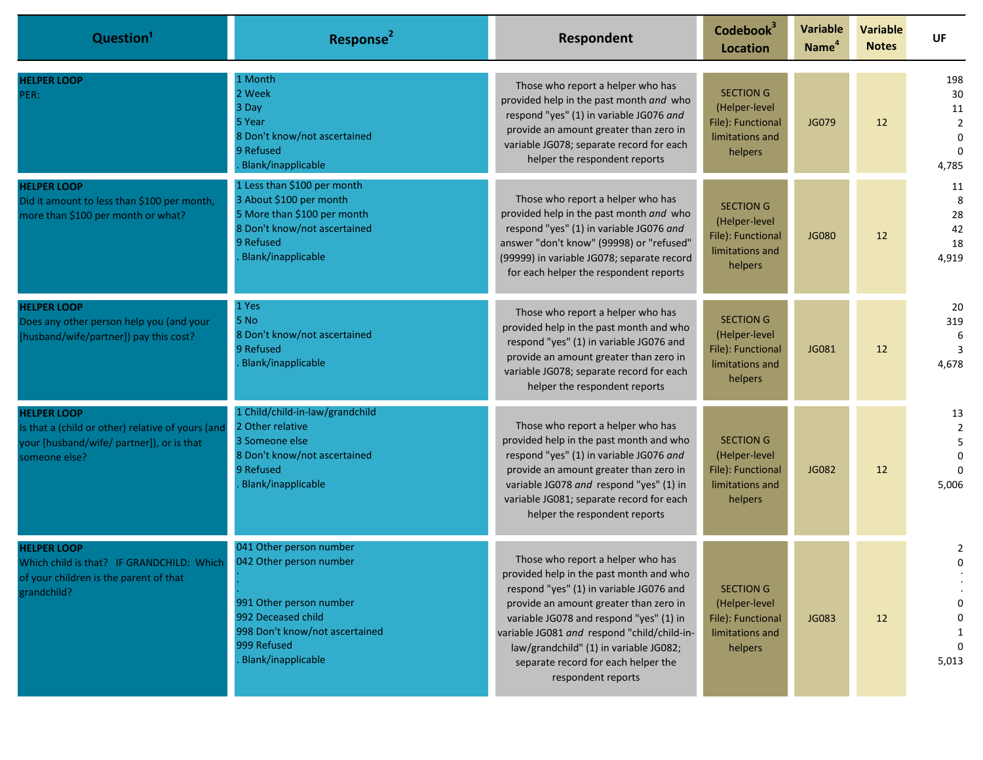| Question <sup>1</sup>                                                                                                                 | Response <sup>2</sup>                                                                                                                                                      | Respondent                                                                                                                                                                                                                                                                                                                                                         | Codebook <sup>3</sup><br><b>Location</b>                                             | <b>Variable</b><br>Name <sup>4</sup> | <b>Variable</b><br><b>Notes</b> | UF                                                                           |
|---------------------------------------------------------------------------------------------------------------------------------------|----------------------------------------------------------------------------------------------------------------------------------------------------------------------------|--------------------------------------------------------------------------------------------------------------------------------------------------------------------------------------------------------------------------------------------------------------------------------------------------------------------------------------------------------------------|--------------------------------------------------------------------------------------|--------------------------------------|---------------------------------|------------------------------------------------------------------------------|
| <b>HELPER LOOP</b><br>PER:                                                                                                            | 1 Month<br>2 Week<br>3 Day<br>5 Year<br>8 Don't know/not ascertained<br>9 Refused<br>Blank/inapplicable                                                                    | Those who report a helper who has<br>provided help in the past month and who<br>respond "yes" (1) in variable JG076 and<br>provide an amount greater than zero in<br>variable JG078; separate record for each<br>helper the respondent reports                                                                                                                     | <b>SECTION G</b><br>(Helper-level<br>File): Functional<br>limitations and<br>helpers | JG079                                | 12                              | 198<br>30<br>$11\,$<br>$\overline{2}$<br>$\mathbf 0$<br>$\mathbf 0$<br>4,785 |
| <b>HELPER LOOP</b><br>Did it amount to less than \$100 per month,<br>more than \$100 per month or what?                               | 1 Less than \$100 per month<br>3 About \$100 per month<br>5 More than \$100 per month<br>8 Don't know/not ascertained<br>9 Refused<br>Blank/inapplicable                   | Those who report a helper who has<br>provided help in the past month and who<br>respond "yes" (1) in variable JG076 and<br>answer "don't know" (99998) or "refused"<br>(99999) in variable JG078; separate record<br>for each helper the respondent reports                                                                                                        | <b>SECTION G</b><br>(Helper-level<br>File): Functional<br>limitations and<br>helpers | <b>JG080</b>                         | 12                              | 11<br>8<br>28<br>42<br>18<br>4,919                                           |
| <b>HELPER LOOP</b><br>Does any other person help you (and your<br>[husband/wife/partner]) pay this cost?                              | 1 Yes<br>5 No<br>8 Don't know/not ascertained<br>9 Refused<br>Blank/inapplicable                                                                                           | Those who report a helper who has<br>provided help in the past month and who<br>respond "yes" (1) in variable JG076 and<br>provide an amount greater than zero in<br>variable JG078; separate record for each<br>helper the respondent reports                                                                                                                     | <b>SECTION G</b><br>(Helper-level<br>File): Functional<br>limitations and<br>helpers | JG081                                | 12                              | 20<br>319<br>-6<br>$\overline{3}$<br>4,678                                   |
| <b>HELPER LOOP</b><br>Is that a (child or other) relative of yours (and<br>your [husband/wife/ partner]), or is that<br>someone else? | 1 Child/child-in-law/grandchild<br>2 Other relative<br>3 Someone else<br>8 Don't know/not ascertained<br>9 Refused<br>Blank/inapplicable                                   | Those who report a helper who has<br>provided help in the past month and who<br>respond "yes" (1) in variable JG076 and<br>provide an amount greater than zero in<br>variable JG078 and respond "yes" (1) in<br>variable JG081; separate record for each<br>helper the respondent reports                                                                          | <b>SECTION G</b><br>(Helper-level<br>File): Functional<br>limitations and<br>helpers | <b>JG082</b>                         | 12                              | 13<br>$\overline{2}$<br>5<br>$\Omega$<br>$\Omega$<br>5,006                   |
| <b>HELPER LOOP</b><br>Which child is that? IF GRANDCHILD: Which<br>of your children is the parent of that<br>grandchild?              | 041 Other person number<br>042 Other person number<br>991 Other person number<br>992 Deceased child<br>998 Don't know/not ascertained<br>999 Refused<br>Blank/inapplicable | Those who report a helper who has<br>provided help in the past month and who<br>respond "yes" (1) in variable JG076 and<br>provide an amount greater than zero in<br>variable JG078 and respond "yes" (1) in<br>variable JG081 and respond "child/child-in-<br>law/grandchild" (1) in variable JG082;<br>separate record for each helper the<br>respondent reports | <b>SECTION G</b><br>(Helper-level<br>File): Functional<br>limitations and<br>helpers | JG083                                | 12                              | 2<br>0<br>0<br>0<br>1<br>5,013                                               |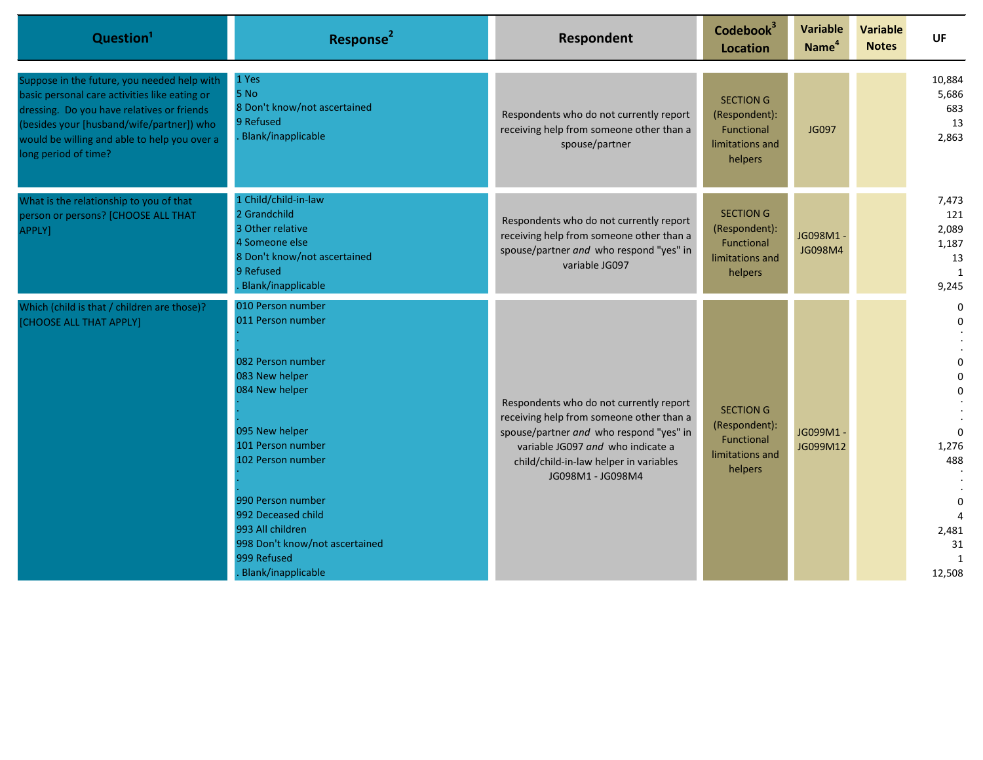| Question <sup>1</sup>                                                                                                                                                                                                                                           | Response <sup>2</sup>                                                                                                                                                                                                                                                                             | Respondent                                                                                                                                                                                                                         | Codebook <sup>3</sup><br><b>Location</b>                                      | Variable<br>Name <sup>4</sup> | <b>Variable</b><br><b>Notes</b> | <b>UF</b>                                                                          |
|-----------------------------------------------------------------------------------------------------------------------------------------------------------------------------------------------------------------------------------------------------------------|---------------------------------------------------------------------------------------------------------------------------------------------------------------------------------------------------------------------------------------------------------------------------------------------------|------------------------------------------------------------------------------------------------------------------------------------------------------------------------------------------------------------------------------------|-------------------------------------------------------------------------------|-------------------------------|---------------------------------|------------------------------------------------------------------------------------|
| Suppose in the future, you needed help with<br>basic personal care activities like eating or<br>dressing. Do you have relatives or friends<br>(besides your [husband/wife/partner]) who<br>would be willing and able to help you over a<br>long period of time? | 1 Yes<br>5 No<br>8 Don't know/not ascertained<br>9 Refused<br>Blank/inapplicable                                                                                                                                                                                                                  | Respondents who do not currently report<br>receiving help from someone other than a<br>spouse/partner                                                                                                                              | <b>SECTION G</b><br>(Respondent):<br>Functional<br>limitations and<br>helpers | JG097                         |                                 | 10,884<br>5,686<br>683<br>13<br>2,863                                              |
| What is the relationship to you of that<br>person or persons? [CHOOSE ALL THAT<br>APPLY]                                                                                                                                                                        | 1 Child/child-in-law<br>2 Grandchild<br>3 Other relative<br>4 Someone else<br>8 Don't know/not ascertained<br>9 Refused<br>Blank/inapplicable                                                                                                                                                     | Respondents who do not currently report<br>receiving help from someone other than a<br>spouse/partner and who respond "yes" in<br>variable JG097                                                                                   | <b>SECTION G</b><br>(Respondent):<br>Functional<br>limitations and<br>helpers | JG098M1 -<br>JG098M4          |                                 | 7,473<br>121<br>2,089<br>1,187<br>13<br>1<br>9,245                                 |
| Which (child is that / children are those)?<br>[CHOOSE ALL THAT APPLY]                                                                                                                                                                                          | 010 Person number<br>011 Person number<br>082 Person number<br>083 New helper<br>084 New helper<br>095 New helper<br>101 Person number<br>102 Person number<br>990 Person number<br>992 Deceased child<br>993 All children<br>998 Don't know/not ascertained<br>999 Refused<br>Blank/inapplicable | Respondents who do not currently report<br>receiving help from someone other than a<br>spouse/partner and who respond "yes" in<br>variable JG097 and who indicate a<br>child/child-in-law helper in variables<br>JG098M1 - JG098M4 | <b>SECTION G</b><br>(Respondent):<br>Functional<br>limitations and<br>helpers | JG099M1-<br>JG099M12          |                                 | 0<br>$\Omega$<br>1,276<br>488<br>$\Omega$<br>2,481<br>31<br>$\mathbf{1}$<br>12,508 |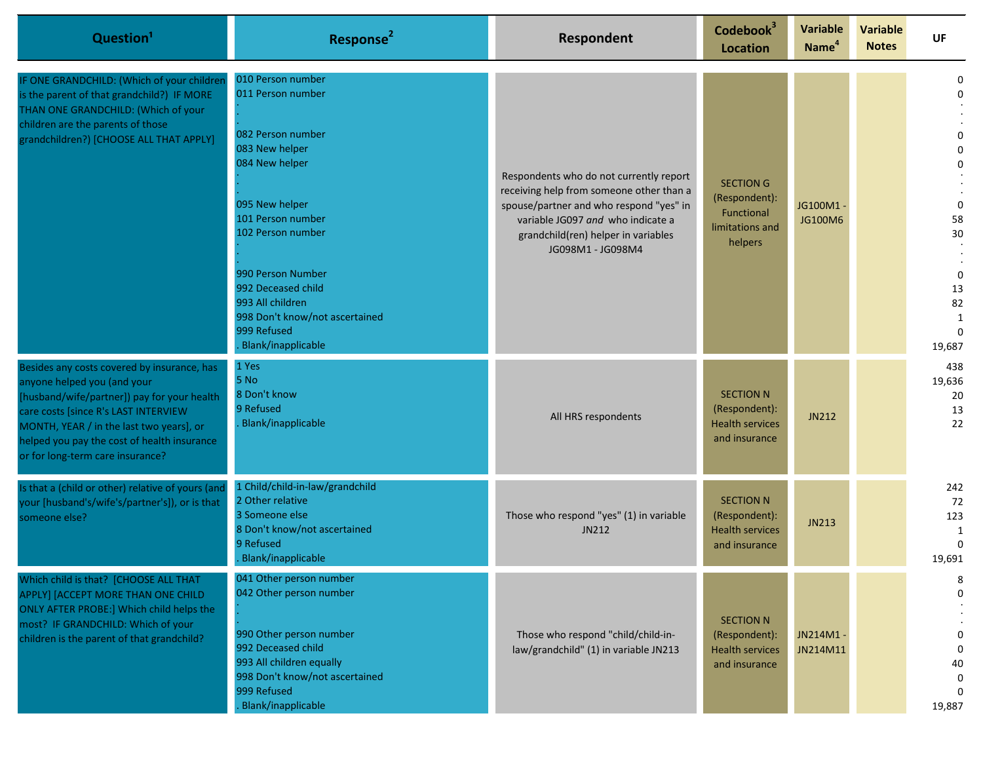| Question <sup>1</sup>                                                                                                                                                                                                                                                                            | Response <sup>2</sup>                                                                                                                                                                                                                                                                             | Respondent                                                                                                                                                                                                                      | Codebook <sup>3</sup><br>Location                                             | <b>Variable</b><br>Name <sup>4</sup> | <b>Variable</b><br><b>Notes</b> | <b>UF</b>                                                                                                         |
|--------------------------------------------------------------------------------------------------------------------------------------------------------------------------------------------------------------------------------------------------------------------------------------------------|---------------------------------------------------------------------------------------------------------------------------------------------------------------------------------------------------------------------------------------------------------------------------------------------------|---------------------------------------------------------------------------------------------------------------------------------------------------------------------------------------------------------------------------------|-------------------------------------------------------------------------------|--------------------------------------|---------------------------------|-------------------------------------------------------------------------------------------------------------------|
| IF ONE GRANDCHILD: (Which of your children<br>is the parent of that grandchild?) IF MORE<br>THAN ONE GRANDCHILD: (Which of your<br>children are the parents of those<br>grandchildren?) [CHOOSE ALL THAT APPLY]                                                                                  | 010 Person number<br>011 Person number<br>082 Person number<br>083 New helper<br>084 New helper<br>095 New helper<br>101 Person number<br>102 Person number<br>990 Person Number<br>992 Deceased child<br>993 All children<br>998 Don't know/not ascertained<br>999 Refused<br>Blank/inapplicable | Respondents who do not currently report<br>receiving help from someone other than a<br>spouse/partner and who respond "yes" in<br>variable JG097 and who indicate a<br>grandchild(ren) helper in variables<br>JG098M1 - JG098M4 | <b>SECTION G</b><br>(Respondent):<br>Functional<br>limitations and<br>helpers | JG100M1-<br>JG100M6                  |                                 | $\Omega$<br>$\Omega$<br>$\Omega$<br>$\mathbf 0$<br>58<br>30<br>$\mathbf 0$<br>13<br>82<br>1<br>$\Omega$<br>19,687 |
| Besides any costs covered by insurance, has<br>anyone helped you (and your<br>[husband/wife/partner]) pay for your health<br>care costs [since R's LAST INTERVIEW<br>MONTH, YEAR / in the last two years], or<br>helped you pay the cost of health insurance<br>or for long-term care insurance? | 1 Yes<br>5 No<br>8 Don't know<br>9 Refused<br>Blank/inapplicable                                                                                                                                                                                                                                  | All HRS respondents                                                                                                                                                                                                             | <b>SECTION N</b><br>(Respondent):<br><b>Health services</b><br>and insurance  | JN212                                |                                 | 438<br>19,636<br>20<br>13<br>22                                                                                   |
| Is that a (child or other) relative of yours (and<br>your [husband's/wife's/partner's]), or is that<br>someone else?                                                                                                                                                                             | 1 Child/child-in-law/grandchild<br>2 Other relative<br>3 Someone else<br>8 Don't know/not ascertained<br>9 Refused<br>Blank/inapplicable                                                                                                                                                          | Those who respond "yes" (1) in variable<br>JN212                                                                                                                                                                                | <b>SECTION N</b><br>(Respondent):<br><b>Health services</b><br>and insurance  | JN213                                |                                 | 242<br>72<br>123<br>1<br>$\Omega$<br>19,691                                                                       |
| Which child is that? [CHOOSE ALL THAT<br>APPLY] [ACCEPT MORE THAN ONE CHILD<br>ONLY AFTER PROBE:] Which child helps the<br>most? IF GRANDCHILD: Which of your<br>children is the parent of that grandchild?                                                                                      | 041 Other person number<br>042 Other person number<br>990 Other person number<br>992 Deceased child<br>993 All children equally<br>998 Don't know/not ascertained<br>999 Refused<br>Blank/inapplicable                                                                                            | Those who respond "child/child-in-<br>law/grandchild" (1) in variable JN213                                                                                                                                                     | <b>SECTION N</b><br>(Respondent):<br><b>Health services</b><br>and insurance  | JN214M1-<br>JN214M11                 |                                 | 8<br>$\mathbf 0$<br>0<br>0<br>40<br>0<br>$\Omega$<br>19,887                                                       |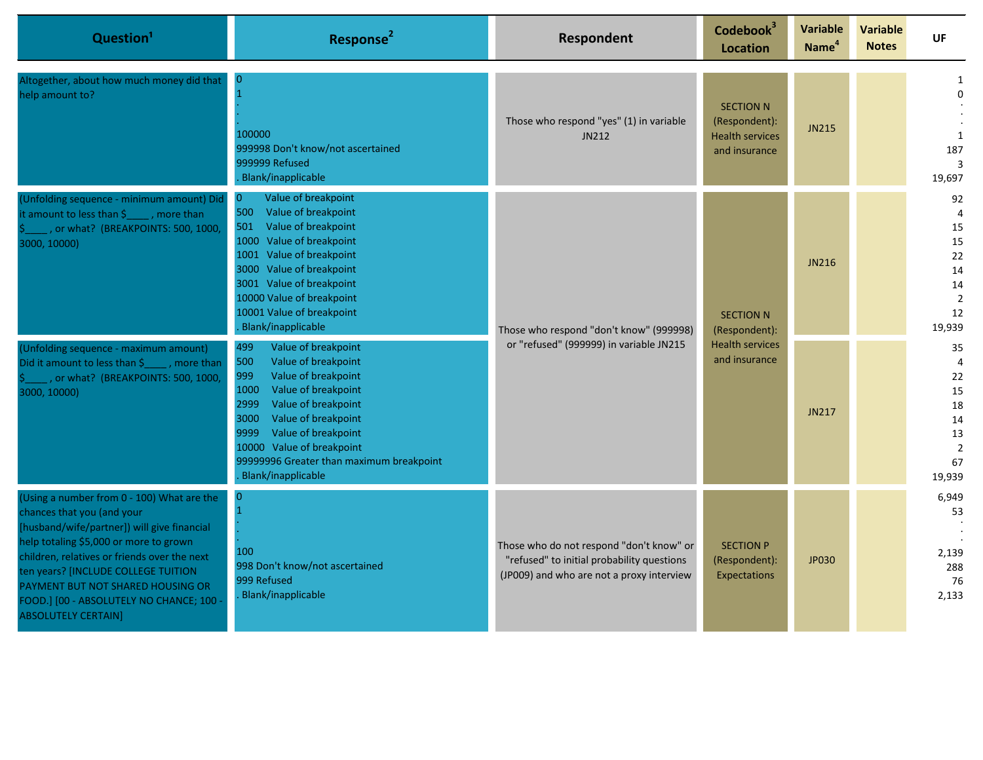| Question <sup>1</sup>                                                                                                                                                                                                                                                                                                                                                 | Response <sup>2</sup>                                                                                                                                                                                                                                                                                             | <b>Respondent</b>                                                                                                                   | Codebook <sup>3</sup><br><b>Location</b>                                     | <b>Variable</b><br>Name <sup>4</sup> | <b>Variable</b><br><b>Notes</b> | UF                                                                                   |
|-----------------------------------------------------------------------------------------------------------------------------------------------------------------------------------------------------------------------------------------------------------------------------------------------------------------------------------------------------------------------|-------------------------------------------------------------------------------------------------------------------------------------------------------------------------------------------------------------------------------------------------------------------------------------------------------------------|-------------------------------------------------------------------------------------------------------------------------------------|------------------------------------------------------------------------------|--------------------------------------|---------------------------------|--------------------------------------------------------------------------------------|
| Altogether, about how much money did that<br>help amount to?                                                                                                                                                                                                                                                                                                          | $\overline{0}$<br>100000<br>999998 Don't know/not ascertained<br>999999 Refused<br>Blank/inapplicable                                                                                                                                                                                                             | Those who respond "yes" (1) in variable<br>JN212                                                                                    | <b>SECTION N</b><br>(Respondent):<br><b>Health services</b><br>and insurance | <b>JN215</b>                         |                                 | $\Omega$<br>$\mathbf{1}$<br>187<br>3<br>19,697                                       |
| (Unfolding sequence - minimum amount) Did<br>it amount to less than $\sin$ , more than<br>, or what? (BREAKPOINTS: 500, 1000,<br>3000, 10000)                                                                                                                                                                                                                         | Value of breakpoint<br>$\overline{0}$<br>500<br>Value of breakpoint<br>501<br>Value of breakpoint<br>1000 Value of breakpoint<br>1001 Value of breakpoint<br>3000 Value of breakpoint<br>3001 Value of breakpoint<br>10000 Value of breakpoint<br>10001 Value of breakpoint<br>Blank/inapplicable                 | Those who respond "don't know" (999998)<br>or "refused" (999999) in variable JN215                                                  | <b>SECTION N</b><br>(Respondent):                                            | JN216                                |                                 | 92<br>$\overline{4}$<br>15<br>15<br>22<br>14<br>14<br>$\overline{2}$<br>12<br>19,939 |
| (Unfolding sequence - maximum amount)<br>Did it amount to less than \$_____, more than<br>, or what? (BREAKPOINTS: 500, 1000,<br>3000, 10000)                                                                                                                                                                                                                         | 499<br>Value of breakpoint<br>500<br>Value of breakpoint<br>999<br>Value of breakpoint<br>Value of breakpoint<br>1000<br>2999<br>Value of breakpoint<br>3000<br>Value of breakpoint<br>Value of breakpoint<br>9999<br>10000 Value of breakpoint<br>99999996 Greater than maximum breakpoint<br>Blank/inapplicable |                                                                                                                                     | <b>Health services</b><br>and insurance                                      | JN217                                |                                 | 35<br>$\overline{4}$<br>22<br>15<br>18<br>14<br>13<br>$\overline{2}$<br>67<br>19,939 |
| (Using a number from 0 - 100) What are the<br>chances that you (and your<br>[husband/wife/partner]) will give financial<br>help totaling \$5,000 or more to grown<br>children, relatives or friends over the next<br>ten years? [INCLUDE COLLEGE TUITION<br>PAYMENT BUT NOT SHARED HOUSING OR<br>FOOD.] [00 - ABSOLUTELY NO CHANCE; 100<br><b>ABSOLUTELY CERTAIN]</b> | $\bf{0}$<br>$\mathbf{1}$<br>100<br>998 Don't know/not ascertained<br>999 Refused<br><b>Blank/inapplicable</b>                                                                                                                                                                                                     | Those who do not respond "don't know" or<br>"refused" to initial probability questions<br>(JP009) and who are not a proxy interview | <b>SECTION P</b><br>(Respondent):<br>Expectations                            | JP030                                |                                 | 6,949<br>53<br>2,139<br>288<br>76<br>2,133                                           |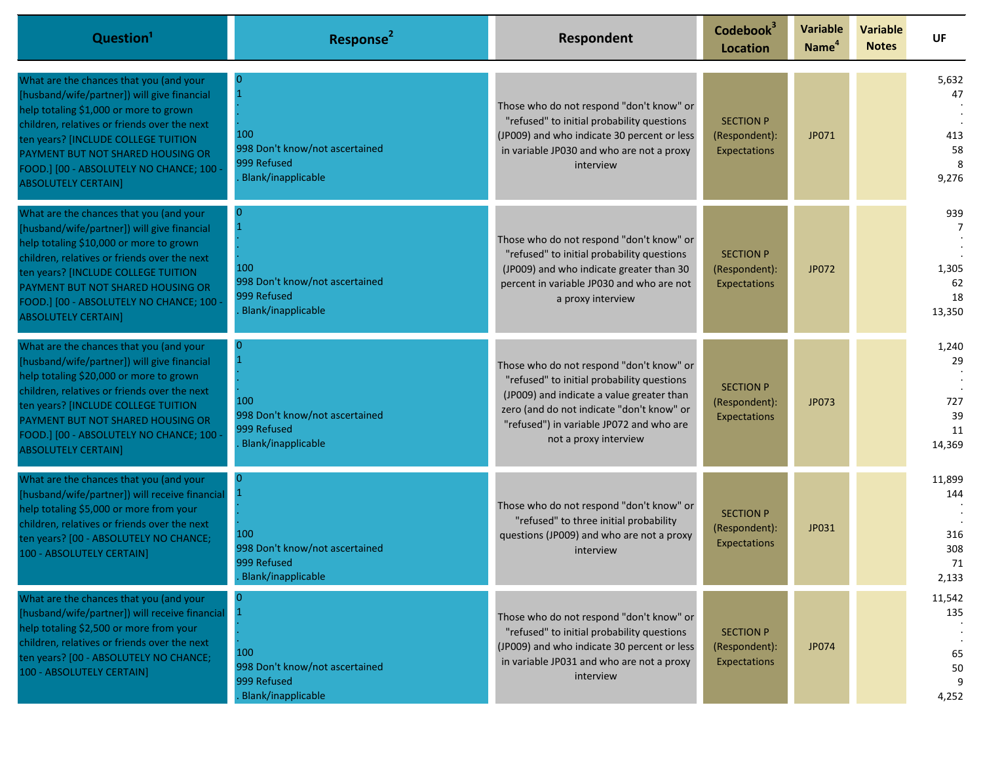| Question <sup>1</sup>                                                                                                                                                                                                                                                                                                                 | Response <sup>2</sup>                                                                                    | Respondent                                                                                                                                                                                                                                            | Codebook <sup>3</sup><br><b>Location</b>          | <b>Variable</b><br>Name <sup>4</sup> | <b>Variable</b><br><b>Notes</b> | UF                                         |
|---------------------------------------------------------------------------------------------------------------------------------------------------------------------------------------------------------------------------------------------------------------------------------------------------------------------------------------|----------------------------------------------------------------------------------------------------------|-------------------------------------------------------------------------------------------------------------------------------------------------------------------------------------------------------------------------------------------------------|---------------------------------------------------|--------------------------------------|---------------------------------|--------------------------------------------|
| What are the chances that you (and your<br>[husband/wife/partner]) will give financial<br>help totaling \$1,000 or more to grown<br>children, relatives or friends over the next<br>ten years? [INCLUDE COLLEGE TUITION<br>PAYMENT BUT NOT SHARED HOUSING OR<br>FOOD.] [00 - ABSOLUTELY NO CHANCE; 100<br><b>ABSOLUTELY CERTAIN]</b>  | $\Omega$<br>$\overline{1}$<br>100<br>998 Don't know/not ascertained<br>999 Refused<br>Blank/inapplicable | Those who do not respond "don't know" or<br>"refused" to initial probability questions<br>(JP009) and who indicate 30 percent or less<br>in variable JP030 and who are not a proxy<br>interview                                                       | <b>SECTION P</b><br>(Respondent):<br>Expectations | JP071                                |                                 | 5,632<br>47<br>413<br>58<br>8<br>9,276     |
| What are the chances that you (and your<br>[husband/wife/partner]) will give financial<br>help totaling \$10,000 or more to grown<br>children, relatives or friends over the next<br>ten years? [INCLUDE COLLEGE TUITION<br>PAYMENT BUT NOT SHARED HOUSING OR<br>FOOD.] [00 - ABSOLUTELY NO CHANCE; 100<br><b>ABSOLUTELY CERTAIN]</b> | $\Omega$<br>$\overline{1}$<br>100<br>998 Don't know/not ascertained<br>999 Refused<br>Blank/inapplicable | Those who do not respond "don't know" or<br>"refused" to initial probability questions<br>(JP009) and who indicate greater than 30<br>percent in variable JP030 and who are not<br>a proxy interview                                                  | <b>SECTION P</b><br>(Respondent):<br>Expectations | JP072                                |                                 | 939<br>1,305<br>62<br>18<br>13,350         |
| What are the chances that you (and your<br>[husband/wife/partner]) will give financial<br>help totaling \$20,000 or more to grown<br>children, relatives or friends over the next<br>ten years? [INCLUDE COLLEGE TUITION<br>PAYMENT BUT NOT SHARED HOUSING OR<br>FOOD.] [00 - ABSOLUTELY NO CHANCE; 100<br><b>ABSOLUTELY CERTAIN]</b> | $\Omega$<br>$\mathbf{1}$<br>100<br>998 Don't know/not ascertained<br>999 Refused<br>Blank/inapplicable   | Those who do not respond "don't know" or<br>"refused" to initial probability questions<br>(JP009) and indicate a value greater than<br>zero (and do not indicate "don't know" or<br>"refused") in variable JP072 and who are<br>not a proxy interview | <b>SECTION P</b><br>(Respondent):<br>Expectations | JP073                                |                                 | 1,240<br>29<br>727<br>39<br>11<br>14,369   |
| What are the chances that you (and your<br>[husband/wife/partner]) will receive financial<br>help totaling \$5,000 or more from your<br>children, relatives or friends over the next<br>ten years? [00 - ABSOLUTELY NO CHANCE;<br>100 - ABSOLUTELY CERTAIN]                                                                           | $\Omega$<br>$\mathbf{1}$<br>100<br>998 Don't know/not ascertained<br>999 Refused<br>Blank/inapplicable   | Those who do not respond "don't know" or<br>"refused" to three initial probability<br>questions (JP009) and who are not a proxy<br>interview                                                                                                          | <b>SECTION P</b><br>(Respondent):<br>Expectations | JP031                                |                                 | 11,899<br>144<br>316<br>308<br>71<br>2,133 |
| What are the chances that you (and your<br>[husband/wife/partner]) will receive financial<br>help totaling \$2,500 or more from your<br>children, relatives or friends over the next<br>ten years? [00 - ABSOLUTELY NO CHANCE;<br>100 - ABSOLUTELY CERTAIN]                                                                           | 100<br>998 Don't know/not ascertained<br>999 Refused<br>Blank/inapplicable                               | Those who do not respond "don't know" or<br>"refused" to initial probability questions<br>(JP009) and who indicate 30 percent or less<br>in variable JP031 and who are not a proxy<br>interview                                                       | <b>SECTION P</b><br>(Respondent):<br>Expectations | JP074                                |                                 | 11,542<br>135<br>65<br>50<br>4,252         |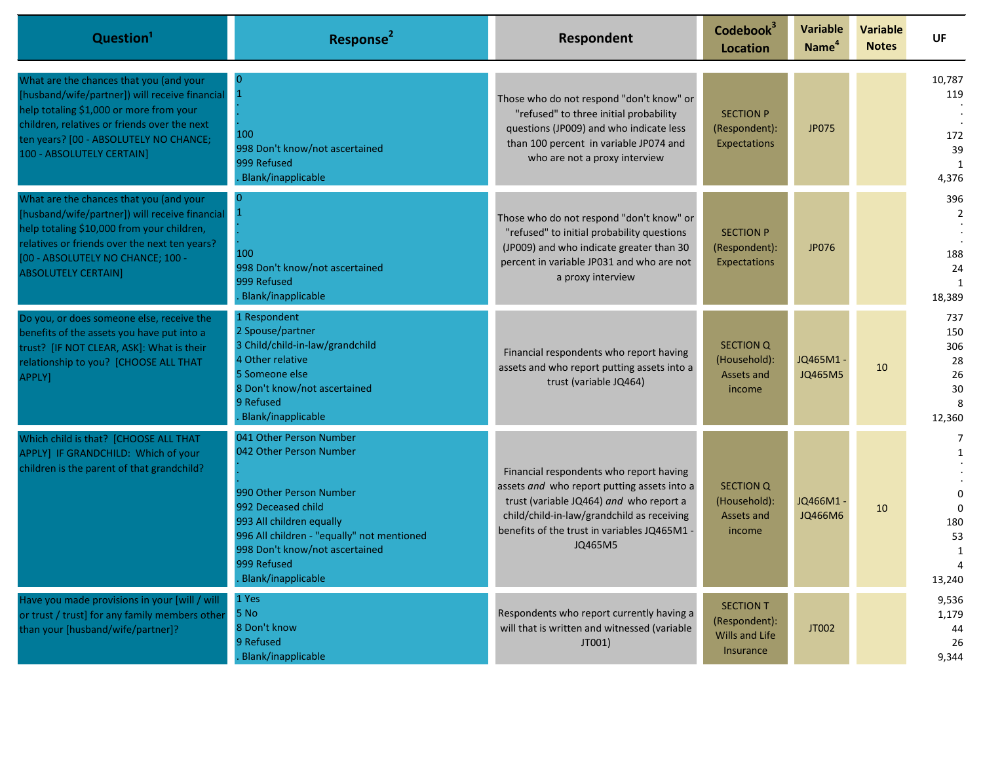| Question <sup>1</sup>                                                                                                                                                                                                                                       | Response <sup>2</sup>                                                                                                                                                                                                                                | <b>Respondent</b>                                                                                                                                                                                                                          | Codebook <sup>3</sup><br><b>Location</b>                                       | Variable<br>Name <sup>4</sup> | <b>Variable</b><br><b>Notes</b> | UF                                                                                 |
|-------------------------------------------------------------------------------------------------------------------------------------------------------------------------------------------------------------------------------------------------------------|------------------------------------------------------------------------------------------------------------------------------------------------------------------------------------------------------------------------------------------------------|--------------------------------------------------------------------------------------------------------------------------------------------------------------------------------------------------------------------------------------------|--------------------------------------------------------------------------------|-------------------------------|---------------------------------|------------------------------------------------------------------------------------|
| What are the chances that you (and your<br>[husband/wife/partner]) will receive financial<br>help totaling \$1,000 or more from your<br>children, relatives or friends over the next<br>ten years? [00 - ABSOLUTELY NO CHANCE;<br>100 - ABSOLUTELY CERTAIN] | $\Omega$<br>100<br>998 Don't know/not ascertained<br>999 Refused<br>Blank/inapplicable                                                                                                                                                               | Those who do not respond "don't know" or<br>"refused" to three initial probability<br>questions (JP009) and who indicate less<br>than 100 percent in variable JP074 and<br>who are not a proxy interview                                   | <b>SECTION P</b><br>(Respondent):<br>Expectations                              | <b>JP075</b>                  |                                 | 10,787<br>119<br>172<br>39<br>1<br>4,376                                           |
| What are the chances that you (and your<br>[husband/wife/partner]) will receive financial<br>help totaling \$10,000 from your children,<br>relatives or friends over the next ten years?<br>[00 - ABSOLUTELY NO CHANCE; 100 -<br><b>ABSOLUTELY CERTAIN]</b> | 100<br>998 Don't know/not ascertained<br>999 Refused<br>Blank/inapplicable                                                                                                                                                                           | Those who do not respond "don't know" or<br>"refused" to initial probability questions<br>(JP009) and who indicate greater than 30<br>percent in variable JP031 and who are not<br>a proxy interview                                       | <b>SECTION P</b><br>(Respondent):<br><b>Expectations</b>                       | JP076                         |                                 | 396<br>$\overline{2}$<br>188<br>24<br>1<br>18,389                                  |
| Do you, or does someone else, receive the<br>benefits of the assets you have put into a<br>trust? [IF NOT CLEAR, ASK]: What is their<br>relationship to you? [CHOOSE ALL THAT<br>APPLY]                                                                     | 1 Respondent<br>2 Spouse/partner<br>3 Child/child-in-law/grandchild<br>4 Other relative<br>5 Someone else<br>8 Don't know/not ascertained<br>9 Refused<br>Blank/inapplicable                                                                         | Financial respondents who report having<br>assets and who report putting assets into a<br>trust (variable JQ464)                                                                                                                           | <b>SECTION Q</b><br>(Household):<br>Assets and<br>income                       | JQ465M1-<br>JQ465M5           | 10                              | 737<br>150<br>306<br>28<br>26<br>30<br>8<br>12,360                                 |
| Which child is that? [CHOOSE ALL THAT<br>APPLY] IF GRANDCHILD: Which of your<br>children is the parent of that grandchild?                                                                                                                                  | 041 Other Person Number<br>042 Other Person Number<br>990 Other Person Number<br>992 Deceased child<br>993 All children equally<br>996 All children - "equally" not mentioned<br>998 Don't know/not ascertained<br>999 Refused<br>Blank/inapplicable | Financial respondents who report having<br>assets and who report putting assets into a<br>trust (variable JQ464) and who report a<br>child/child-in-law/grandchild as receiving<br>benefits of the trust in variables JQ465M1 -<br>JQ465M5 | SECTION Q<br>(Household):<br>Assets and<br>income                              | JQ466M1-<br>JQ466M6           | 10                              | $\overline{7}$<br>1<br>$\Omega$<br>$\Omega$<br>180<br>53<br>$\mathbf{1}$<br>13,240 |
| Have you made provisions in your [will / will<br>or trust / trust] for any family members other<br>than your [husband/wife/partner]?                                                                                                                        | 1 Yes<br>5 No<br>8 Don't know<br>9 Refused<br>Blank/inapplicable                                                                                                                                                                                     | Respondents who report currently having a<br>will that is written and witnessed (variable<br>JT001)                                                                                                                                        | <b>SECTION T</b><br>(Respondent):<br><b>Wills and Life</b><br><b>Insurance</b> | JT002                         |                                 | 9,536<br>1,179<br>44<br>26<br>9.344                                                |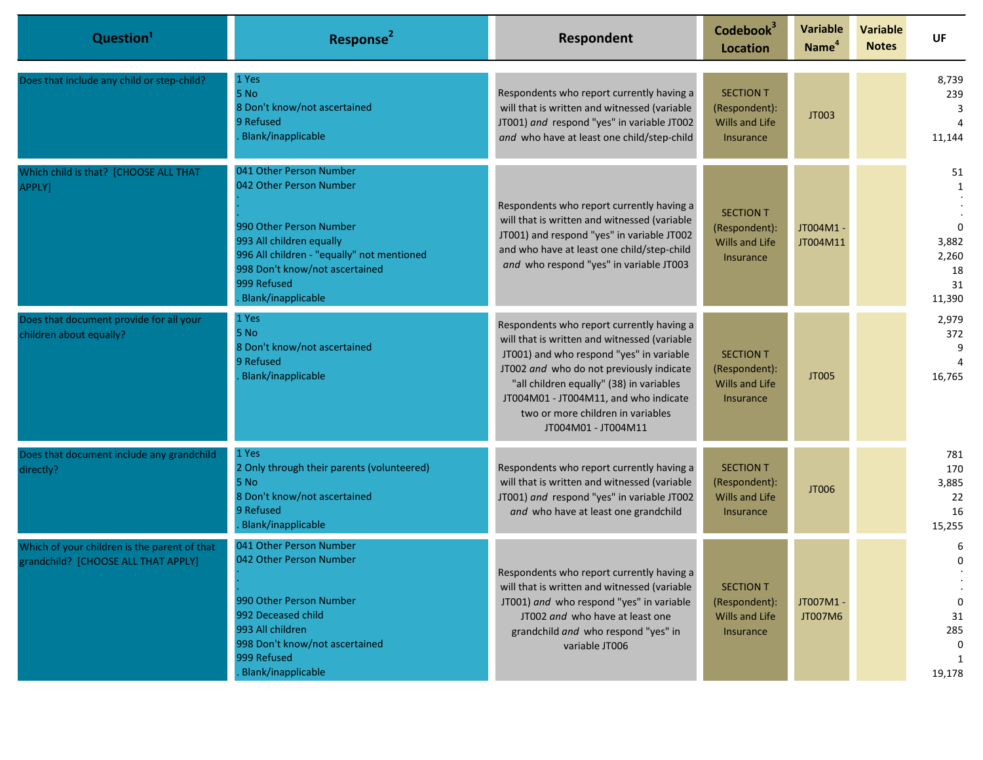| Question <sup>1</sup>                                                               | Response <sup>2</sup>                                                                                                                                                                                                          | Respondent                                                                                                                                                                                                                                                                                                                         | Codebook <sup>3</sup><br><b>Location</b>                                       | <b>Variable</b><br>Name <sup>4</sup> | <b>Variable</b><br><b>Notes</b> | UF                                                     |
|-------------------------------------------------------------------------------------|--------------------------------------------------------------------------------------------------------------------------------------------------------------------------------------------------------------------------------|------------------------------------------------------------------------------------------------------------------------------------------------------------------------------------------------------------------------------------------------------------------------------------------------------------------------------------|--------------------------------------------------------------------------------|--------------------------------------|---------------------------------|--------------------------------------------------------|
| Does that include any child or step-child?                                          | 1 Yes<br>5 No<br>8 Don't know/not ascertained<br>9 Refused<br>Blank/inapplicable                                                                                                                                               | Respondents who report currently having a<br>will that is written and witnessed (variable<br>JT001) and respond "yes" in variable JT002<br>and who have at least one child/step-child                                                                                                                                              | <b>SECTION T</b><br>(Respondent):<br><b>Wills and Life</b><br>Insurance        | JT003                                |                                 | 8,739<br>239<br>11,144                                 |
| Which child is that? [CHOOSE ALL THAT<br>APPLY]                                     | 041 Other Person Number<br>042 Other Person Number<br>990 Other Person Number<br>993 All children equally<br>996 All children - "equally" not mentioned<br>998 Don't know/not ascertained<br>999 Refused<br>Blank/inapplicable | Respondents who report currently having a<br>will that is written and witnessed (variable<br>JT001) and respond "yes" in variable JT002<br>and who have at least one child/step-child<br>and who respond "yes" in variable JT003                                                                                                   | <b>SECTION T</b><br>(Respondent):<br><b>Wills and Life</b><br><b>Insurance</b> | JT004M1 -<br>JT004M11                |                                 | 51<br>$\Omega$<br>3,882<br>2,260<br>18<br>31<br>11,390 |
| Does that document provide for all your<br>children about equally?                  | 1 Yes<br>5 No<br>8 Don't know/not ascertained<br>9 Refused<br>Blank/inapplicable                                                                                                                                               | Respondents who report currently having a<br>will that is written and witnessed (variable<br>JT001) and who respond "yes" in variable<br>JT002 and who do not previously indicate<br>"all children equally" (38) in variables<br>JT004M01 - JT004M11, and who indicate<br>two or more children in variables<br>JT004M01 - JT004M11 | <b>SECTION T</b><br>(Respondent):<br><b>Wills and Life</b><br><b>Insurance</b> | JT005                                |                                 | 2,979<br>372<br>9<br>16,765                            |
| Does that document include any grandchild<br>directly?                              | 1 Yes<br>2 Only through their parents (volunteered)<br>5 No<br>8 Don't know/not ascertained<br>9 Refused<br>Blank/inapplicable                                                                                                 | Respondents who report currently having a<br>will that is written and witnessed (variable<br>JT001) and respond "yes" in variable JT002<br>and who have at least one grandchild                                                                                                                                                    | <b>SECTION T</b><br>(Respondent):<br><b>Wills and Life</b><br><b>Insurance</b> | JT006                                |                                 | 781<br>170<br>3,885<br>22<br>16<br>15,255              |
| Which of your children is the parent of that<br>grandchild? [CHOOSE ALL THAT APPLY] | 041 Other Person Number<br>042 Other Person Number<br>990 Other Person Number<br>992 Deceased child<br>993 All children<br>998 Don't know/not ascertained<br>999 Refused<br>Blank/inapplicable                                 | Respondents who report currently having a<br>will that is written and witnessed (variable<br>JT001) and who respond "yes" in variable<br>JT002 and who have at least one<br>grandchild and who respond "yes" in<br>variable JT006                                                                                                  | <b>SECTION T</b><br>(Respondent):<br>Wills and Life<br>Insurance               | JT007M1-<br>JT007M6                  |                                 | 6<br>0<br>$\Omega$<br>31<br>285<br>0<br>19,178         |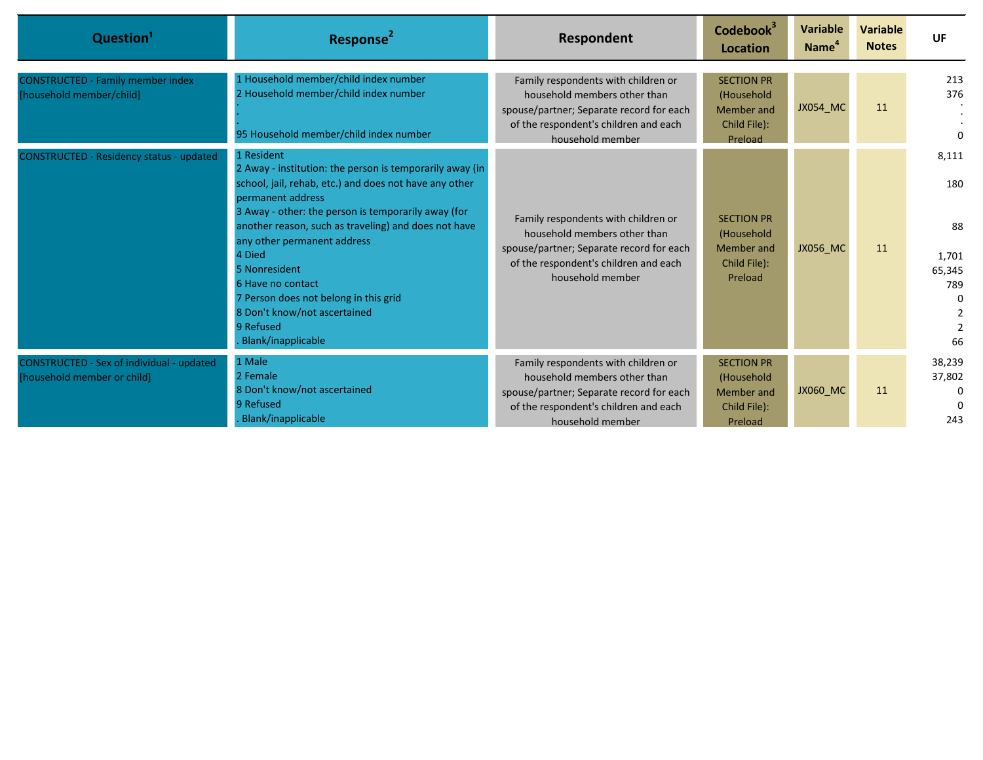| Question <sup>1</sup>                                                    | Response <sup>2</sup>                                                                                                                                                                                                                                                                                  | Respondent                                                                                                                                                                   | Codebook <sup>3</sup><br>Location                                        | Variable<br><b>Name</b> | <b>Variable</b><br><b>Notes</b> | <b>UF</b>                                       |
|--------------------------------------------------------------------------|--------------------------------------------------------------------------------------------------------------------------------------------------------------------------------------------------------------------------------------------------------------------------------------------------------|------------------------------------------------------------------------------------------------------------------------------------------------------------------------------|--------------------------------------------------------------------------|-------------------------|---------------------------------|-------------------------------------------------|
| <b>CONSTRUCTED - Family member index</b><br>[household member/child]     | 1 Household member/child index number<br>2 Household member/child index number<br>95 Household member/child index number                                                                                                                                                                               | Family respondents with children or<br>household members other than<br>spouse/partner; Separate record for each<br>of the respondent's children and each<br>household member | <b>SECTION PR</b><br>(Household<br>Member and<br>Child File):<br>Preload | <b>JX054_MC</b>         | 11                              | 213<br>376<br>0                                 |
| <b>CONSTRUCTED - Residency status - updated</b>                          | 1 Resident<br>2 Away - institution: the person is temporarily away (in                                                                                                                                                                                                                                 |                                                                                                                                                                              |                                                                          |                         |                                 | 8,111                                           |
|                                                                          | school, jail, rehab, etc.) and does not have any other<br>permanent address                                                                                                                                                                                                                            |                                                                                                                                                                              |                                                                          |                         |                                 | 180                                             |
|                                                                          | 3 Away - other: the person is temporarily away (for<br>another reason, such as traveling) and does not have<br>any other permanent address<br>4 Died<br>5 Nonresident<br>6 Have no contact<br>7 Person does not belong in this grid<br>8 Don't know/not ascertained<br>9 Refused<br>Blank/inapplicable | Family respondents with children or<br>household members other than<br>spouse/partner; Separate record for each<br>of the respondent's children and each<br>household member | <b>SECTION PR</b><br>(Household<br>Member and<br>Child File):<br>Preload | <b>JX056 MC</b>         | <sup>11</sup>                   | 88<br>1,701<br>65,345<br>789<br>66              |
| CONSTRUCTED - Sex of individual - updated<br>[household member or child] | 1 Male<br>2 Female<br>8 Don't know/not ascertained<br>9 Refused<br>Blank/inapplicable                                                                                                                                                                                                                  | Family respondents with children or<br>household members other than<br>spouse/partner; Separate record for each<br>of the respondent's children and each<br>household member | <b>SECTION PR</b><br>(Household<br>Member and<br>Child File):<br>Preload | <b>JX060 MC</b>         | <sup>11</sup>                   | 38,239<br>37,802<br>$\Omega$<br>$\Omega$<br>243 |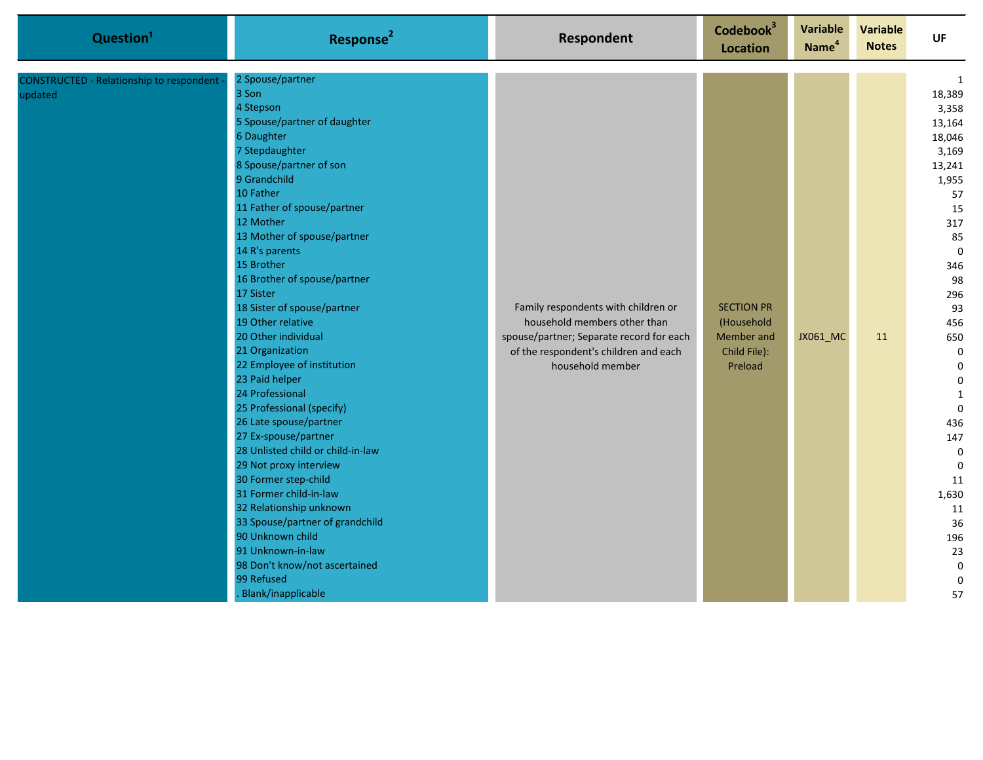| Question <sup>1</sup>                               | Response <sup>2</sup>                                                                                                                                                                                                                                                                                                                                                                                                                                                                                                                                                                                                                                                                                                                                                                                                                                               | Respondent                                                                                                                                                                   | Codebook <sup>3</sup><br><b>Location</b>                                 | <b>Variable</b><br>Name <sup>4</sup> | <b>Variable</b><br><b>Notes</b> | UF                                                                                                                                                                                                                                                                                                                                                  |
|-----------------------------------------------------|---------------------------------------------------------------------------------------------------------------------------------------------------------------------------------------------------------------------------------------------------------------------------------------------------------------------------------------------------------------------------------------------------------------------------------------------------------------------------------------------------------------------------------------------------------------------------------------------------------------------------------------------------------------------------------------------------------------------------------------------------------------------------------------------------------------------------------------------------------------------|------------------------------------------------------------------------------------------------------------------------------------------------------------------------------|--------------------------------------------------------------------------|--------------------------------------|---------------------------------|-----------------------------------------------------------------------------------------------------------------------------------------------------------------------------------------------------------------------------------------------------------------------------------------------------------------------------------------------------|
| CONSTRUCTED - Relationship to respondent<br>updated | 2 Spouse/partner<br>3 Son<br>4 Stepson<br>5 Spouse/partner of daughter<br>6 Daughter<br>7 Stepdaughter<br>8 Spouse/partner of son<br>9 Grandchild<br>10 Father<br>11 Father of spouse/partner<br>12 Mother<br>13 Mother of spouse/partner<br>14 R's parents<br>15 Brother<br>16 Brother of spouse/partner<br>17 Sister<br>18 Sister of spouse/partner<br>19 Other relative<br>20 Other individual<br>21 Organization<br>22 Employee of institution<br>23 Paid helper<br>24 Professional<br>25 Professional (specify)<br>26 Late spouse/partner<br>27 Ex-spouse/partner<br>28 Unlisted child or child-in-law<br>29 Not proxy interview<br>30 Former step-child<br>31 Former child-in-law<br>32 Relationship unknown<br>33 Spouse/partner of grandchild<br>90 Unknown child<br>91 Unknown-in-law<br>98 Don't know/not ascertained<br>99 Refused<br>Blank/inapplicable | Family respondents with children or<br>household members other than<br>spouse/partner; Separate record for each<br>of the respondent's children and each<br>household member | <b>SECTION PR</b><br>(Household<br>Member and<br>Child File):<br>Preload | JX061_MC                             | 11                              | 1<br>18,389<br>3,358<br>13,164<br>18,046<br>3,169<br>13,241<br>1,955<br>57<br>15<br>317<br>85<br>$\pmb{0}$<br>346<br>98<br>296<br>93<br>456<br>650<br>$\pmb{0}$<br>$\overline{0}$<br>$\Omega$<br>$\mathbf{1}$<br>$\pmb{0}$<br>436<br>147<br>$\pmb{0}$<br>$\boldsymbol{0}$<br>11<br>1,630<br>11<br>36<br>196<br>23<br>$\pmb{0}$<br>$\mathbf 0$<br>57 |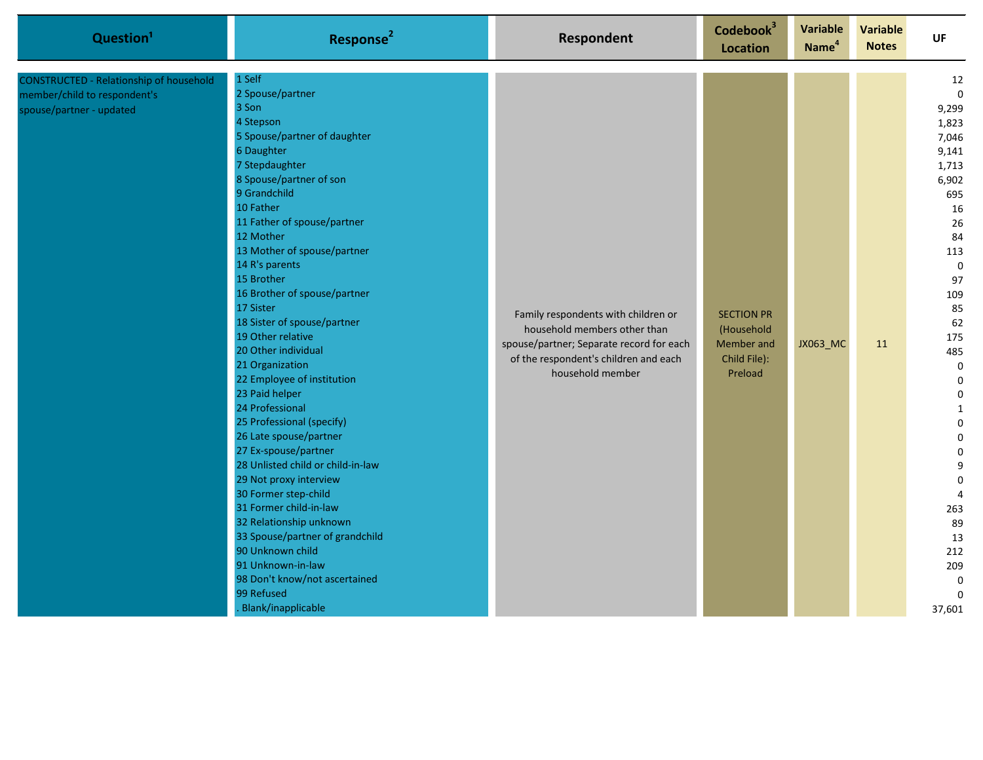| Question <sup>1</sup>                                                                               | Response <sup>2</sup>                                                                                                                                                                                                                                                                                                                                                                                                                                                                                                                                                                                                                                                                                                                                                                                                                                                         | <b>Respondent</b>                                                                                                                                                            | Codebook <sup>3</sup><br><b>Location</b>                                 | <b>Variable</b><br>Name <sup>4</sup> | <b>Variable</b><br><b>Notes</b> | <b>UF</b>                                                                                                                                                                                                                                                                                                                                           |
|-----------------------------------------------------------------------------------------------------|-------------------------------------------------------------------------------------------------------------------------------------------------------------------------------------------------------------------------------------------------------------------------------------------------------------------------------------------------------------------------------------------------------------------------------------------------------------------------------------------------------------------------------------------------------------------------------------------------------------------------------------------------------------------------------------------------------------------------------------------------------------------------------------------------------------------------------------------------------------------------------|------------------------------------------------------------------------------------------------------------------------------------------------------------------------------|--------------------------------------------------------------------------|--------------------------------------|---------------------------------|-----------------------------------------------------------------------------------------------------------------------------------------------------------------------------------------------------------------------------------------------------------------------------------------------------------------------------------------------------|
| CONSTRUCTED - Relationship of household<br>member/child to respondent's<br>spouse/partner - updated | 1 Self<br>2 Spouse/partner<br>3 Son<br>4 Stepson<br>5 Spouse/partner of daughter<br>6 Daughter<br>7 Stepdaughter<br>8 Spouse/partner of son<br>9 Grandchild<br>10 Father<br>11 Father of spouse/partner<br>12 Mother<br>13 Mother of spouse/partner<br>14 R's parents<br>15 Brother<br>16 Brother of spouse/partner<br>17 Sister<br>18 Sister of spouse/partner<br>19 Other relative<br>20 Other individual<br>21 Organization<br>22 Employee of institution<br>23 Paid helper<br>24 Professional<br>25 Professional (specify)<br>26 Late spouse/partner<br>27 Ex-spouse/partner<br>28 Unlisted child or child-in-law<br>29 Not proxy interview<br>30 Former step-child<br>31 Former child-in-law<br>32 Relationship unknown<br>33 Spouse/partner of grandchild<br>90 Unknown child<br>91 Unknown-in-law<br>98 Don't know/not ascertained<br>99 Refused<br>Blank/inapplicable | Family respondents with children or<br>household members other than<br>spouse/partner; Separate record for each<br>of the respondent's children and each<br>household member | <b>SECTION PR</b><br>(Household<br>Member and<br>Child File):<br>Preload | JX063_MC                             | 11                              | 12<br>$\mathbf 0$<br>9,299<br>1,823<br>7,046<br>9,141<br>1,713<br>6,902<br>695<br>16<br>26<br>84<br>113<br>$\mathbf 0$<br>97<br>109<br>85<br>62<br>175<br>485<br>$\mathbf 0$<br>$\pmb{0}$<br>0<br>$\mathbf{1}$<br>0<br>$\mathbf 0$<br>0<br>9<br>$\mathbf 0$<br>$\overline{4}$<br>263<br>89<br>13<br>212<br>209<br>$\mathbf 0$<br>$\Omega$<br>37,601 |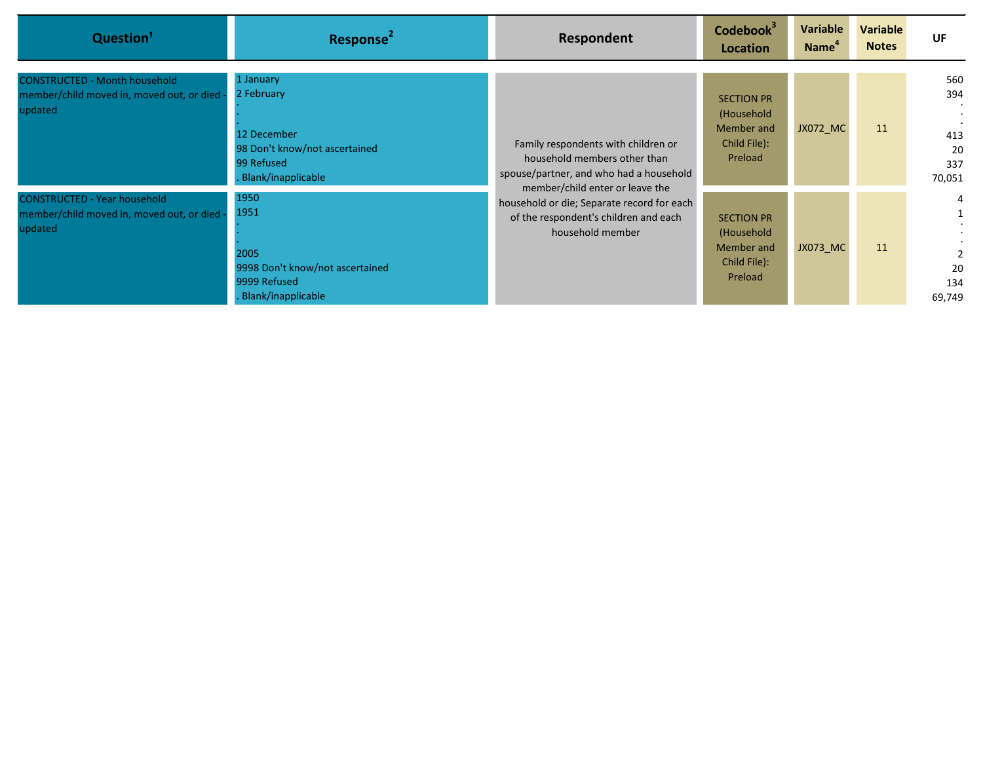| Question <sup>1</sup>                                                                        | Response <sup>2</sup>                                                                                       | Respondent                                                                                                                                        | Codebook <sup>3</sup><br>Location                                        | Variable<br>Name <sup>"</sup> | <b>Variable</b><br><b>Notes</b> | UF                                       |
|----------------------------------------------------------------------------------------------|-------------------------------------------------------------------------------------------------------------|---------------------------------------------------------------------------------------------------------------------------------------------------|--------------------------------------------------------------------------|-------------------------------|---------------------------------|------------------------------------------|
| <b>CONSTRUCTED - Month household</b><br>member/child moved in, moved out, or died<br>updated | 1 January<br>2 February<br>12 December<br>98 Don't know/not ascertained<br>99 Refused<br>Blank/inapplicable | Family respondents with children or<br>household members other than<br>spouse/partner, and who had a household<br>member/child enter or leave the | <b>SECTION PR</b><br>(Household<br>Member and<br>Child File):<br>Preload | JX072_MC                      | 11                              | 560<br>394<br>413<br>20<br>337<br>70,051 |
| <b>CONSTRUCTED - Year household</b><br>member/child moved in, moved out, or died<br>updated  | 1950<br>1951<br>2005<br>9998 Don't know/not ascertained<br>9999 Refused<br>Blank/inapplicable               | household or die; Separate record for each<br>of the respondent's children and each<br>household member                                           | <b>SECTION PR</b><br>(Household<br>Member and<br>Child File):<br>Preload | <b>JX073 MC</b>               | 11                              | 4<br>20<br>134<br>69,749                 |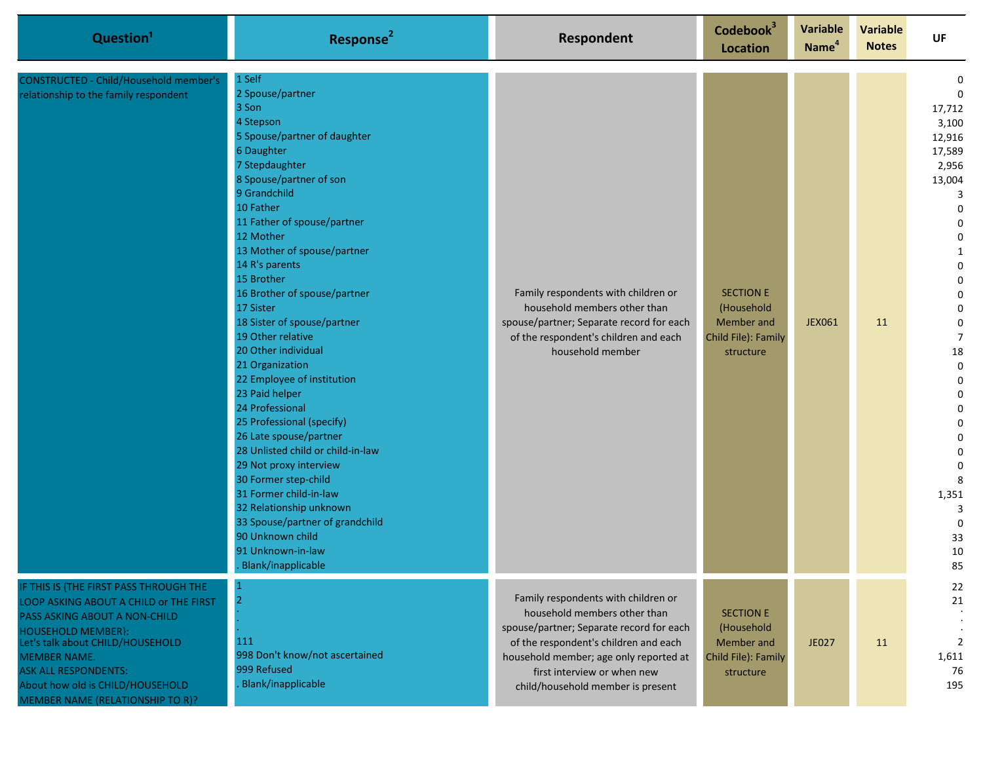| Question <sup>1</sup>                                                                                                                                                                                                                                                                                            | Response <sup>2</sup>                                                                                                                                                                                                                                                                                                                                                                                                                                                                                                                                                                                                                                                                                                                                                                                  | Respondent                                                                                                                                                                                                                                                             | Codebook <sup>3</sup><br><b>Location</b>                                         | <b>Variable</b><br>Name <sup>4</sup> | <b>Variable</b><br><b>Notes</b> | UF                                                                                                                                                                                                                                                                                                                                     |
|------------------------------------------------------------------------------------------------------------------------------------------------------------------------------------------------------------------------------------------------------------------------------------------------------------------|--------------------------------------------------------------------------------------------------------------------------------------------------------------------------------------------------------------------------------------------------------------------------------------------------------------------------------------------------------------------------------------------------------------------------------------------------------------------------------------------------------------------------------------------------------------------------------------------------------------------------------------------------------------------------------------------------------------------------------------------------------------------------------------------------------|------------------------------------------------------------------------------------------------------------------------------------------------------------------------------------------------------------------------------------------------------------------------|----------------------------------------------------------------------------------|--------------------------------------|---------------------------------|----------------------------------------------------------------------------------------------------------------------------------------------------------------------------------------------------------------------------------------------------------------------------------------------------------------------------------------|
| <b>CONSTRUCTED - Child/Household member's</b><br>relationship to the family respondent                                                                                                                                                                                                                           | 1 Self<br>2 Spouse/partner<br>3 Son<br>4 Stepson<br>5 Spouse/partner of daughter<br>6 Daughter<br>7 Stepdaughter<br>8 Spouse/partner of son<br>9 Grandchild<br>10 Father<br>11 Father of spouse/partner<br>12 Mother<br>13 Mother of spouse/partner<br>14 R's parents<br>15 Brother<br>16 Brother of spouse/partner<br>17 Sister<br>18 Sister of spouse/partner<br>19 Other relative<br>20 Other individual<br>21 Organization<br>22 Employee of institution<br>23 Paid helper<br>24 Professional<br>25 Professional (specify)<br>26 Late spouse/partner<br>28 Unlisted child or child-in-law<br>29 Not proxy interview<br>30 Former step-child<br>31 Former child-in-law<br>32 Relationship unknown<br>33 Spouse/partner of grandchild<br>90 Unknown child<br>91 Unknown-in-law<br>Blank/inapplicable | Family respondents with children or<br>household members other than<br>spouse/partner; Separate record for each<br>of the respondent's children and each<br>household member                                                                                           | <b>SECTION E</b><br>(Household<br>Member and<br>Child File): Family<br>structure | <b>JEX061</b>                        | 11                              | $\Omega$<br>$\Omega$<br>17,712<br>3,100<br>12,916<br>17,589<br>2,956<br>13,004<br>3<br>$\Omega$<br>$\Omega$<br>$\Omega$<br>$\Omega$<br>$\Omega$<br>0<br>$\overline{7}$<br>18<br>$\mathbf 0$<br>$\Omega$<br>$\Omega$<br>$\Omega$<br>$\Omega$<br>$\Omega$<br>$\Omega$<br>$\mathbf 0$<br>8<br>1,351<br>3<br>$\mathbf 0$<br>33<br>10<br>85 |
| IF THIS IS {THE FIRST PASS THROUGH THE<br>LOOP ASKING ABOUT A CHILD or THE FIRST<br>PASS ASKING ABOUT A NON-CHILD<br><b>HOUSEHOLD MEMBER}:</b><br>Let's talk about CHILD/HOUSEHOLD<br><b>MEMBER NAME.</b><br><b>ASK ALL RESPONDENTS:</b><br>About how old is CHILD/HOUSEHOLD<br>MEMBER NAME (RELATIONSHIP TO R)? | 111<br>998 Don't know/not ascertained<br>999 Refused<br>Blank/inapplicable                                                                                                                                                                                                                                                                                                                                                                                                                                                                                                                                                                                                                                                                                                                             | Family respondents with children or<br>household members other than<br>spouse/partner; Separate record for each<br>of the respondent's children and each<br>household member; age only reported at<br>first interview or when new<br>child/household member is present | <b>SECTION E</b><br>(Household<br>Member and<br>Child File): Family<br>structure | <b>JE027</b>                         | 11                              | 22<br>21<br>2<br>1,611<br>76<br>195                                                                                                                                                                                                                                                                                                    |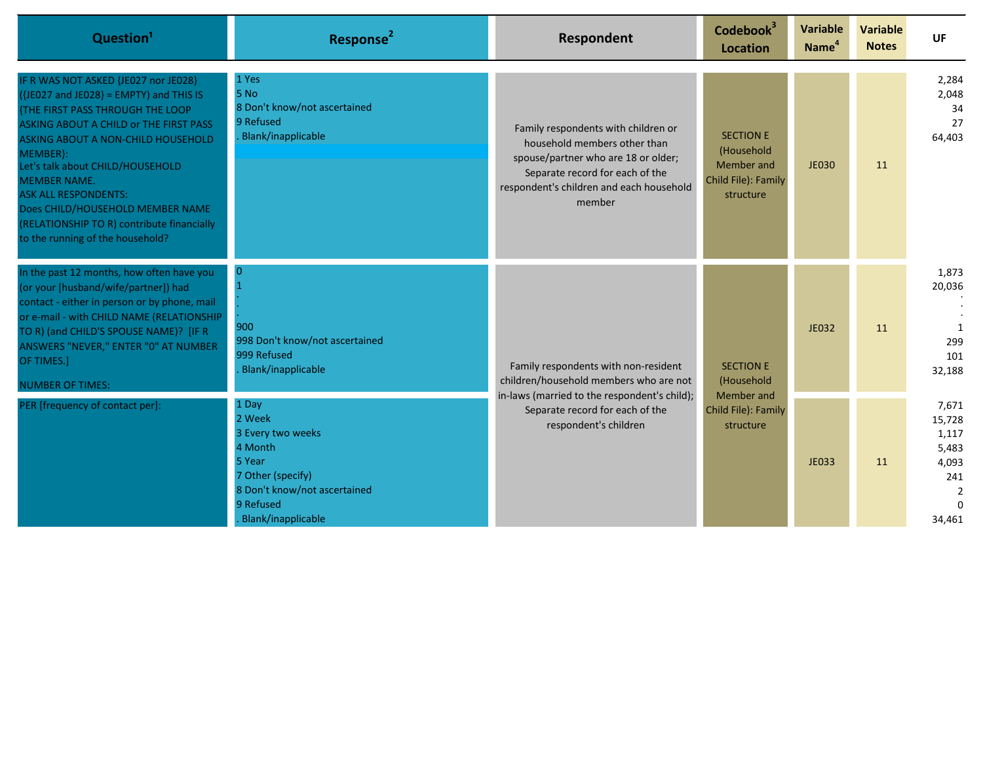| Question <sup>1</sup>                                                                                                                                                                                                                                                                                                                                                                                                                                  | Response <sup>2</sup>                                                                                                                             | Respondent                                                                                                                                                                                          | Codebook <sup>3</sup><br>Location                                                | <b>Variable</b><br>Name <sup>4</sup> | <b>Variable</b><br><b>Notes</b>              | UF                                                                                        |    |                                         |
|--------------------------------------------------------------------------------------------------------------------------------------------------------------------------------------------------------------------------------------------------------------------------------------------------------------------------------------------------------------------------------------------------------------------------------------------------------|---------------------------------------------------------------------------------------------------------------------------------------------------|-----------------------------------------------------------------------------------------------------------------------------------------------------------------------------------------------------|----------------------------------------------------------------------------------|--------------------------------------|----------------------------------------------|-------------------------------------------------------------------------------------------|----|-----------------------------------------|
| IF R WAS NOT ASKED {JE027 nor JE028}<br>$({\text{JE027 and JE028}} = EMPTY)$ and THIS IS<br><b>{THE FIRST PASS THROUGH THE LOOP</b><br>ASKING ABOUT A CHILD or THE FIRST PASS<br><b>ASKING ABOUT A NON-CHILD HOUSEHOLD</b><br>MEMBER}:<br>Let's talk about CHILD/HOUSEHOLD<br><b>MEMBER NAME.</b><br><b>ASK ALL RESPONDENTS:</b><br>Does CHILD/HOUSEHOLD MEMBER NAME<br>(RELATIONSHIP TO R) contribute financially<br>to the running of the household? | 1 Yes<br>5 No<br>8 Don't know/not ascertained<br>9 Refused<br>. Blank/inapplicable                                                                | Family respondents with children or<br>household members other than<br>spouse/partner who are 18 or older;<br>Separate record for each of the<br>respondent's children and each household<br>member | <b>SECTION E</b><br>(Household<br>Member and<br>Child File): Family<br>structure | <b>JE030</b>                         | 11                                           | 2,284<br>2,048<br>34<br>27<br>64,403                                                      |    |                                         |
| In the past 12 months, how often have you<br>(or your [husband/wife/partner]) had<br>contact - either in person or by phone, mail<br>or e-mail - with CHILD NAME (RELATIONSHIP<br>TO R) (and CHILD'S SPOUSE NAME)? [IF R<br>ANSWERS "NEVER," ENTER "0" AT NUMBER<br>OF TIMES.]<br><b>NUMBER OF TIMES:</b>                                                                                                                                              | 900<br>998 Don't know/not ascertained<br>999 Refused<br><b>Blank/inapplicable</b>                                                                 | Family respondents with non-resident<br>children/household members who are not<br>in-laws (married to the respondent's child);<br>Separate record for each of the<br>respondent's children          |                                                                                  |                                      | <b>SECTION E</b><br>(Household<br>Member and | JE032                                                                                     | 11 | 1,873<br>20,036<br>299<br>101<br>32,188 |
| PER [frequency of contact per]:                                                                                                                                                                                                                                                                                                                                                                                                                        | 1 Day<br>2 Week<br>3 Every two weeks<br>4 Month<br>5 Year<br>7 Other (specify)<br>8 Don't know/not ascertained<br>9 Refused<br>Blank/inapplicable |                                                                                                                                                                                                     | Child File): Family<br>structure                                                 | JE033                                | 11                                           | 7,671<br>15,728<br>1,117<br>5,483<br>4,093<br>241<br>$\overline{2}$<br>$\Omega$<br>34,461 |    |                                         |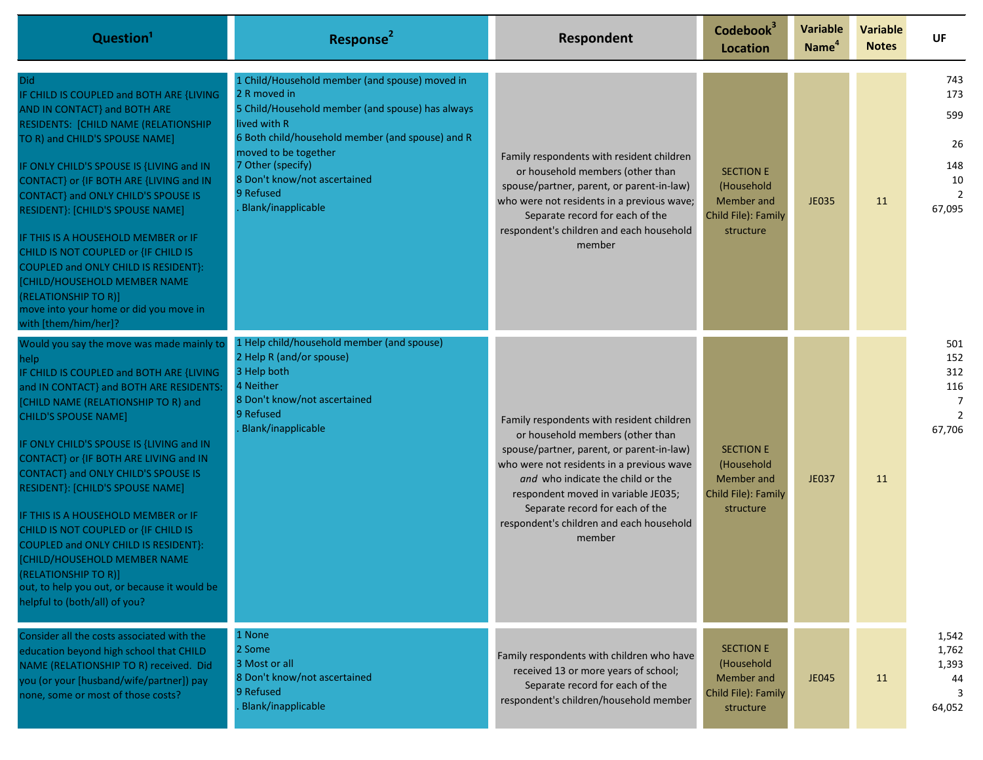| Question <sup>1</sup>                                                                                                                                                                                                                                                                                                                                                                                                                                                                                                                                                                                                                           | Response <sup>2</sup>                                                                                                                                                                                                                                                                                  | Respondent                                                                                                                                                                                                                                                                                                                                   | Codebook <sup>3</sup><br>Location                                                | <b>Variable</b><br>Name <sup>4</sup> | <b>Variable</b><br><b>Notes</b> | <b>UF</b>                                                                        |
|-------------------------------------------------------------------------------------------------------------------------------------------------------------------------------------------------------------------------------------------------------------------------------------------------------------------------------------------------------------------------------------------------------------------------------------------------------------------------------------------------------------------------------------------------------------------------------------------------------------------------------------------------|--------------------------------------------------------------------------------------------------------------------------------------------------------------------------------------------------------------------------------------------------------------------------------------------------------|----------------------------------------------------------------------------------------------------------------------------------------------------------------------------------------------------------------------------------------------------------------------------------------------------------------------------------------------|----------------------------------------------------------------------------------|--------------------------------------|---------------------------------|----------------------------------------------------------------------------------|
| Did.<br>IF CHILD IS COUPLED and BOTH ARE {LIVING<br>AND IN CONTACT} and BOTH ARE<br>RESIDENTS: [CHILD NAME (RELATIONSHIP<br>TO R) and CHILD'S SPOUSE NAME]<br>IF ONLY CHILD'S SPOUSE IS {LIVING and IN<br>CONTACT} or {IF BOTH ARE {LIVING and IN<br>CONTACT} and ONLY CHILD'S SPOUSE IS<br>RESIDENT}: [CHILD'S SPOUSE NAME]<br>IF THIS IS A HOUSEHOLD MEMBER or IF<br>CHILD IS NOT COUPLED or {IF CHILD IS<br>COUPLED and ONLY CHILD IS RESIDENT}:<br><b>[CHILD/HOUSEHOLD MEMBER NAME</b><br>(RELATIONSHIP TO R)]<br>move into your home or did you move in<br>with [them/him/her]?                                                            | 1 Child/Household member (and spouse) moved in<br>2 R moved in<br>5 Child/Household member (and spouse) has always<br>lived with R<br>6 Both child/household member (and spouse) and R<br>moved to be together<br>7 Other (specify)<br>8 Don't know/not ascertained<br>9 Refused<br>Blank/inapplicable | Family respondents with resident children<br>or household members (other than<br>spouse/partner, parent, or parent-in-law)<br>who were not residents in a previous wave;<br>Separate record for each of the<br>respondent's children and each household<br>member                                                                            | <b>SECTION E</b><br>(Household<br>Member and<br>Child File): Family<br>structure | JE035                                | 11                              | 743<br>173<br>599<br>26<br>148<br>10<br>$\overline{2}$<br>67,095                 |
| Would you say the move was made mainly to<br>help<br>IF CHILD IS COUPLED and BOTH ARE {LIVING<br>and IN CONTACT} and BOTH ARE RESIDENTS:<br>[CHILD NAME (RELATIONSHIP TO R) and<br><b>CHILD'S SPOUSE NAME]</b><br>IF ONLY CHILD'S SPOUSE IS {LIVING and IN<br>CONTACT} or {IF BOTH ARE LIVING and IN<br>CONTACT} and ONLY CHILD'S SPOUSE IS<br>RESIDENT}: [CHILD'S SPOUSE NAME]<br>IF THIS IS A HOUSEHOLD MEMBER or IF<br>CHILD IS NOT COUPLED or {IF CHILD IS<br>COUPLED and ONLY CHILD IS RESIDENT}:<br>[CHILD/HOUSEHOLD MEMBER NAME<br>(RELATIONSHIP TO R)]<br>out, to help you out, or because it would be<br>helpful to (both/all) of you? | 1 Help child/household member (and spouse)<br>2 Help R (and/or spouse)<br>3 Help both<br>4 Neither<br>8 Don't know/not ascertained<br>9 Refused<br>Blank/inapplicable                                                                                                                                  | Family respondents with resident children<br>or household members (other than<br>spouse/partner, parent, or parent-in-law)<br>who were not residents in a previous wave<br>and who indicate the child or the<br>respondent moved in variable JE035;<br>Separate record for each of the<br>respondent's children and each household<br>member | <b>SECTION E</b><br>(Household<br>Member and<br>Child File): Family<br>structure | JE037                                | 11                              | 501<br>152<br>312<br>116<br>$\overline{7}$<br>$\overline{\phantom{a}}$<br>67,706 |
| Consider all the costs associated with the<br>education beyond high school that CHILD<br>NAME (RELATIONSHIP TO R) received. Did<br>you (or your [husband/wife/partner]) pay<br>none, some or most of those costs?                                                                                                                                                                                                                                                                                                                                                                                                                               | 1 None<br>2 Some<br>3 Most or all<br>8 Don't know/not ascertained<br>9 Refused<br>Blank/inapplicable                                                                                                                                                                                                   | Family respondents with children who have<br>received 13 or more years of school;<br>Separate record for each of the<br>respondent's children/household member                                                                                                                                                                               | <b>SECTION E</b><br>(Household<br>Member and<br>Child File): Family<br>structure | <b>JE045</b>                         | 11                              | 1,542<br>1,762<br>1,393<br>44<br>64,052                                          |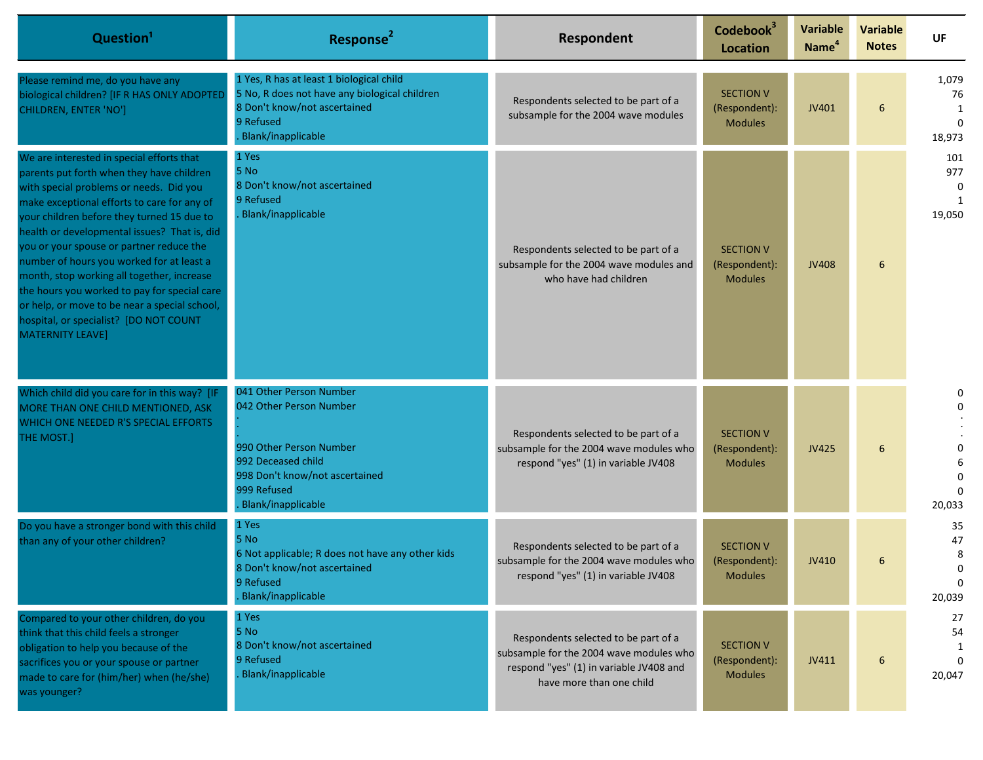| Question <sup>1</sup>                                                                                                                                                                                                                                                                                                                                                                                                                                                                                                                                                                       | Response <sup>2</sup>                                                                                                                                                      | Respondent                                                                                                                                             | Codebook <sup>3</sup><br><b>Location</b>            | <b>Variable</b><br>Name <sup>4</sup> | <b>Variable</b><br><b>Notes</b> | <b>UF</b>                                       |
|---------------------------------------------------------------------------------------------------------------------------------------------------------------------------------------------------------------------------------------------------------------------------------------------------------------------------------------------------------------------------------------------------------------------------------------------------------------------------------------------------------------------------------------------------------------------------------------------|----------------------------------------------------------------------------------------------------------------------------------------------------------------------------|--------------------------------------------------------------------------------------------------------------------------------------------------------|-----------------------------------------------------|--------------------------------------|---------------------------------|-------------------------------------------------|
| Please remind me, do you have any<br>biological children? [IF R HAS ONLY ADOPTED<br><b>CHILDREN, ENTER 'NO']</b>                                                                                                                                                                                                                                                                                                                                                                                                                                                                            | 1 Yes, R has at least 1 biological child<br>5 No, R does not have any biological children<br>8 Don't know/not ascertained<br>9 Refused<br>Blank/inapplicable               | Respondents selected to be part of a<br>subsample for the 2004 wave modules                                                                            | <b>SECTION V</b><br>(Respondent):<br><b>Modules</b> | JV401                                | 6                               | 1,079<br>76<br>1<br>$\Omega$<br>18,973          |
| We are interested in special efforts that<br>parents put forth when they have children<br>with special problems or needs. Did you<br>make exceptional efforts to care for any of<br>your children before they turned 15 due to<br>health or developmental issues? That is, did<br>you or your spouse or partner reduce the<br>number of hours you worked for at least a<br>month, stop working all together, increase<br>the hours you worked to pay for special care<br>or help, or move to be near a special school,<br>hospital, or specialist? [DO NOT COUNT<br><b>MATERNITY LEAVE]</b> | 1 Yes<br>5 No<br>8 Don't know/not ascertained<br>9 Refused<br>Blank/inapplicable                                                                                           | Respondents selected to be part of a<br>subsample for the 2004 wave modules and<br>who have had children                                               | <b>SECTION V</b><br>(Respondent):<br><b>Modules</b> | <b>JV408</b>                         | 6                               | 101<br>977<br>$\Omega$<br>19,050                |
| Which child did you care for in this way? [IF<br>MORE THAN ONE CHILD MENTIONED, ASK<br>WHICH ONE NEEDED R'S SPECIAL EFFORTS<br>THE MOST.]                                                                                                                                                                                                                                                                                                                                                                                                                                                   | 041 Other Person Number<br>042 Other Person Number<br>990 Other Person Number<br>992 Deceased child<br>998 Don't know/not ascertained<br>999 Refused<br>Blank/inapplicable | Respondents selected to be part of a<br>subsample for the 2004 wave modules who<br>respond "yes" (1) in variable JV408                                 | <b>SECTION V</b><br>(Respondent):<br><b>Modules</b> | JV425                                | 6                               | 0<br>$\Omega$<br>$\Omega$<br>$\Omega$<br>20,033 |
| Do you have a stronger bond with this child<br>than any of your other children?                                                                                                                                                                                                                                                                                                                                                                                                                                                                                                             | 1 Yes<br>5 No<br>6 Not applicable; R does not have any other kids<br>8 Don't know/not ascertained<br>9 Refused<br>Blank/inapplicable                                       | Respondents selected to be part of a<br>subsample for the 2004 wave modules who<br>respond "yes" (1) in variable JV408                                 | <b>SECTION V</b><br>(Respondent):<br><b>Modules</b> | JV410                                | 6                               | 35<br>47<br>8<br>$\Omega$<br>0<br>20,039        |
| Compared to your other children, do you<br>think that this child feels a stronger<br>obligation to help you because of the<br>sacrifices you or your spouse or partner<br>made to care for (him/her) when (he/she)<br>was younger?                                                                                                                                                                                                                                                                                                                                                          | 1 Yes<br>5 No<br>8 Don't know/not ascertained<br>9 Refused<br><b>Blank/inapplicable</b>                                                                                    | Respondents selected to be part of a<br>subsample for the 2004 wave modules who<br>respond "yes" (1) in variable JV408 and<br>have more than one child | <b>SECTION V</b><br>(Respondent):<br><b>Modules</b> | JV411                                | 6                               | 27<br>54<br>1<br>20,047                         |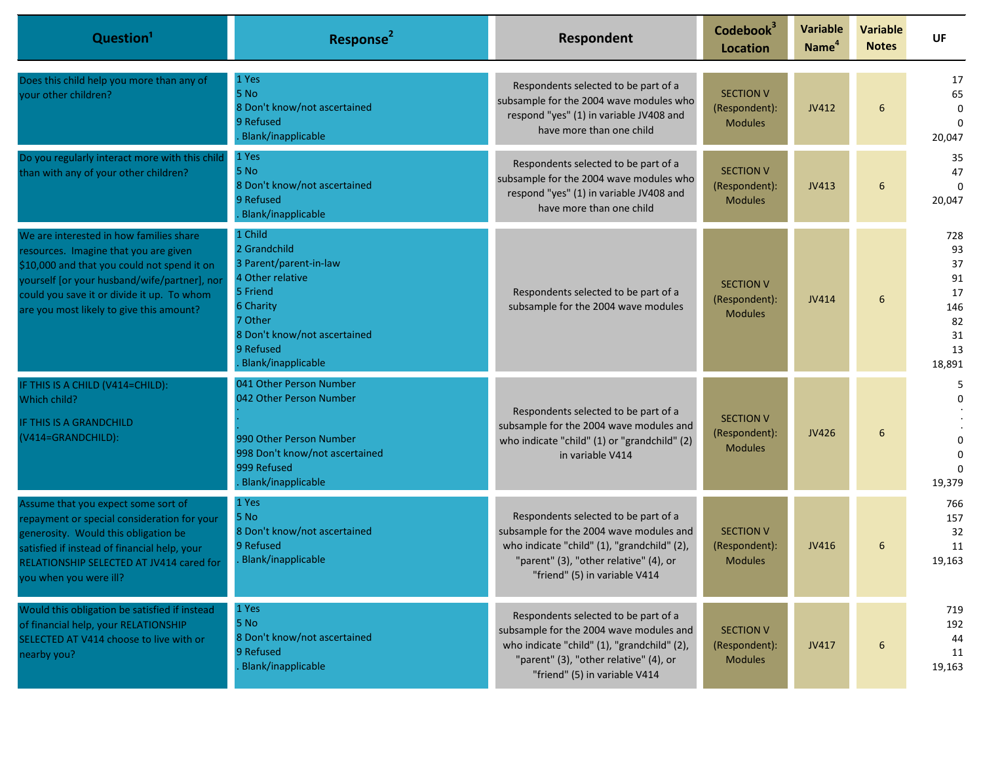| Question <sup>1</sup>                                                                                                                                                                                                                                                     | Response <sup>2</sup>                                                                                                                                                        | Respondent                                                                                                                                                                                                | Codebook <sup>3</sup><br><b>Location</b>            | <b>Variable</b><br>Name <sup>4</sup> | <b>Variable</b><br><b>Notes</b> | <b>UF</b>                                                      |
|---------------------------------------------------------------------------------------------------------------------------------------------------------------------------------------------------------------------------------------------------------------------------|------------------------------------------------------------------------------------------------------------------------------------------------------------------------------|-----------------------------------------------------------------------------------------------------------------------------------------------------------------------------------------------------------|-----------------------------------------------------|--------------------------------------|---------------------------------|----------------------------------------------------------------|
| Does this child help you more than any of<br>your other children?                                                                                                                                                                                                         | 1 Yes<br>5 No<br>8 Don't know/not ascertained<br>9 Refused<br>Blank/inapplicable                                                                                             | Respondents selected to be part of a<br>subsample for the 2004 wave modules who<br>respond "yes" (1) in variable JV408 and<br>have more than one child                                                    | <b>SECTION V</b><br>(Respondent):<br><b>Modules</b> | JV412                                | 6                               | 17<br>65<br>0<br>$\Omega$<br>20,047                            |
| Do you regularly interact more with this child<br>than with any of your other children?                                                                                                                                                                                   | 1 Yes<br>5 No<br>8 Don't know/not ascertained<br>9 Refused<br>Blank/inapplicable                                                                                             | Respondents selected to be part of a<br>subsample for the 2004 wave modules who<br>respond "yes" (1) in variable JV408 and<br>have more than one child                                                    | <b>SECTION V</b><br>(Respondent):<br><b>Modules</b> | JV413                                | 6                               | 35<br>47<br>$\Omega$<br>20,047                                 |
| We are interested in how families share<br>resources. Imagine that you are given<br>\$10,000 and that you could not spend it on<br>yourself [or your husband/wife/partner], nor<br>could you save it or divide it up. To whom<br>are you most likely to give this amount? | 1 Child<br>2 Grandchild<br>3 Parent/parent-in-law<br>4 Other relative<br>5 Friend<br>6 Charity<br>7 Other<br>8 Don't know/not ascertained<br>9 Refused<br>Blank/inapplicable | Respondents selected to be part of a<br>subsample for the 2004 wave modules                                                                                                                               | <b>SECTION V</b><br>(Respondent):<br><b>Modules</b> | JV414                                | 6                               | 728<br>93<br>37<br>91<br>17<br>146<br>82<br>31<br>13<br>18,891 |
| IF THIS IS A CHILD (V414=CHILD):<br>Which child?<br>IF THIS IS A GRANDCHILD<br>(V414=GRANDCHILD):                                                                                                                                                                         | 041 Other Person Number<br>042 Other Person Number<br>990 Other Person Number<br>998 Don't know/not ascertained<br>999 Refused<br>Blank/inapplicable                         | Respondents selected to be part of a<br>subsample for the 2004 wave modules and<br>who indicate "child" (1) or "grandchild" (2)<br>in variable V414                                                       | <b>SECTION V</b><br>(Respondent):<br><b>Modules</b> | JV426                                | 6                               | 5.<br>0<br>19,379                                              |
| Assume that you expect some sort of<br>repayment or special consideration for your<br>generosity. Would this obligation be<br>satisfied if instead of financial help, your<br>RELATIONSHIP SELECTED AT JV414 cared for<br>you when you were ill?                          | 1 Yes<br>5 No<br>8 Don't know/not ascertained<br>9 Refused<br>Blank/inapplicable                                                                                             | Respondents selected to be part of a<br>subsample for the 2004 wave modules and<br>who indicate "child" (1), "grandchild" (2),<br>"parent" (3), "other relative" (4), or<br>"friend" (5) in variable V414 | <b>SECTION V</b><br>(Respondent):<br><b>Modules</b> | JV416                                | 6                               | 766<br>157<br>32<br>11<br>19,163                               |
| Would this obligation be satisfied if instead<br>of financial help, your RELATIONSHIP<br>SELECTED AT V414 choose to live with or<br>nearby you?                                                                                                                           | 1 Yes<br>5 No<br>8 Don't know/not ascertained<br>9 Refused<br>Blank/inapplicable                                                                                             | Respondents selected to be part of a<br>subsample for the 2004 wave modules and<br>who indicate "child" (1), "grandchild" (2),<br>"parent" (3), "other relative" (4), or<br>"friend" (5) in variable V414 | <b>SECTION V</b><br>(Respondent):<br><b>Modules</b> | JV417                                | 6                               | 719<br>192<br>44<br>11<br>19,163                               |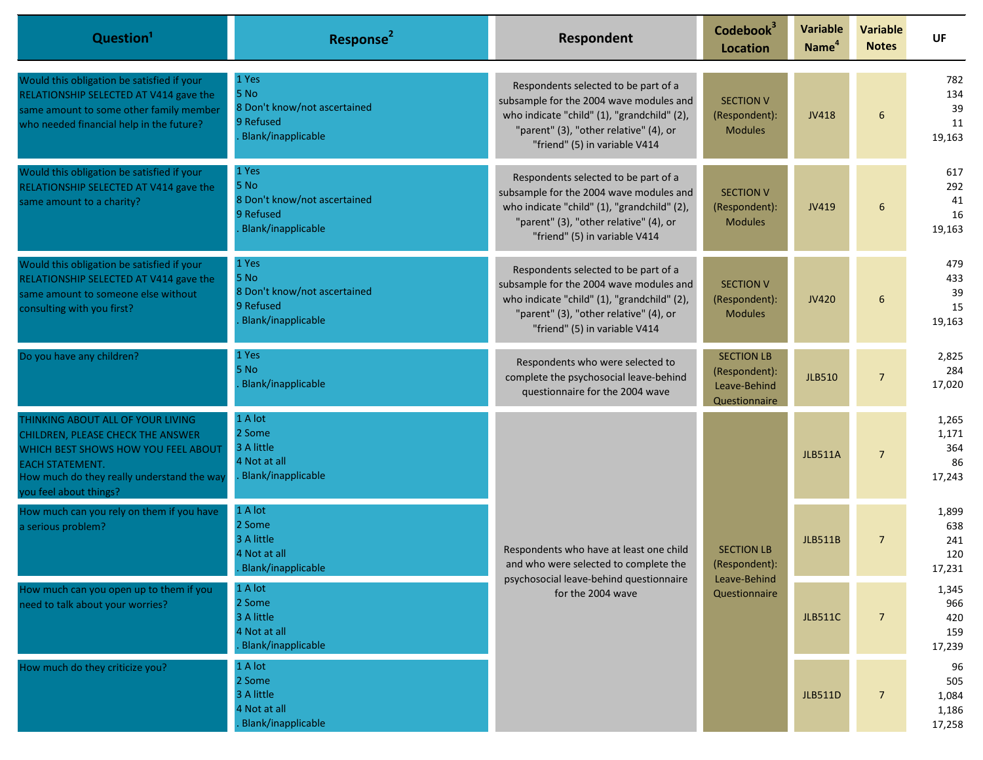| Question <sup>1</sup>                                                                                                                                                                                           | Response <sup>2</sup>                                                            | Respondent                                                                                                                                                                                                | Codebook <sup>3</sup><br><b>Location</b>                            | <b>Variable</b><br>Name <sup>4</sup> | <b>Variable</b><br><b>Notes</b> | <b>UF</b>                             |
|-----------------------------------------------------------------------------------------------------------------------------------------------------------------------------------------------------------------|----------------------------------------------------------------------------------|-----------------------------------------------------------------------------------------------------------------------------------------------------------------------------------------------------------|---------------------------------------------------------------------|--------------------------------------|---------------------------------|---------------------------------------|
| Would this obligation be satisfied if your<br>RELATIONSHIP SELECTED AT V414 gave the<br>same amount to some other family member<br>who needed financial help in the future?                                     | 1 Yes<br>5 No<br>8 Don't know/not ascertained<br>9 Refused<br>Blank/inapplicable | Respondents selected to be part of a<br>subsample for the 2004 wave modules and<br>who indicate "child" (1), "grandchild" (2),<br>"parent" (3), "other relative" (4), or<br>"friend" (5) in variable V414 | <b>SECTION V</b><br>(Respondent):<br><b>Modules</b>                 | JV418                                | 6                               | 782<br>134<br>39<br>11<br>19,163      |
| Would this obligation be satisfied if your<br>RELATIONSHIP SELECTED AT V414 gave the<br>same amount to a charity?                                                                                               | 1 Yes<br>5 No<br>8 Don't know/not ascertained<br>9 Refused<br>Blank/inapplicable | Respondents selected to be part of a<br>subsample for the 2004 wave modules and<br>who indicate "child" (1), "grandchild" (2),<br>"parent" (3), "other relative" (4), or<br>"friend" (5) in variable V414 | <b>SECTION V</b><br>(Respondent):<br><b>Modules</b>                 | JV419                                | 6                               | 617<br>292<br>41<br>16<br>19,163      |
| Would this obligation be satisfied if your<br>RELATIONSHIP SELECTED AT V414 gave the<br>same amount to someone else without<br>consulting with you first?                                                       | 1 Yes<br>5 No<br>8 Don't know/not ascertained<br>9 Refused<br>Blank/inapplicable | Respondents selected to be part of a<br>subsample for the 2004 wave modules and<br>who indicate "child" (1), "grandchild" (2),<br>"parent" (3), "other relative" (4), or<br>"friend" (5) in variable V414 | <b>SECTION V</b><br>(Respondent):<br><b>Modules</b>                 | JV420                                | 6                               | 479<br>433<br>39<br>15<br>19,163      |
| Do you have any children?                                                                                                                                                                                       | 1 Yes<br>5 No<br>Blank/inapplicable                                              | Respondents who were selected to<br>complete the psychosocial leave-behind<br>questionnaire for the 2004 wave                                                                                             | <b>SECTION LB</b><br>(Respondent):<br>Leave-Behind<br>Questionnaire | <b>JLB510</b>                        | $\overline{7}$                  | 2,825<br>284<br>17,020                |
| THINKING ABOUT ALL OF YOUR LIVING<br>CHILDREN, PLEASE CHECK THE ANSWER<br>WHICH BEST SHOWS HOW YOU FEEL ABOUT<br><b>EACH STATEMENT.</b><br>How much do they really understand the way<br>you feel about things? | 1 A lot<br>2 Some<br>3 A little<br>4 Not at all<br>Blank/inapplicable            | Respondents who have at least one child<br>and who were selected to complete the<br>psychosocial leave-behind questionnaire<br>for the 2004 wave                                                          | <b>SECTION LB</b><br>(Respondent):<br>Leave-Behind                  | <b>JLB511A</b>                       | 7 <sup>7</sup>                  | 1,265<br>1,171<br>364<br>86<br>17,243 |
| How much can you rely on them if you have<br>a serious problem?                                                                                                                                                 | 1 A lot<br>2 Some<br>3 A little<br>4 Not at all<br>Blank/inapplicable            |                                                                                                                                                                                                           |                                                                     | <b>JLB511B</b>                       | $\overline{7}$                  | 1,899<br>638<br>241<br>120<br>17,231  |
| How much can you open up to them if you<br>need to talk about your worries?                                                                                                                                     | 1 A lot<br>2 Some<br>3 A little<br>4 Not at all<br>Blank/inapplicable            |                                                                                                                                                                                                           | Questionnaire                                                       | <b>JLB511C</b>                       | $\overline{7}$                  | 1,345<br>966<br>420<br>159<br>17,239  |
| How much do they criticize you?                                                                                                                                                                                 | 1 A lot<br>2 Some<br>3 A little<br>4 Not at all<br>Blank/inapplicable            |                                                                                                                                                                                                           |                                                                     | <b>JLB511D</b>                       | 7 <sup>1</sup>                  | 96<br>505<br>1,084<br>1,186<br>17,258 |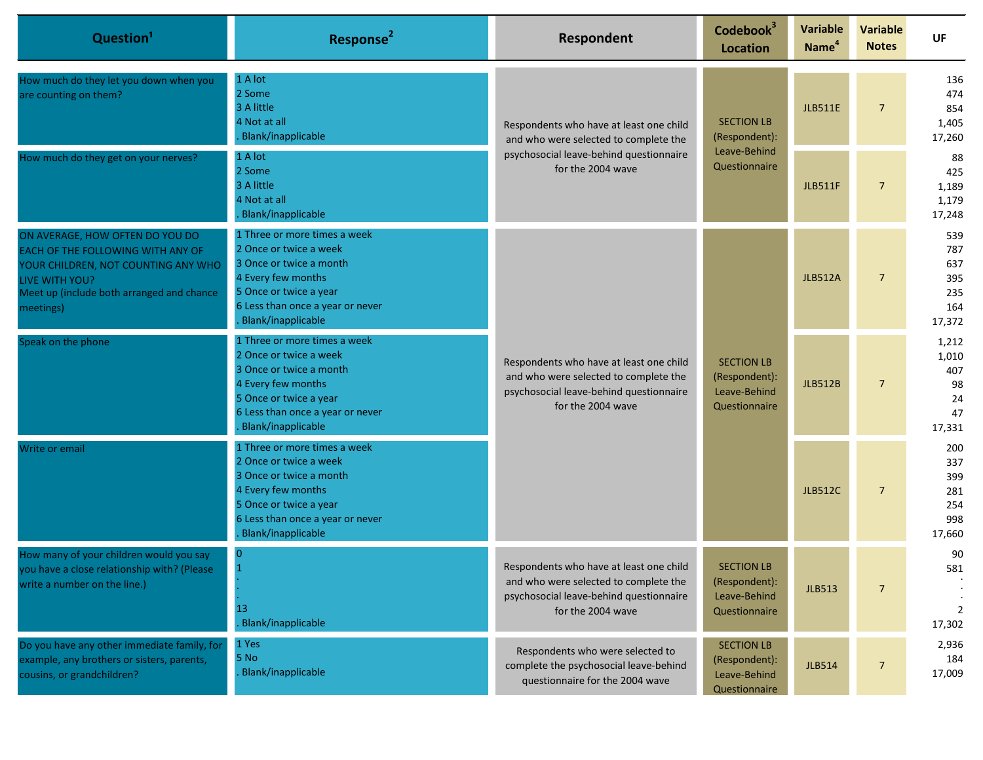| Question <sup>1</sup>                                                                                                                                                                   | Response <sup>2</sup>                                                                                                                                                                       | Respondent                                                                                                                                       | Codebook <sup>3</sup><br><b>Location</b>                            | <b>Variable</b><br>Name <sup>4</sup> | <b>Variable</b><br><b>Notes</b> | <b>UF</b>                                         |                                                  |                                      |
|-----------------------------------------------------------------------------------------------------------------------------------------------------------------------------------------|---------------------------------------------------------------------------------------------------------------------------------------------------------------------------------------------|--------------------------------------------------------------------------------------------------------------------------------------------------|---------------------------------------------------------------------|--------------------------------------|---------------------------------|---------------------------------------------------|--------------------------------------------------|--------------------------------------|
| How much do they let you down when you<br>are counting on them?                                                                                                                         | 1 A lot<br>2 Some<br>3 A little<br>4 Not at all<br>Blank/inapplicable                                                                                                                       | Respondents who have at least one child<br>and who were selected to complete the<br>psychosocial leave-behind questionnaire<br>for the 2004 wave | <b>SECTION LB</b><br>(Respondent):<br>Leave-Behind<br>Questionnaire |                                      |                                 | <b>JLB511E</b>                                    | $\overline{7}$                                   | 136<br>474<br>854<br>1,405<br>17,260 |
| How much do they get on your nerves?                                                                                                                                                    | 1 A lot<br>2 Some<br>3 A little<br>4 Not at all<br>Blank/inapplicable                                                                                                                       |                                                                                                                                                  |                                                                     | <b>JLB511F</b>                       | 7 <sup>2</sup>                  | 88<br>425<br>1,189<br>1,179<br>17,248             |                                                  |                                      |
| ON AVERAGE, HOW OFTEN DO YOU DO<br>EACH OF THE FOLLOWING WITH ANY OF<br>YOUR CHILDREN, NOT COUNTING ANY WHO<br>LIVE WITH YOU?<br>Meet up (include both arranged and chance<br>meetings) | 1 Three or more times a week<br>2 Once or twice a week<br>3 Once or twice a month<br>4 Every few months<br>5 Once or twice a year<br>6 Less than once a year or never<br>Blank/inapplicable | Respondents who have at least one child<br>and who were selected to complete the<br>psychosocial leave-behind questionnaire<br>for the 2004 wave | <b>SECTION LB</b><br>(Respondent):<br>Leave-Behind<br>Questionnaire |                                      | <b>JLB512A</b>                  | 7 <sup>7</sup>                                    | 539<br>787<br>637<br>395<br>235<br>164<br>17,372 |                                      |
| Speak on the phone                                                                                                                                                                      | 1 Three or more times a week<br>2 Once or twice a week<br>3 Once or twice a month<br>4 Every few months<br>5 Once or twice a year<br>6 Less than once a year or never<br>Blank/inapplicable |                                                                                                                                                  |                                                                     | <b>JLB512B</b>                       | $\overline{7}$                  | 1,212<br>1,010<br>407<br>98<br>24<br>47<br>17,331 |                                                  |                                      |
| Write or email                                                                                                                                                                          | 1 Three or more times a week<br>2 Once or twice a week<br>3 Once or twice a month<br>4 Every few months<br>5 Once or twice a year<br>6 Less than once a year or never<br>Blank/inapplicable |                                                                                                                                                  |                                                                     | <b>JLB512C</b>                       | 7 <sup>1</sup>                  | 200<br>337<br>399<br>281<br>254<br>998<br>17,660  |                                                  |                                      |
| How many of your children would you say<br>vou have a close relationship with? (Please<br>write a number on the line.)                                                                  | $\overline{0}$<br>$\overline{1}$<br>13<br><b>Blank/inapplicable</b>                                                                                                                         | Respondents who have at least one child<br>and who were selected to complete the<br>psychosocial leave-behind questionnaire<br>for the 2004 wave | <b>SECTION LB</b><br>(Respondent):<br>Leave-Behind<br>Questionnaire | <b>JLB513</b>                        | $\overline{7}$                  | 90<br>581<br>$\overline{2}$<br>17,302             |                                                  |                                      |
| Do you have any other immediate family, for<br>example, any brothers or sisters, parents,<br>cousins, or grandchildren?                                                                 | 1 Yes<br>5 No<br>Blank/inapplicable                                                                                                                                                         | Respondents who were selected to<br>complete the psychosocial leave-behind<br>questionnaire for the 2004 wave                                    | <b>SECTION LB</b><br>(Respondent):<br>Leave-Behind<br>Questionnaire | <b>JLB514</b>                        | 7 <sup>1</sup>                  | 2,936<br>184<br>17,009                            |                                                  |                                      |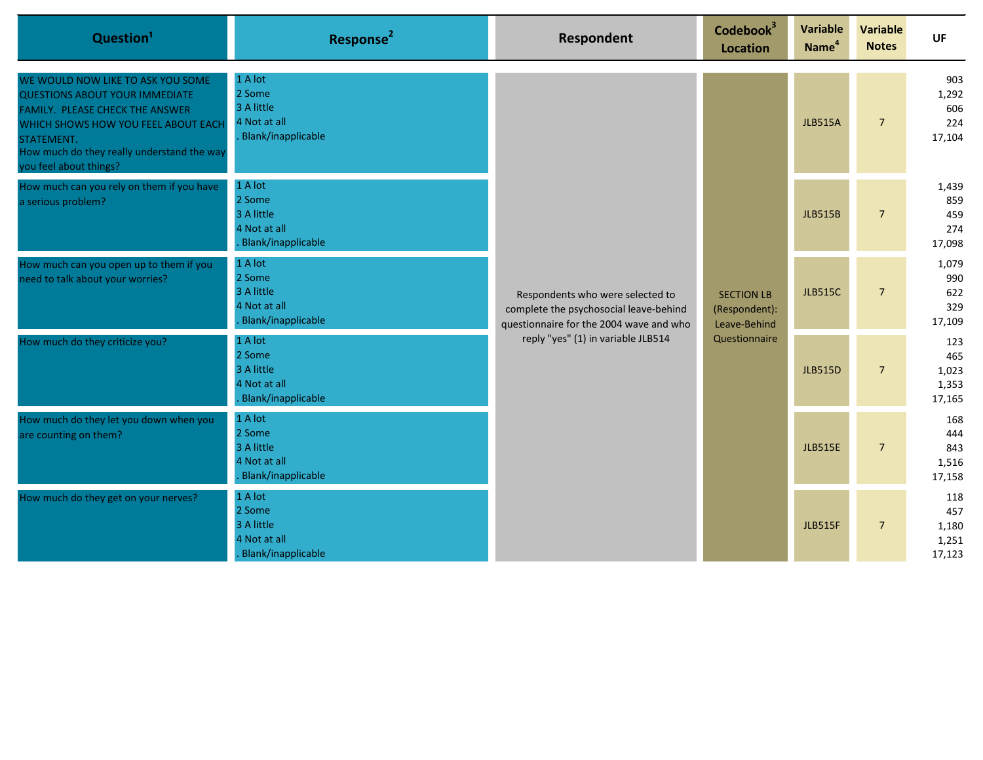| Question <sup>1</sup>                                                                                                                                                                                                                      | Response <sup>2</sup>                                                 | <b>Respondent</b>                                                                                                                                           | Codebook <sup>3</sup><br><b>Location</b>                            | Variable<br>Name <sup>4</sup> | <b>Variable</b><br><b>Notes</b> | UF                                     |
|--------------------------------------------------------------------------------------------------------------------------------------------------------------------------------------------------------------------------------------------|-----------------------------------------------------------------------|-------------------------------------------------------------------------------------------------------------------------------------------------------------|---------------------------------------------------------------------|-------------------------------|---------------------------------|----------------------------------------|
| WE WOULD NOW LIKE TO ASK YOU SOME<br><b>QUESTIONS ABOUT YOUR IMMEDIATE</b><br>FAMILY. PLEASE CHECK THE ANSWER<br>WHICH SHOWS HOW YOU FEEL ABOUT EACH<br>STATEMENT.<br>How much do they really understand the way<br>you feel about things? | 1 A lot<br>2 Some<br>3 A little<br>4 Not at all<br>Blank/inapplicable | Respondents who were selected to<br>complete the psychosocial leave-behind<br>questionnaire for the 2004 wave and who<br>reply "yes" (1) in variable JLB514 | <b>SECTION LB</b><br>(Respondent):<br>Leave-Behind<br>Questionnaire | <b>JLB515A</b>                | 7 <sup>7</sup>                  | 903<br>1,292<br>606<br>224<br>17,104   |
| How much can you rely on them if you have<br>a serious problem?                                                                                                                                                                            | 1 A lot<br>2 Some<br>3 A little<br>4 Not at all<br>Blank/inapplicable |                                                                                                                                                             |                                                                     | <b>JLB515B</b>                | 7 <sup>7</sup>                  | 1,439<br>859<br>459<br>274<br>17,098   |
| How much can you open up to them if you<br>need to talk about your worries?                                                                                                                                                                | 1 A lot<br>2 Some<br>3 A little<br>4 Not at all<br>Blank/inapplicable |                                                                                                                                                             |                                                                     | <b>JLB515C</b>                | $\overline{7}$                  | 1,079<br>990<br>622<br>329<br>17,109   |
| How much do they criticize you?                                                                                                                                                                                                            | 1 A lot<br>2 Some<br>3 A little<br>4 Not at all<br>Blank/inapplicable |                                                                                                                                                             |                                                                     | <b>JLB515D</b>                | $\overline{7}$                  | 123<br>465<br>1,023<br>1,353<br>17,165 |
| How much do they let you down when you<br>are counting on them?                                                                                                                                                                            | 1 A lot<br>2 Some<br>3 A little<br>4 Not at all<br>Blank/inapplicable |                                                                                                                                                             |                                                                     | <b>JLB515E</b>                | 7 <sup>7</sup>                  | 168<br>444<br>843<br>1,516<br>17,158   |
| How much do they get on your nerves?                                                                                                                                                                                                       | 1 A lot<br>2 Some<br>3 A little<br>4 Not at all<br>Blank/inapplicable |                                                                                                                                                             |                                                                     | <b>JLB515F</b>                | $7\overline{ }$                 | 118<br>457<br>1,180<br>1,251<br>17,123 |